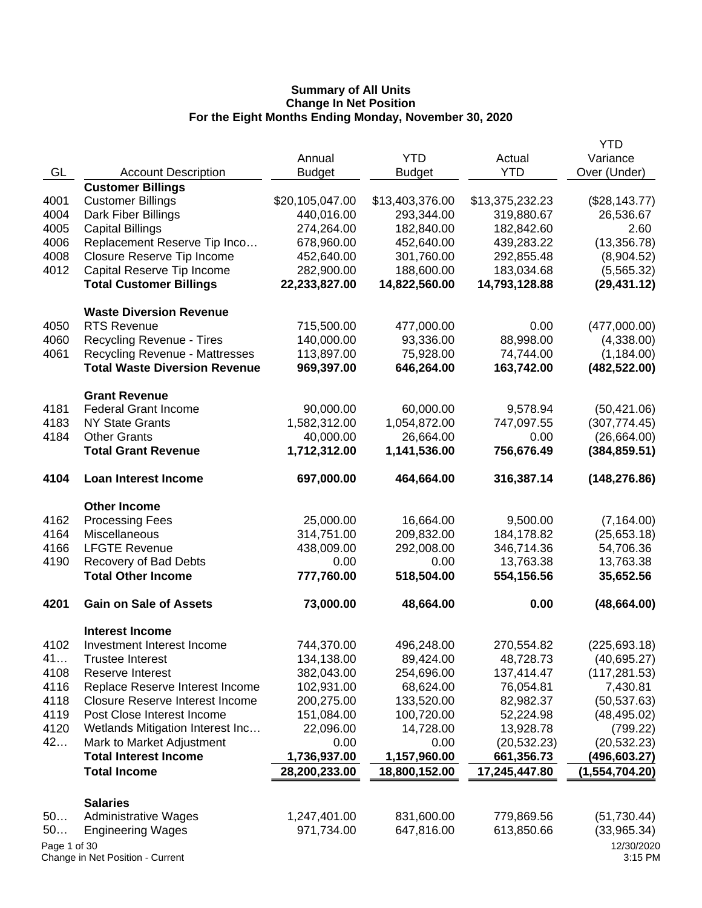|              |                                       |                 |                 |                 | <b>YTD</b>            |
|--------------|---------------------------------------|-----------------|-----------------|-----------------|-----------------------|
|              |                                       | Annual          | <b>YTD</b>      | Actual          | Variance              |
| GL           | <b>Account Description</b>            | <b>Budget</b>   | <b>Budget</b>   | <b>YTD</b>      | Over (Under)          |
|              | <b>Customer Billings</b>              |                 |                 |                 |                       |
| 4001         | <b>Customer Billings</b>              | \$20,105,047.00 | \$13,403,376.00 | \$13,375,232.23 | (\$28,143.77)         |
| 4004         | Dark Fiber Billings                   | 440,016.00      | 293,344.00      | 319,880.67      | 26,536.67             |
| 4005         | <b>Capital Billings</b>               | 274,264.00      | 182,840.00      | 182,842.60      | 2.60                  |
| 4006         | Replacement Reserve Tip Inco          | 678,960.00      | 452,640.00      | 439,283.22      | (13,356.78)           |
| 4008         | Closure Reserve Tip Income            | 452,640.00      | 301,760.00      | 292,855.48      | (8,904.52)            |
| 4012         | Capital Reserve Tip Income            | 282,900.00      | 188,600.00      | 183,034.68      | (5,565.32)            |
|              | <b>Total Customer Billings</b>        | 22,233,827.00   | 14,822,560.00   | 14,793,128.88   | (29, 431.12)          |
|              | <b>Waste Diversion Revenue</b>        |                 |                 |                 |                       |
| 4050         | <b>RTS Revenue</b>                    | 715,500.00      | 477,000.00      | 0.00            | (477,000.00)          |
| 4060         | <b>Recycling Revenue - Tires</b>      | 140,000.00      | 93,336.00       | 88,998.00       | (4,338.00)            |
| 4061         | <b>Recycling Revenue - Mattresses</b> | 113,897.00      | 75,928.00       | 74,744.00       | (1, 184.00)           |
|              | <b>Total Waste Diversion Revenue</b>  | 969,397.00      | 646,264.00      | 163,742.00      | (482, 522.00)         |
|              | <b>Grant Revenue</b>                  |                 |                 |                 |                       |
| 4181         | <b>Federal Grant Income</b>           | 90,000.00       | 60,000.00       | 9,578.94        | (50, 421.06)          |
| 4183         | <b>NY State Grants</b>                | 1,582,312.00    | 1,054,872.00    | 747,097.55      | (307, 774.45)         |
| 4184         | <b>Other Grants</b>                   | 40,000.00       | 26,664.00       | 0.00            | (26, 664.00)          |
|              | <b>Total Grant Revenue</b>            | 1,712,312.00    | 1,141,536.00    | 756,676.49      | (384, 859.51)         |
| 4104         | Loan Interest Income                  | 697,000.00      | 464,664.00      | 316,387.14      | (148, 276.86)         |
|              | <b>Other Income</b>                   |                 |                 |                 |                       |
| 4162         | <b>Processing Fees</b>                | 25,000.00       | 16,664.00       | 9,500.00        | (7, 164.00)           |
| 4164         | Miscellaneous                         | 314,751.00      | 209,832.00      | 184,178.82      | (25,653.18)           |
| 4166         | <b>LFGTE Revenue</b>                  | 438,009.00      | 292,008.00      | 346,714.36      | 54,706.36             |
| 4190         | Recovery of Bad Debts                 | 0.00            | 0.00            | 13,763.38       | 13,763.38             |
|              | <b>Total Other Income</b>             | 777,760.00      | 518,504.00      | 554,156.56      | 35,652.56             |
| 4201         | <b>Gain on Sale of Assets</b>         | 73,000.00       | 48,664.00       | 0.00            | (48, 664.00)          |
|              | <b>Interest Income</b>                |                 |                 |                 |                       |
| 4102         | Investment Interest Income            | 744,370.00      | 496,248.00      | 270,554.82      | (225, 693.18)         |
| 41           | <b>Trustee Interest</b>               | 134,138.00      | 89,424.00       | 48,728.73       | (40, 695.27)          |
| 4108         | <b>Reserve Interest</b>               | 382,043.00      | 254,696.00      | 137,414.47      | (117, 281.53)         |
| 4116         | Replace Reserve Interest Income       | 102,931.00      | 68,624.00       | 76,054.81       | 7,430.81              |
| 4118         | Closure Reserve Interest Income       | 200,275.00      | 133,520.00      | 82,982.37       | (50, 537.63)          |
| 4119         | Post Close Interest Income            | 151,084.00      | 100,720.00      | 52,224.98       | (48, 495.02)          |
| 4120         | Wetlands Mitigation Interest Inc      | 22,096.00       | 14,728.00       | 13,928.78       | (799.22)              |
| 42           | Mark to Market Adjustment             | 0.00            | 0.00            | (20, 532.23)    | (20, 532.23)          |
|              | <b>Total Interest Income</b>          | 1,736,937.00    | 1,157,960.00    | 661,356.73      | (496, 603.27)         |
|              | <b>Total Income</b>                   | 28,200,233.00   | 18,800,152.00   | 17,245,447.80   | (1,554,704.20)        |
|              | <b>Salaries</b>                       |                 |                 |                 |                       |
| 50           | <b>Administrative Wages</b>           | 1,247,401.00    | 831,600.00      | 779,869.56      | (51, 730.44)          |
| 50           | <b>Engineering Wages</b>              | 971,734.00      | 647,816.00      | 613,850.66      | (33,965.34)           |
| Page 1 of 30 | Change in Net Position - Current      |                 |                 |                 | 12/30/2020<br>3:15 PM |
|              |                                       |                 |                 |                 |                       |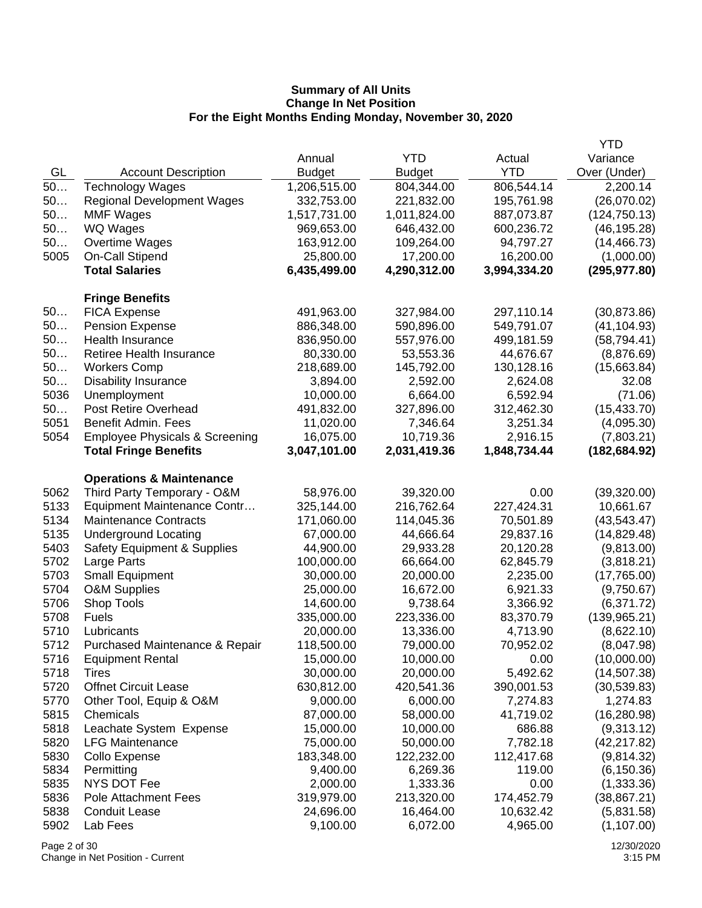|                 |                                           |               |               |              | <b>YTD</b>    |
|-----------------|-------------------------------------------|---------------|---------------|--------------|---------------|
|                 |                                           | Annual        | <b>YTD</b>    | Actual       | Variance      |
| GL              | <b>Account Description</b>                | <b>Budget</b> | <b>Budget</b> | <b>YTD</b>   | Over (Under)  |
| 50              | <b>Technology Wages</b>                   | 1,206,515.00  | 804,344.00    | 806,544.14   | 2,200.14      |
| 50              | <b>Regional Development Wages</b>         | 332,753.00    | 221,832.00    | 195,761.98   | (26,070.02)   |
| 50              | <b>MMF Wages</b>                          | 1,517,731.00  | 1,011,824.00  | 887,073.87   | (124, 750.13) |
| 50              | WQ Wages                                  | 969,653.00    | 646,432.00    | 600,236.72   | (46, 195.28)  |
| 50              | Overtime Wages                            | 163,912.00    | 109,264.00    | 94,797.27    | (14, 466.73)  |
| 5005            | On-Call Stipend                           | 25,800.00     | 17,200.00     | 16,200.00    | (1,000.00)    |
|                 | <b>Total Salaries</b>                     | 6,435,499.00  | 4,290,312.00  | 3,994,334.20 | (295, 977.80) |
|                 |                                           |               |               |              |               |
|                 | <b>Fringe Benefits</b>                    |               |               |              |               |
| 50              | <b>FICA Expense</b>                       | 491,963.00    | 327,984.00    | 297,110.14   | (30, 873.86)  |
| 50              | <b>Pension Expense</b>                    | 886,348.00    | 590,896.00    | 549,791.07   | (41, 104.93)  |
| 50              | Health Insurance                          | 836,950.00    | 557,976.00    | 499,181.59   | (58, 794.41)  |
| 50              | Retiree Health Insurance                  | 80,330.00     | 53,553.36     | 44,676.67    | (8,876.69)    |
| 50              | <b>Workers Comp</b>                       | 218,689.00    | 145,792.00    | 130,128.16   | (15,663.84)   |
| 50              | <b>Disability Insurance</b>               | 3,894.00      | 2,592.00      | 2,624.08     | 32.08         |
| 5036            | Unemployment                              | 10,000.00     | 6,664.00      | 6,592.94     | (71.06)       |
| 50              | <b>Post Retire Overhead</b>               | 491,832.00    | 327,896.00    | 312,462.30   | (15, 433.70)  |
| 5051            | Benefit Admin. Fees                       | 11,020.00     | 7,346.64      | 3,251.34     | (4,095.30)    |
| 5054            | <b>Employee Physicals &amp; Screening</b> | 16,075.00     | 10,719.36     | 2,916.15     | (7,803.21)    |
|                 | <b>Total Fringe Benefits</b>              | 3,047,101.00  | 2,031,419.36  | 1,848,734.44 | (182, 684.92) |
|                 | <b>Operations &amp; Maintenance</b>       |               |               |              |               |
| 5062            | Third Party Temporary - O&M               | 58,976.00     | 39,320.00     | 0.00         | (39,320.00)   |
| 5133            | Equipment Maintenance Contr               | 325,144.00    | 216,762.64    | 227,424.31   | 10,661.67     |
| 5134            | <b>Maintenance Contracts</b>              | 171,060.00    | 114,045.36    | 70,501.89    | (43, 543.47)  |
| 5135            | <b>Underground Locating</b>               | 67,000.00     | 44,666.64     | 29,837.16    | (14, 829.48)  |
| 5403            | <b>Safety Equipment &amp; Supplies</b>    | 44,900.00     | 29,933.28     | 20,120.28    | (9,813.00)    |
| 5702            | Large Parts                               | 100,000.00    | 66,664.00     | 62,845.79    | (3,818.21)    |
| 5703            | <b>Small Equipment</b>                    | 30,000.00     | 20,000.00     | 2,235.00     | (17,765.00)   |
| 5704            | <b>O&amp;M Supplies</b>                   | 25,000.00     | 16,672.00     | 6,921.33     | (9,750.67)    |
| 5706            | Shop Tools                                | 14,600.00     | 9,738.64      | 3,366.92     |               |
|                 |                                           |               |               |              | (6,371.72)    |
| 5708            | <b>Fuels</b>                              | 335,000.00    | 223,336.00    | 83,370.79    | (139, 965.21) |
| 5710            | Lubricants                                | 20,000.00     | 13,336.00     | 4,713.90     | (8,622.10)    |
| 5712            | Purchased Maintenance & Repair            | 118,500.00    | 79,000.00     | 70,952.02    | (8,047.98)    |
| 5716            | <b>Equipment Rental</b>                   | 15,000.00     | 10,000.00     | 0.00         | (10,000.00)   |
| 5718            | Tires                                     | 30,000.00     | 20,000.00     | 5,492.62     | (14, 507.38)  |
| 5720            | <b>Offnet Circuit Lease</b>               | 630,812.00    | 420,541.36    | 390,001.53   | (30, 539.83)  |
| 5770            | Other Tool, Equip & O&M                   | 9,000.00      | 6,000.00      | 7,274.83     | 1,274.83      |
| 5815            | Chemicals                                 | 87,000.00     | 58,000.00     | 41,719.02    | (16, 280.98)  |
| 5818            | Leachate System Expense                   | 15,000.00     | 10,000.00     | 686.88       | (9,313.12)    |
| 5820            | <b>LFG Maintenance</b>                    | 75,000.00     | 50,000.00     | 7,782.18     | (42, 217.82)  |
| 5830            | Collo Expense                             | 183,348.00    | 122,232.00    | 112,417.68   | (9,814.32)    |
| 5834            | Permitting                                | 9,400.00      | 6,269.36      | 119.00       | (6, 150.36)   |
| 5835            | NYS DOT Fee                               | 2,000.00      | 1,333.36      | 0.00         | (1,333.36)    |
| 5836            | Pole Attachment Fees                      | 319,979.00    | 213,320.00    | 174,452.79   | (38, 867.21)  |
| 5838            | <b>Conduit Lease</b>                      | 24,696.00     | 16,464.00     | 10,632.42    | (5,831.58)    |
| 5902            | Lab Fees                                  | 9,100.00      | 6,072.00      | 4,965.00     | (1,107.00)    |
| $D_{0}$ $(2.5)$ |                                           |               |               |              | 12000000      |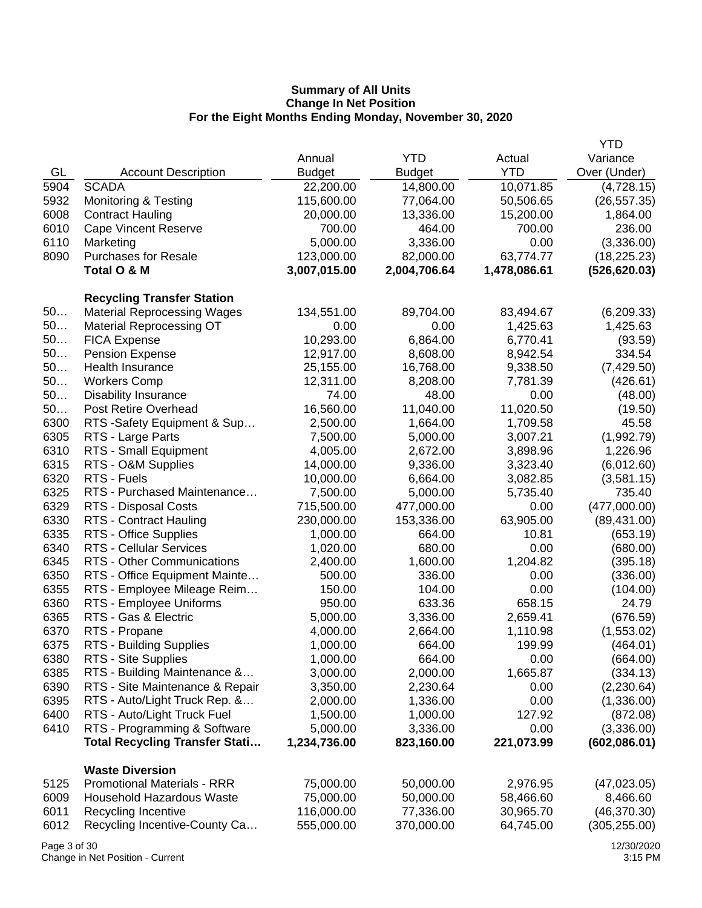|      |                                       |               |               |              | <b>YTD</b>    |
|------|---------------------------------------|---------------|---------------|--------------|---------------|
|      |                                       | Annual        | <b>YTD</b>    | Actual       | Variance      |
| GL   | <b>Account Description</b>            | <b>Budget</b> | <b>Budget</b> | <b>YTD</b>   | Over (Under)  |
| 5904 | <b>SCADA</b>                          | 22,200.00     | 14,800.00     | 10,071.85    | (4,728.15)    |
| 5932 | <b>Monitoring &amp; Testing</b>       | 115,600.00    | 77,064.00     | 50,506.65    | (26, 557.35)  |
| 6008 | <b>Contract Hauling</b>               | 20,000.00     | 13,336.00     | 15,200.00    | 1,864.00      |
| 6010 | <b>Cape Vincent Reserve</b>           | 700.00        | 464.00        | 700.00       | 236.00        |
| 6110 | Marketing                             | 5,000.00      | 3,336.00      | 0.00         | (3,336.00)    |
| 8090 | <b>Purchases for Resale</b>           | 123,000.00    | 82,000.00     | 63,774.77    | (18, 225.23)  |
|      | Total O & M                           | 3,007,015.00  | 2,004,706.64  | 1,478,086.61 | (526, 620.03) |
|      | <b>Recycling Transfer Station</b>     |               |               |              |               |
| 50   | <b>Material Reprocessing Wages</b>    | 134,551.00    | 89,704.00     | 83,494.67    | (6,209.33)    |
| 50   | <b>Material Reprocessing OT</b>       | 0.00          | 0.00          | 1,425.63     | 1,425.63      |
| 50   | <b>FICA Expense</b>                   | 10,293.00     | 6,864.00      | 6,770.41     | (93.59)       |
| 50   | <b>Pension Expense</b>                | 12,917.00     | 8,608.00      | 8,942.54     | 334.54        |
| 50   | Health Insurance                      | 25,155.00     | 16,768.00     | 9,338.50     | (7, 429.50)   |
| 50   | <b>Workers Comp</b>                   | 12,311.00     | 8,208.00      | 7,781.39     | (426.61)      |
| 50   | <b>Disability Insurance</b>           | 74.00         | 48.00         | 0.00         | (48.00)       |
| 50   | Post Retire Overhead                  | 16,560.00     | 11,040.00     | 11,020.50    | (19.50)       |
| 6300 | RTS - Safety Equipment & Sup          | 2,500.00      | 1,664.00      | 1,709.58     | 45.58         |
| 6305 | RTS - Large Parts                     | 7,500.00      | 5,000.00      | 3,007.21     | (1,992.79)    |
| 6310 | RTS - Small Equipment                 | 4,005.00      | 2,672.00      | 3,898.96     | 1,226.96      |
| 6315 | RTS - O&M Supplies                    | 14,000.00     | 9,336.00      | 3,323.40     | (6,012.60)    |
| 6320 | RTS - Fuels                           | 10,000.00     | 6,664.00      | 3,082.85     | (3,581.15)    |
| 6325 | RTS - Purchased Maintenance           | 7,500.00      | 5,000.00      | 5,735.40     | 735.40        |
| 6329 | RTS - Disposal Costs                  | 715,500.00    | 477,000.00    | 0.00         | (477,000.00)  |
| 6330 | RTS - Contract Hauling                | 230,000.00    | 153,336.00    | 63,905.00    | (89, 431.00)  |
| 6335 | RTS - Office Supplies                 | 1,000.00      | 664.00        | 10.81        | (653.19)      |
| 6340 | <b>RTS - Cellular Services</b>        | 1,020.00      | 680.00        | 0.00         | (680.00)      |
| 6345 | RTS - Other Communications            | 2,400.00      | 1,600.00      | 1,204.82     | (395.18)      |
| 6350 | RTS - Office Equipment Mainte         | 500.00        | 336.00        | 0.00         | (336.00)      |
| 6355 | RTS - Employee Mileage Reim           | 150.00        | 104.00        | 0.00         | (104.00)      |
| 6360 | RTS - Employee Uniforms               | 950.00        | 633.36        | 658.15       | 24.79         |
| 6365 | RTS - Gas & Electric                  | 5,000.00      | 3,336.00      | 2,659.41     | (676.59)      |
| 6370 | RTS - Propane                         | 4,000.00      | 2,664.00      | 1,110.98     | (1,553.02)    |
| 6375 | RTS - Building Supplies               | 1,000.00      | 664.00        | 199.99       | (464.01)      |
| 6380 | RTS - Site Supplies                   | 1,000.00      | 664.00        | 0.00         | (664.00)      |
| 6385 | RTS - Building Maintenance &          | 3,000.00      | 2,000.00      | 1,665.87     | (334.13)      |
| 6390 | RTS - Site Maintenance & Repair       | 3,350.00      | 2,230.64      | 0.00         | (2,230.64)    |
| 6395 | RTS - Auto/Light Truck Rep. &         | 2,000.00      | 1,336.00      | 0.00         | (1,336.00)    |
| 6400 | RTS - Auto/Light Truck Fuel           | 1,500.00      | 1,000.00      | 127.92       | (872.08)      |
| 6410 | RTS - Programming & Software          | 5,000.00      | 3,336.00      | 0.00         | (3,336.00)    |
|      | <b>Total Recycling Transfer Stati</b> | 1,234,736.00  | 823,160.00    | 221,073.99   | (602,086.01)  |
|      |                                       |               |               |              |               |
|      | <b>Waste Diversion</b>                |               |               |              |               |
| 5125 | <b>Promotional Materials - RRR</b>    | 75,000.00     | 50,000.00     | 2,976.95     | (47,023.05)   |
| 6009 | Household Hazardous Waste             | 75,000.00     | 50,000.00     | 58,466.60    | 8,466.60      |
| 6011 | Recycling Incentive                   | 116,000.00    | 77,336.00     | 30,965.70    | (46,370.30)   |
| 6012 | Recycling Incentive-County Ca         | 555,000.00    | 370,000.00    | 64,745.00    | (305, 255.00) |

Page 3 of 30 Change in Net Position - Current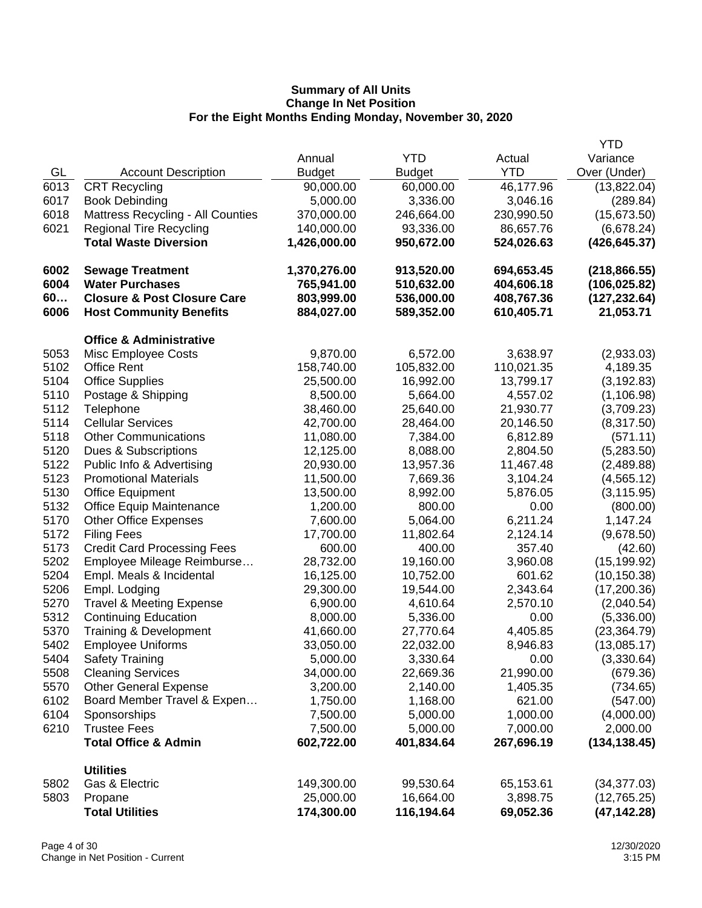|      |                                        |               |               |            | <b>YTD</b>    |
|------|----------------------------------------|---------------|---------------|------------|---------------|
|      |                                        | Annual        | <b>YTD</b>    | Actual     | Variance      |
| GL   | <b>Account Description</b>             | <b>Budget</b> | <b>Budget</b> | <b>YTD</b> | Over (Under)  |
| 6013 | <b>CRT Recycling</b>                   | 90,000.00     | 60,000.00     | 46,177.96  | (13,822.04)   |
| 6017 | <b>Book Debinding</b>                  | 5,000.00      | 3,336.00      | 3,046.16   | (289.84)      |
| 6018 | Mattress Recycling - All Counties      | 370,000.00    | 246,664.00    | 230,990.50 | (15, 673.50)  |
| 6021 | <b>Regional Tire Recycling</b>         | 140,000.00    | 93,336.00     | 86,657.76  | (6,678.24)    |
|      | <b>Total Waste Diversion</b>           | 1,426,000.00  | 950,672.00    | 524,026.63 | (426, 645.37) |
| 6002 | <b>Sewage Treatment</b>                | 1,370,276.00  | 913,520.00    | 694,653.45 | (218, 866.55) |
| 6004 | <b>Water Purchases</b>                 | 765,941.00    | 510,632.00    | 404,606.18 | (106, 025.82) |
| 60   | <b>Closure &amp; Post Closure Care</b> | 803,999.00    | 536,000.00    | 408,767.36 | (127, 232.64) |
| 6006 | <b>Host Community Benefits</b>         | 884,027.00    | 589,352.00    | 610,405.71 | 21,053.71     |
|      | <b>Office &amp; Administrative</b>     |               |               |            |               |
| 5053 | Misc Employee Costs                    | 9,870.00      | 6,572.00      | 3,638.97   | (2,933.03)    |
| 5102 | <b>Office Rent</b>                     | 158,740.00    | 105,832.00    | 110,021.35 | 4,189.35      |
| 5104 | <b>Office Supplies</b>                 | 25,500.00     | 16,992.00     | 13,799.17  | (3, 192.83)   |
| 5110 | Postage & Shipping                     | 8,500.00      | 5,664.00      | 4,557.02   | (1, 106.98)   |
| 5112 | Telephone                              | 38,460.00     | 25,640.00     | 21,930.77  | (3,709.23)    |
| 5114 | <b>Cellular Services</b>               | 42,700.00     | 28,464.00     | 20,146.50  | (8,317.50)    |
| 5118 | <b>Other Communications</b>            | 11,080.00     | 7,384.00      | 6,812.89   | (571.11)      |
| 5120 | Dues & Subscriptions                   | 12,125.00     | 8,088.00      | 2,804.50   | (5,283.50)    |
| 5122 | Public Info & Advertising              | 20,930.00     | 13,957.36     | 11,467.48  | (2,489.88)    |
| 5123 | <b>Promotional Materials</b>           | 11,500.00     | 7,669.36      | 3,104.24   | (4, 565.12)   |
| 5130 | <b>Office Equipment</b>                | 13,500.00     | 8,992.00      | 5,876.05   | (3, 115.95)   |
| 5132 | Office Equip Maintenance               | 1,200.00      | 800.00        | 0.00       | (800.00)      |
| 5170 | <b>Other Office Expenses</b>           | 7,600.00      | 5,064.00      | 6,211.24   | 1,147.24      |
| 5172 | <b>Filing Fees</b>                     | 17,700.00     | 11,802.64     | 2,124.14   | (9,678.50)    |
| 5173 | <b>Credit Card Processing Fees</b>     | 600.00        | 400.00        | 357.40     | (42.60)       |
| 5202 | Employee Mileage Reimburse             | 28,732.00     | 19,160.00     | 3,960.08   | (15, 199.92)  |
| 5204 | Empl. Meals & Incidental               | 16,125.00     | 10,752.00     | 601.62     | (10, 150.38)  |
| 5206 | Empl. Lodging                          | 29,300.00     | 19,544.00     | 2,343.64   | (17,200.36)   |
| 5270 | <b>Travel &amp; Meeting Expense</b>    | 6,900.00      | 4,610.64      | 2,570.10   | (2,040.54)    |
| 5312 | <b>Continuing Education</b>            | 8,000.00      | 5,336.00      | 0.00       | (5,336.00)    |
| 5370 | <b>Training &amp; Development</b>      | 41,660.00     | 27,770.64     | 4,405.85   | (23, 364.79)  |
| 5402 | <b>Employee Uniforms</b>               | 33,050.00     | 22,032.00     | 8,946.83   | (13,085.17)   |
| 5404 | <b>Safety Training</b>                 | 5,000.00      | 3,330.64      | 0.00       | (3,330.64)    |
| 5508 | <b>Cleaning Services</b>               | 34,000.00     | 22,669.36     | 21,990.00  | (679.36)      |
| 5570 | <b>Other General Expense</b>           | 3,200.00      | 2,140.00      | 1,405.35   | (734.65)      |
| 6102 | Board Member Travel & Expen            | 1,750.00      | 1,168.00      | 621.00     | (547.00)      |
| 6104 | Sponsorships                           | 7,500.00      | 5,000.00      | 1,000.00   | (4,000.00)    |
| 6210 | <b>Trustee Fees</b>                    | 7,500.00      | 5,000.00      | 7,000.00   | 2,000.00      |
|      | <b>Total Office &amp; Admin</b>        | 602,722.00    | 401,834.64    | 267,696.19 | (134, 138.45) |
|      | <b>Utilities</b>                       |               |               |            |               |
| 5802 | Gas & Electric                         | 149,300.00    | 99,530.64     | 65,153.61  | (34, 377.03)  |
| 5803 | Propane                                | 25,000.00     | 16,664.00     | 3,898.75   | (12,765.25)   |
|      | <b>Total Utilities</b>                 | 174,300.00    | 116,194.64    | 69,052.36  | (47, 142.28)  |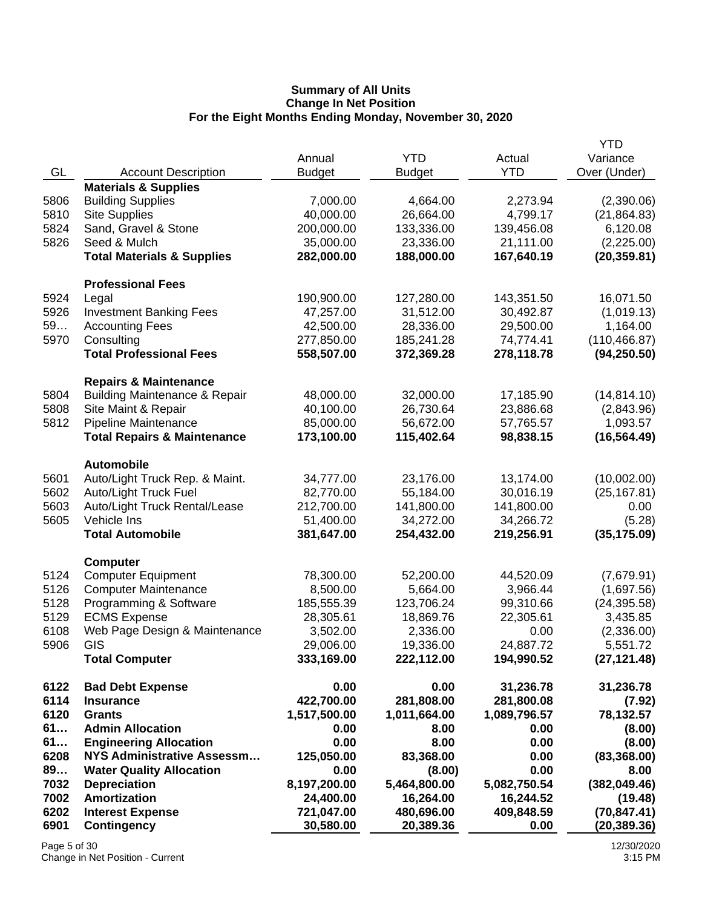| <b>YTD</b><br>Variance<br>Annual<br>Actual<br>GL<br><b>YTD</b><br>Over (Under)<br><b>Account Description</b><br><b>Budget</b><br><b>Budget</b><br><b>Materials &amp; Supplies</b><br><b>Building Supplies</b><br>(2,390.06)<br>5806<br>7,000.00<br>4,664.00<br>2,273.94<br>5810<br><b>Site Supplies</b><br>40,000.00<br>26,664.00<br>4,799.17<br>(21, 864.83)<br>5824<br>Sand, Gravel & Stone<br>200,000.00<br>133,336.00<br>139,456.08<br>6,120.08<br>5826<br>Seed & Mulch<br>23,336.00<br>21,111.00<br>35,000.00<br>(2,225.00)<br><b>Total Materials &amp; Supplies</b><br>282,000.00<br>188,000.00<br>167,640.19<br>(20, 359.81)<br><b>Professional Fees</b><br>5924<br>127,280.00<br>143,351.50<br>16,071.50<br>Legal<br>190,900.00<br>5926<br>31,512.00<br><b>Investment Banking Fees</b><br>47,257.00<br>30,492.87<br>(1,019.13)<br>59<br><b>Accounting Fees</b><br>42,500.00<br>28,336.00<br>29,500.00<br>1,164.00<br>5970<br>Consulting<br>(110, 466.87)<br>277,850.00<br>185,241.28<br>74,774.41<br><b>Total Professional Fees</b><br>558,507.00<br>372,369.28<br>278,118.78<br>(94, 250.50)<br><b>Repairs &amp; Maintenance</b><br><b>Building Maintenance &amp; Repair</b><br>5804<br>48,000.00<br>32,000.00<br>17,185.90<br>(14, 814.10)<br>5808<br>23,886.68<br>Site Maint & Repair<br>40,100.00<br>26,730.64<br>(2,843.96)<br>5812<br>Pipeline Maintenance<br>85,000.00<br>56,672.00<br>57,765.57<br>1,093.57<br><b>Total Repairs &amp; Maintenance</b><br>173,100.00<br>115,402.64<br>98,838.15<br>(16, 564.49)<br><b>Automobile</b><br>Auto/Light Truck Rep. & Maint.<br>34,777.00<br>23,176.00<br>13,174.00<br>(10,002.00)<br>5601<br>5602<br>Auto/Light Truck Fuel<br>82,770.00<br>55,184.00<br>30,016.19<br>(25, 167.81)<br>5603<br>141,800.00<br>141,800.00<br>Auto/Light Truck Rental/Lease<br>212,700.00<br>0.00<br>5605<br>Vehicle Ins<br>51,400.00<br>34,272.00<br>34,266.72<br>(5.28)<br><b>Total Automobile</b><br>219,256.91<br>(35, 175.09)<br>381,647.00<br>254,432.00<br><b>Computer</b><br>5124<br><b>Computer Equipment</b><br>78,300.00<br>52,200.00<br>44,520.09<br>(7,679.91)<br>5126<br><b>Computer Maintenance</b><br>8,500.00<br>3,966.44<br>(1,697.56)<br>5,664.00<br>5128<br>Programming & Software<br>(24, 395.58)<br>185,555.39<br>123,706.24<br>99,310.66<br>5129<br><b>ECMS Expense</b><br>28,305.61<br>18,869.76<br>22,305.61<br>3,435.85<br>6108<br>Web Page Design & Maintenance<br>(2,336.00)<br>3,502.00<br>2,336.00<br>0.00<br>5906<br>GIS<br>29,006.00<br>19,336.00<br>24,887.72<br>5,551.72<br><b>Total Computer</b><br>333,169.00<br>222,112.00<br>194,990.52<br>(27, 121.48)<br>0.00<br>6122<br>0.00<br><b>Bad Debt Expense</b><br>31,236.78<br>31,236.78<br>6114<br>422,700.00<br>281,808.00<br><b>Insurance</b><br>281,800.08<br>(7.92)<br>6120<br>1,517,500.00<br>1,011,664.00<br><b>Grants</b><br>1,089,796.57<br>78,132.57<br>61<br><b>Admin Allocation</b><br>0.00<br>8.00<br>0.00<br>(8.00)<br>61<br>0.00<br>8.00<br>0.00<br><b>Engineering Allocation</b><br>(8.00)<br>6208<br><b>NYS Administrative Assessm</b><br>125,050.00<br>83,368.00<br>0.00<br>(83, 368.00)<br>89<br><b>Water Quality Allocation</b><br>0.00<br>0.00<br>(8.00)<br>8.00<br>7032<br>5,464,800.00<br><b>Depreciation</b><br>8,197,200.00<br>5,082,750.54<br>(382, 049.46)<br>7002<br><b>Amortization</b><br>16,244.52<br>24,400.00<br>16,264.00<br>(19.48)<br>6202<br><b>Interest Expense</b><br>409,848.59<br>721,047.00<br>480,696.00<br>(70, 847.41)<br>6901<br><b>Contingency</b><br>30,580.00<br>20,389.36<br>0.00<br>(20, 389.36) |  |  | <b>YTD</b> |
|----------------------------------------------------------------------------------------------------------------------------------------------------------------------------------------------------------------------------------------------------------------------------------------------------------------------------------------------------------------------------------------------------------------------------------------------------------------------------------------------------------------------------------------------------------------------------------------------------------------------------------------------------------------------------------------------------------------------------------------------------------------------------------------------------------------------------------------------------------------------------------------------------------------------------------------------------------------------------------------------------------------------------------------------------------------------------------------------------------------------------------------------------------------------------------------------------------------------------------------------------------------------------------------------------------------------------------------------------------------------------------------------------------------------------------------------------------------------------------------------------------------------------------------------------------------------------------------------------------------------------------------------------------------------------------------------------------------------------------------------------------------------------------------------------------------------------------------------------------------------------------------------------------------------------------------------------------------------------------------------------------------------------------------------------------------------------------------------------------------------------------------------------------------------------------------------------------------------------------------------------------------------------------------------------------------------------------------------------------------------------------------------------------------------------------------------------------------------------------------------------------------------------------------------------------------------------------------------------------------------------------------------------------------------------------------------------------------------------------------------------------------------------------------------------------------------------------------------------------------------------------------------------------------------------------------------------------------------------------------------------------------------------------------------------------------------------------------------------------------------------------------------------------------------------------------------------------------------------------------------------------------------------------------------------------------------------------------------------------------------------------------------------------------------------------------------------------------------------------------------------------------------------------------------------------------------------|--|--|------------|
|                                                                                                                                                                                                                                                                                                                                                                                                                                                                                                                                                                                                                                                                                                                                                                                                                                                                                                                                                                                                                                                                                                                                                                                                                                                                                                                                                                                                                                                                                                                                                                                                                                                                                                                                                                                                                                                                                                                                                                                                                                                                                                                                                                                                                                                                                                                                                                                                                                                                                                                                                                                                                                                                                                                                                                                                                                                                                                                                                                                                                                                                                                                                                                                                                                                                                                                                                                                                                                                                                                                                                                            |  |  |            |
|                                                                                                                                                                                                                                                                                                                                                                                                                                                                                                                                                                                                                                                                                                                                                                                                                                                                                                                                                                                                                                                                                                                                                                                                                                                                                                                                                                                                                                                                                                                                                                                                                                                                                                                                                                                                                                                                                                                                                                                                                                                                                                                                                                                                                                                                                                                                                                                                                                                                                                                                                                                                                                                                                                                                                                                                                                                                                                                                                                                                                                                                                                                                                                                                                                                                                                                                                                                                                                                                                                                                                                            |  |  |            |
|                                                                                                                                                                                                                                                                                                                                                                                                                                                                                                                                                                                                                                                                                                                                                                                                                                                                                                                                                                                                                                                                                                                                                                                                                                                                                                                                                                                                                                                                                                                                                                                                                                                                                                                                                                                                                                                                                                                                                                                                                                                                                                                                                                                                                                                                                                                                                                                                                                                                                                                                                                                                                                                                                                                                                                                                                                                                                                                                                                                                                                                                                                                                                                                                                                                                                                                                                                                                                                                                                                                                                                            |  |  |            |
|                                                                                                                                                                                                                                                                                                                                                                                                                                                                                                                                                                                                                                                                                                                                                                                                                                                                                                                                                                                                                                                                                                                                                                                                                                                                                                                                                                                                                                                                                                                                                                                                                                                                                                                                                                                                                                                                                                                                                                                                                                                                                                                                                                                                                                                                                                                                                                                                                                                                                                                                                                                                                                                                                                                                                                                                                                                                                                                                                                                                                                                                                                                                                                                                                                                                                                                                                                                                                                                                                                                                                                            |  |  |            |
|                                                                                                                                                                                                                                                                                                                                                                                                                                                                                                                                                                                                                                                                                                                                                                                                                                                                                                                                                                                                                                                                                                                                                                                                                                                                                                                                                                                                                                                                                                                                                                                                                                                                                                                                                                                                                                                                                                                                                                                                                                                                                                                                                                                                                                                                                                                                                                                                                                                                                                                                                                                                                                                                                                                                                                                                                                                                                                                                                                                                                                                                                                                                                                                                                                                                                                                                                                                                                                                                                                                                                                            |  |  |            |
|                                                                                                                                                                                                                                                                                                                                                                                                                                                                                                                                                                                                                                                                                                                                                                                                                                                                                                                                                                                                                                                                                                                                                                                                                                                                                                                                                                                                                                                                                                                                                                                                                                                                                                                                                                                                                                                                                                                                                                                                                                                                                                                                                                                                                                                                                                                                                                                                                                                                                                                                                                                                                                                                                                                                                                                                                                                                                                                                                                                                                                                                                                                                                                                                                                                                                                                                                                                                                                                                                                                                                                            |  |  |            |
|                                                                                                                                                                                                                                                                                                                                                                                                                                                                                                                                                                                                                                                                                                                                                                                                                                                                                                                                                                                                                                                                                                                                                                                                                                                                                                                                                                                                                                                                                                                                                                                                                                                                                                                                                                                                                                                                                                                                                                                                                                                                                                                                                                                                                                                                                                                                                                                                                                                                                                                                                                                                                                                                                                                                                                                                                                                                                                                                                                                                                                                                                                                                                                                                                                                                                                                                                                                                                                                                                                                                                                            |  |  |            |
|                                                                                                                                                                                                                                                                                                                                                                                                                                                                                                                                                                                                                                                                                                                                                                                                                                                                                                                                                                                                                                                                                                                                                                                                                                                                                                                                                                                                                                                                                                                                                                                                                                                                                                                                                                                                                                                                                                                                                                                                                                                                                                                                                                                                                                                                                                                                                                                                                                                                                                                                                                                                                                                                                                                                                                                                                                                                                                                                                                                                                                                                                                                                                                                                                                                                                                                                                                                                                                                                                                                                                                            |  |  |            |
|                                                                                                                                                                                                                                                                                                                                                                                                                                                                                                                                                                                                                                                                                                                                                                                                                                                                                                                                                                                                                                                                                                                                                                                                                                                                                                                                                                                                                                                                                                                                                                                                                                                                                                                                                                                                                                                                                                                                                                                                                                                                                                                                                                                                                                                                                                                                                                                                                                                                                                                                                                                                                                                                                                                                                                                                                                                                                                                                                                                                                                                                                                                                                                                                                                                                                                                                                                                                                                                                                                                                                                            |  |  |            |
|                                                                                                                                                                                                                                                                                                                                                                                                                                                                                                                                                                                                                                                                                                                                                                                                                                                                                                                                                                                                                                                                                                                                                                                                                                                                                                                                                                                                                                                                                                                                                                                                                                                                                                                                                                                                                                                                                                                                                                                                                                                                                                                                                                                                                                                                                                                                                                                                                                                                                                                                                                                                                                                                                                                                                                                                                                                                                                                                                                                                                                                                                                                                                                                                                                                                                                                                                                                                                                                                                                                                                                            |  |  |            |
|                                                                                                                                                                                                                                                                                                                                                                                                                                                                                                                                                                                                                                                                                                                                                                                                                                                                                                                                                                                                                                                                                                                                                                                                                                                                                                                                                                                                                                                                                                                                                                                                                                                                                                                                                                                                                                                                                                                                                                                                                                                                                                                                                                                                                                                                                                                                                                                                                                                                                                                                                                                                                                                                                                                                                                                                                                                                                                                                                                                                                                                                                                                                                                                                                                                                                                                                                                                                                                                                                                                                                                            |  |  |            |
|                                                                                                                                                                                                                                                                                                                                                                                                                                                                                                                                                                                                                                                                                                                                                                                                                                                                                                                                                                                                                                                                                                                                                                                                                                                                                                                                                                                                                                                                                                                                                                                                                                                                                                                                                                                                                                                                                                                                                                                                                                                                                                                                                                                                                                                                                                                                                                                                                                                                                                                                                                                                                                                                                                                                                                                                                                                                                                                                                                                                                                                                                                                                                                                                                                                                                                                                                                                                                                                                                                                                                                            |  |  |            |
|                                                                                                                                                                                                                                                                                                                                                                                                                                                                                                                                                                                                                                                                                                                                                                                                                                                                                                                                                                                                                                                                                                                                                                                                                                                                                                                                                                                                                                                                                                                                                                                                                                                                                                                                                                                                                                                                                                                                                                                                                                                                                                                                                                                                                                                                                                                                                                                                                                                                                                                                                                                                                                                                                                                                                                                                                                                                                                                                                                                                                                                                                                                                                                                                                                                                                                                                                                                                                                                                                                                                                                            |  |  |            |
|                                                                                                                                                                                                                                                                                                                                                                                                                                                                                                                                                                                                                                                                                                                                                                                                                                                                                                                                                                                                                                                                                                                                                                                                                                                                                                                                                                                                                                                                                                                                                                                                                                                                                                                                                                                                                                                                                                                                                                                                                                                                                                                                                                                                                                                                                                                                                                                                                                                                                                                                                                                                                                                                                                                                                                                                                                                                                                                                                                                                                                                                                                                                                                                                                                                                                                                                                                                                                                                                                                                                                                            |  |  |            |
|                                                                                                                                                                                                                                                                                                                                                                                                                                                                                                                                                                                                                                                                                                                                                                                                                                                                                                                                                                                                                                                                                                                                                                                                                                                                                                                                                                                                                                                                                                                                                                                                                                                                                                                                                                                                                                                                                                                                                                                                                                                                                                                                                                                                                                                                                                                                                                                                                                                                                                                                                                                                                                                                                                                                                                                                                                                                                                                                                                                                                                                                                                                                                                                                                                                                                                                                                                                                                                                                                                                                                                            |  |  |            |
|                                                                                                                                                                                                                                                                                                                                                                                                                                                                                                                                                                                                                                                                                                                                                                                                                                                                                                                                                                                                                                                                                                                                                                                                                                                                                                                                                                                                                                                                                                                                                                                                                                                                                                                                                                                                                                                                                                                                                                                                                                                                                                                                                                                                                                                                                                                                                                                                                                                                                                                                                                                                                                                                                                                                                                                                                                                                                                                                                                                                                                                                                                                                                                                                                                                                                                                                                                                                                                                                                                                                                                            |  |  |            |
|                                                                                                                                                                                                                                                                                                                                                                                                                                                                                                                                                                                                                                                                                                                                                                                                                                                                                                                                                                                                                                                                                                                                                                                                                                                                                                                                                                                                                                                                                                                                                                                                                                                                                                                                                                                                                                                                                                                                                                                                                                                                                                                                                                                                                                                                                                                                                                                                                                                                                                                                                                                                                                                                                                                                                                                                                                                                                                                                                                                                                                                                                                                                                                                                                                                                                                                                                                                                                                                                                                                                                                            |  |  |            |
|                                                                                                                                                                                                                                                                                                                                                                                                                                                                                                                                                                                                                                                                                                                                                                                                                                                                                                                                                                                                                                                                                                                                                                                                                                                                                                                                                                                                                                                                                                                                                                                                                                                                                                                                                                                                                                                                                                                                                                                                                                                                                                                                                                                                                                                                                                                                                                                                                                                                                                                                                                                                                                                                                                                                                                                                                                                                                                                                                                                                                                                                                                                                                                                                                                                                                                                                                                                                                                                                                                                                                                            |  |  |            |
|                                                                                                                                                                                                                                                                                                                                                                                                                                                                                                                                                                                                                                                                                                                                                                                                                                                                                                                                                                                                                                                                                                                                                                                                                                                                                                                                                                                                                                                                                                                                                                                                                                                                                                                                                                                                                                                                                                                                                                                                                                                                                                                                                                                                                                                                                                                                                                                                                                                                                                                                                                                                                                                                                                                                                                                                                                                                                                                                                                                                                                                                                                                                                                                                                                                                                                                                                                                                                                                                                                                                                                            |  |  |            |
|                                                                                                                                                                                                                                                                                                                                                                                                                                                                                                                                                                                                                                                                                                                                                                                                                                                                                                                                                                                                                                                                                                                                                                                                                                                                                                                                                                                                                                                                                                                                                                                                                                                                                                                                                                                                                                                                                                                                                                                                                                                                                                                                                                                                                                                                                                                                                                                                                                                                                                                                                                                                                                                                                                                                                                                                                                                                                                                                                                                                                                                                                                                                                                                                                                                                                                                                                                                                                                                                                                                                                                            |  |  |            |
|                                                                                                                                                                                                                                                                                                                                                                                                                                                                                                                                                                                                                                                                                                                                                                                                                                                                                                                                                                                                                                                                                                                                                                                                                                                                                                                                                                                                                                                                                                                                                                                                                                                                                                                                                                                                                                                                                                                                                                                                                                                                                                                                                                                                                                                                                                                                                                                                                                                                                                                                                                                                                                                                                                                                                                                                                                                                                                                                                                                                                                                                                                                                                                                                                                                                                                                                                                                                                                                                                                                                                                            |  |  |            |
|                                                                                                                                                                                                                                                                                                                                                                                                                                                                                                                                                                                                                                                                                                                                                                                                                                                                                                                                                                                                                                                                                                                                                                                                                                                                                                                                                                                                                                                                                                                                                                                                                                                                                                                                                                                                                                                                                                                                                                                                                                                                                                                                                                                                                                                                                                                                                                                                                                                                                                                                                                                                                                                                                                                                                                                                                                                                                                                                                                                                                                                                                                                                                                                                                                                                                                                                                                                                                                                                                                                                                                            |  |  |            |
|                                                                                                                                                                                                                                                                                                                                                                                                                                                                                                                                                                                                                                                                                                                                                                                                                                                                                                                                                                                                                                                                                                                                                                                                                                                                                                                                                                                                                                                                                                                                                                                                                                                                                                                                                                                                                                                                                                                                                                                                                                                                                                                                                                                                                                                                                                                                                                                                                                                                                                                                                                                                                                                                                                                                                                                                                                                                                                                                                                                                                                                                                                                                                                                                                                                                                                                                                                                                                                                                                                                                                                            |  |  |            |
|                                                                                                                                                                                                                                                                                                                                                                                                                                                                                                                                                                                                                                                                                                                                                                                                                                                                                                                                                                                                                                                                                                                                                                                                                                                                                                                                                                                                                                                                                                                                                                                                                                                                                                                                                                                                                                                                                                                                                                                                                                                                                                                                                                                                                                                                                                                                                                                                                                                                                                                                                                                                                                                                                                                                                                                                                                                                                                                                                                                                                                                                                                                                                                                                                                                                                                                                                                                                                                                                                                                                                                            |  |  |            |
|                                                                                                                                                                                                                                                                                                                                                                                                                                                                                                                                                                                                                                                                                                                                                                                                                                                                                                                                                                                                                                                                                                                                                                                                                                                                                                                                                                                                                                                                                                                                                                                                                                                                                                                                                                                                                                                                                                                                                                                                                                                                                                                                                                                                                                                                                                                                                                                                                                                                                                                                                                                                                                                                                                                                                                                                                                                                                                                                                                                                                                                                                                                                                                                                                                                                                                                                                                                                                                                                                                                                                                            |  |  |            |
|                                                                                                                                                                                                                                                                                                                                                                                                                                                                                                                                                                                                                                                                                                                                                                                                                                                                                                                                                                                                                                                                                                                                                                                                                                                                                                                                                                                                                                                                                                                                                                                                                                                                                                                                                                                                                                                                                                                                                                                                                                                                                                                                                                                                                                                                                                                                                                                                                                                                                                                                                                                                                                                                                                                                                                                                                                                                                                                                                                                                                                                                                                                                                                                                                                                                                                                                                                                                                                                                                                                                                                            |  |  |            |
|                                                                                                                                                                                                                                                                                                                                                                                                                                                                                                                                                                                                                                                                                                                                                                                                                                                                                                                                                                                                                                                                                                                                                                                                                                                                                                                                                                                                                                                                                                                                                                                                                                                                                                                                                                                                                                                                                                                                                                                                                                                                                                                                                                                                                                                                                                                                                                                                                                                                                                                                                                                                                                                                                                                                                                                                                                                                                                                                                                                                                                                                                                                                                                                                                                                                                                                                                                                                                                                                                                                                                                            |  |  |            |
|                                                                                                                                                                                                                                                                                                                                                                                                                                                                                                                                                                                                                                                                                                                                                                                                                                                                                                                                                                                                                                                                                                                                                                                                                                                                                                                                                                                                                                                                                                                                                                                                                                                                                                                                                                                                                                                                                                                                                                                                                                                                                                                                                                                                                                                                                                                                                                                                                                                                                                                                                                                                                                                                                                                                                                                                                                                                                                                                                                                                                                                                                                                                                                                                                                                                                                                                                                                                                                                                                                                                                                            |  |  |            |
|                                                                                                                                                                                                                                                                                                                                                                                                                                                                                                                                                                                                                                                                                                                                                                                                                                                                                                                                                                                                                                                                                                                                                                                                                                                                                                                                                                                                                                                                                                                                                                                                                                                                                                                                                                                                                                                                                                                                                                                                                                                                                                                                                                                                                                                                                                                                                                                                                                                                                                                                                                                                                                                                                                                                                                                                                                                                                                                                                                                                                                                                                                                                                                                                                                                                                                                                                                                                                                                                                                                                                                            |  |  |            |
|                                                                                                                                                                                                                                                                                                                                                                                                                                                                                                                                                                                                                                                                                                                                                                                                                                                                                                                                                                                                                                                                                                                                                                                                                                                                                                                                                                                                                                                                                                                                                                                                                                                                                                                                                                                                                                                                                                                                                                                                                                                                                                                                                                                                                                                                                                                                                                                                                                                                                                                                                                                                                                                                                                                                                                                                                                                                                                                                                                                                                                                                                                                                                                                                                                                                                                                                                                                                                                                                                                                                                                            |  |  |            |
|                                                                                                                                                                                                                                                                                                                                                                                                                                                                                                                                                                                                                                                                                                                                                                                                                                                                                                                                                                                                                                                                                                                                                                                                                                                                                                                                                                                                                                                                                                                                                                                                                                                                                                                                                                                                                                                                                                                                                                                                                                                                                                                                                                                                                                                                                                                                                                                                                                                                                                                                                                                                                                                                                                                                                                                                                                                                                                                                                                                                                                                                                                                                                                                                                                                                                                                                                                                                                                                                                                                                                                            |  |  |            |
|                                                                                                                                                                                                                                                                                                                                                                                                                                                                                                                                                                                                                                                                                                                                                                                                                                                                                                                                                                                                                                                                                                                                                                                                                                                                                                                                                                                                                                                                                                                                                                                                                                                                                                                                                                                                                                                                                                                                                                                                                                                                                                                                                                                                                                                                                                                                                                                                                                                                                                                                                                                                                                                                                                                                                                                                                                                                                                                                                                                                                                                                                                                                                                                                                                                                                                                                                                                                                                                                                                                                                                            |  |  |            |
|                                                                                                                                                                                                                                                                                                                                                                                                                                                                                                                                                                                                                                                                                                                                                                                                                                                                                                                                                                                                                                                                                                                                                                                                                                                                                                                                                                                                                                                                                                                                                                                                                                                                                                                                                                                                                                                                                                                                                                                                                                                                                                                                                                                                                                                                                                                                                                                                                                                                                                                                                                                                                                                                                                                                                                                                                                                                                                                                                                                                                                                                                                                                                                                                                                                                                                                                                                                                                                                                                                                                                                            |  |  |            |
|                                                                                                                                                                                                                                                                                                                                                                                                                                                                                                                                                                                                                                                                                                                                                                                                                                                                                                                                                                                                                                                                                                                                                                                                                                                                                                                                                                                                                                                                                                                                                                                                                                                                                                                                                                                                                                                                                                                                                                                                                                                                                                                                                                                                                                                                                                                                                                                                                                                                                                                                                                                                                                                                                                                                                                                                                                                                                                                                                                                                                                                                                                                                                                                                                                                                                                                                                                                                                                                                                                                                                                            |  |  |            |
|                                                                                                                                                                                                                                                                                                                                                                                                                                                                                                                                                                                                                                                                                                                                                                                                                                                                                                                                                                                                                                                                                                                                                                                                                                                                                                                                                                                                                                                                                                                                                                                                                                                                                                                                                                                                                                                                                                                                                                                                                                                                                                                                                                                                                                                                                                                                                                                                                                                                                                                                                                                                                                                                                                                                                                                                                                                                                                                                                                                                                                                                                                                                                                                                                                                                                                                                                                                                                                                                                                                                                                            |  |  |            |
|                                                                                                                                                                                                                                                                                                                                                                                                                                                                                                                                                                                                                                                                                                                                                                                                                                                                                                                                                                                                                                                                                                                                                                                                                                                                                                                                                                                                                                                                                                                                                                                                                                                                                                                                                                                                                                                                                                                                                                                                                                                                                                                                                                                                                                                                                                                                                                                                                                                                                                                                                                                                                                                                                                                                                                                                                                                                                                                                                                                                                                                                                                                                                                                                                                                                                                                                                                                                                                                                                                                                                                            |  |  |            |
|                                                                                                                                                                                                                                                                                                                                                                                                                                                                                                                                                                                                                                                                                                                                                                                                                                                                                                                                                                                                                                                                                                                                                                                                                                                                                                                                                                                                                                                                                                                                                                                                                                                                                                                                                                                                                                                                                                                                                                                                                                                                                                                                                                                                                                                                                                                                                                                                                                                                                                                                                                                                                                                                                                                                                                                                                                                                                                                                                                                                                                                                                                                                                                                                                                                                                                                                                                                                                                                                                                                                                                            |  |  |            |
|                                                                                                                                                                                                                                                                                                                                                                                                                                                                                                                                                                                                                                                                                                                                                                                                                                                                                                                                                                                                                                                                                                                                                                                                                                                                                                                                                                                                                                                                                                                                                                                                                                                                                                                                                                                                                                                                                                                                                                                                                                                                                                                                                                                                                                                                                                                                                                                                                                                                                                                                                                                                                                                                                                                                                                                                                                                                                                                                                                                                                                                                                                                                                                                                                                                                                                                                                                                                                                                                                                                                                                            |  |  |            |
|                                                                                                                                                                                                                                                                                                                                                                                                                                                                                                                                                                                                                                                                                                                                                                                                                                                                                                                                                                                                                                                                                                                                                                                                                                                                                                                                                                                                                                                                                                                                                                                                                                                                                                                                                                                                                                                                                                                                                                                                                                                                                                                                                                                                                                                                                                                                                                                                                                                                                                                                                                                                                                                                                                                                                                                                                                                                                                                                                                                                                                                                                                                                                                                                                                                                                                                                                                                                                                                                                                                                                                            |  |  |            |
|                                                                                                                                                                                                                                                                                                                                                                                                                                                                                                                                                                                                                                                                                                                                                                                                                                                                                                                                                                                                                                                                                                                                                                                                                                                                                                                                                                                                                                                                                                                                                                                                                                                                                                                                                                                                                                                                                                                                                                                                                                                                                                                                                                                                                                                                                                                                                                                                                                                                                                                                                                                                                                                                                                                                                                                                                                                                                                                                                                                                                                                                                                                                                                                                                                                                                                                                                                                                                                                                                                                                                                            |  |  |            |
|                                                                                                                                                                                                                                                                                                                                                                                                                                                                                                                                                                                                                                                                                                                                                                                                                                                                                                                                                                                                                                                                                                                                                                                                                                                                                                                                                                                                                                                                                                                                                                                                                                                                                                                                                                                                                                                                                                                                                                                                                                                                                                                                                                                                                                                                                                                                                                                                                                                                                                                                                                                                                                                                                                                                                                                                                                                                                                                                                                                                                                                                                                                                                                                                                                                                                                                                                                                                                                                                                                                                                                            |  |  |            |
|                                                                                                                                                                                                                                                                                                                                                                                                                                                                                                                                                                                                                                                                                                                                                                                                                                                                                                                                                                                                                                                                                                                                                                                                                                                                                                                                                                                                                                                                                                                                                                                                                                                                                                                                                                                                                                                                                                                                                                                                                                                                                                                                                                                                                                                                                                                                                                                                                                                                                                                                                                                                                                                                                                                                                                                                                                                                                                                                                                                                                                                                                                                                                                                                                                                                                                                                                                                                                                                                                                                                                                            |  |  |            |
|                                                                                                                                                                                                                                                                                                                                                                                                                                                                                                                                                                                                                                                                                                                                                                                                                                                                                                                                                                                                                                                                                                                                                                                                                                                                                                                                                                                                                                                                                                                                                                                                                                                                                                                                                                                                                                                                                                                                                                                                                                                                                                                                                                                                                                                                                                                                                                                                                                                                                                                                                                                                                                                                                                                                                                                                                                                                                                                                                                                                                                                                                                                                                                                                                                                                                                                                                                                                                                                                                                                                                                            |  |  |            |
|                                                                                                                                                                                                                                                                                                                                                                                                                                                                                                                                                                                                                                                                                                                                                                                                                                                                                                                                                                                                                                                                                                                                                                                                                                                                                                                                                                                                                                                                                                                                                                                                                                                                                                                                                                                                                                                                                                                                                                                                                                                                                                                                                                                                                                                                                                                                                                                                                                                                                                                                                                                                                                                                                                                                                                                                                                                                                                                                                                                                                                                                                                                                                                                                                                                                                                                                                                                                                                                                                                                                                                            |  |  |            |
|                                                                                                                                                                                                                                                                                                                                                                                                                                                                                                                                                                                                                                                                                                                                                                                                                                                                                                                                                                                                                                                                                                                                                                                                                                                                                                                                                                                                                                                                                                                                                                                                                                                                                                                                                                                                                                                                                                                                                                                                                                                                                                                                                                                                                                                                                                                                                                                                                                                                                                                                                                                                                                                                                                                                                                                                                                                                                                                                                                                                                                                                                                                                                                                                                                                                                                                                                                                                                                                                                                                                                                            |  |  |            |

Page 5 of 30 Change in Net Position - Current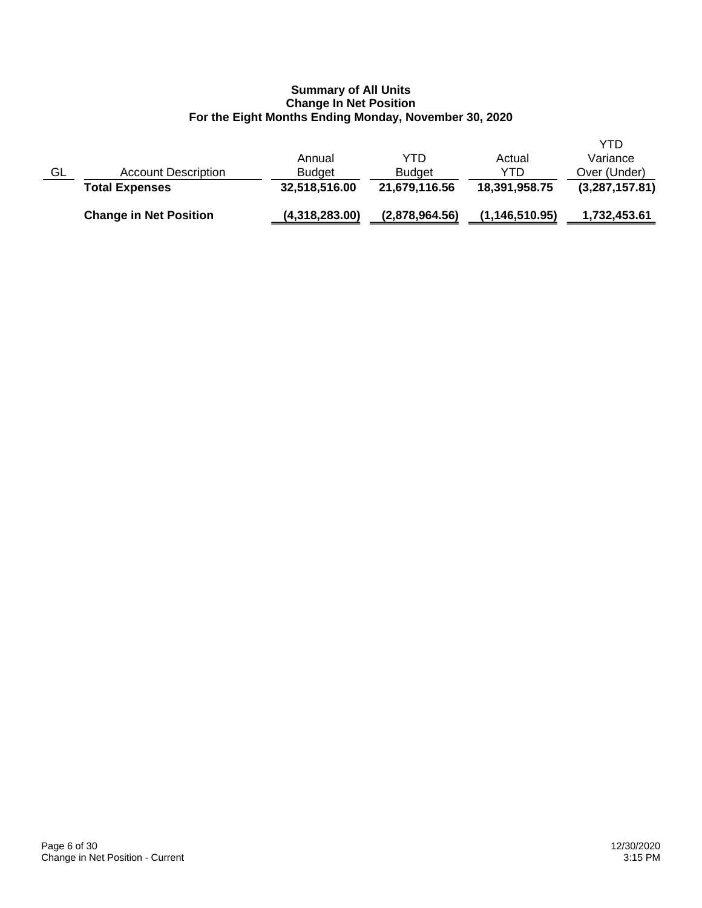|    | <b>Change in Net Position</b> | (4,318,283.00) | (2,878,964.56) | (1, 146, 510.95) | 1,732,453.61   |
|----|-------------------------------|----------------|----------------|------------------|----------------|
|    | <b>Total Expenses</b>         | 32,518,516.00  | 21,679,116.56  | 18,391,958.75    | (3,287,157.81) |
| GL | <b>Account Description</b>    | <b>Budget</b>  | <b>Budget</b>  | YTD              | Over (Under)   |
|    |                               | Annual         | YTD            | Actual           | Variance       |
|    |                               |                |                |                  | YTD            |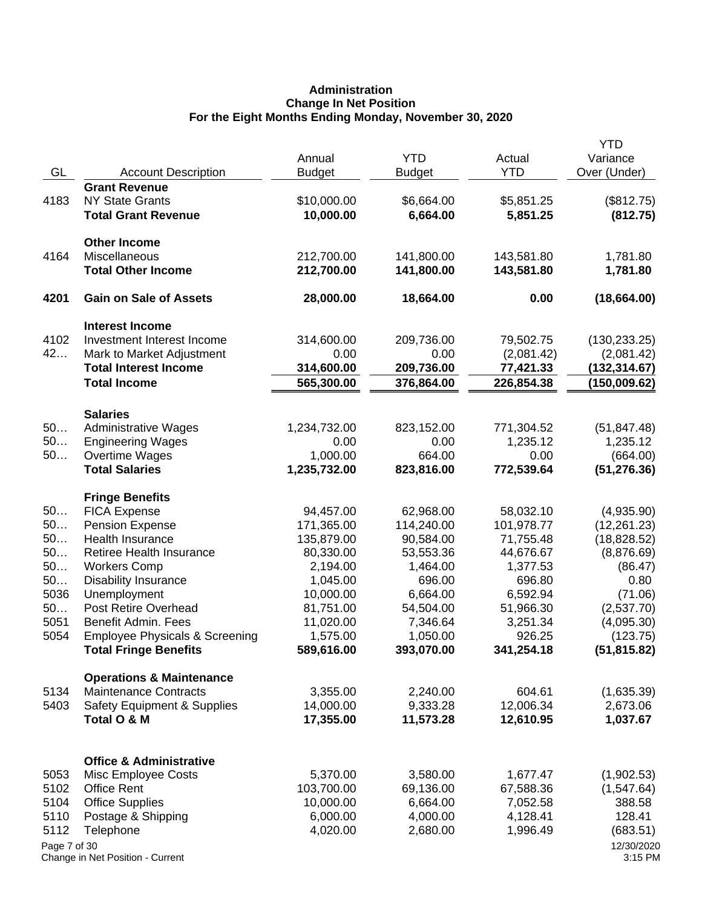# **Administration Change In Net Position For the Eight Months Ending Monday, November 30, 2020**

| GL           | <b>Account Description</b>                          | Annual<br><b>Budget</b>  | <b>YTD</b><br><b>Budget</b> | Actual<br><b>YTD</b>    | <b>YTD</b><br>Variance<br>Over (Under) |
|--------------|-----------------------------------------------------|--------------------------|-----------------------------|-------------------------|----------------------------------------|
|              | <b>Grant Revenue</b>                                |                          |                             |                         |                                        |
| 4183         | <b>NY State Grants</b>                              | \$10,000.00              | \$6,664.00                  | \$5,851.25              | (\$812.75)                             |
|              | <b>Total Grant Revenue</b>                          | 10,000.00                | 6,664.00                    | 5,851.25                | (812.75)                               |
|              | <b>Other Income</b>                                 |                          |                             |                         |                                        |
| 4164         | Miscellaneous                                       | 212,700.00               | 141,800.00                  | 143,581.80              | 1,781.80                               |
|              | <b>Total Other Income</b>                           | 212,700.00               | 141,800.00                  | 143,581.80              | 1,781.80                               |
| 4201         | <b>Gain on Sale of Assets</b>                       | 28,000.00                | 18,664.00                   | 0.00                    | (18,664.00)                            |
|              | <b>Interest Income</b>                              |                          |                             |                         |                                        |
| 4102         | Investment Interest Income                          | 314,600.00               | 209,736.00                  | 79,502.75               | (130, 233.25)                          |
| 42           | Mark to Market Adjustment                           | 0.00                     | 0.00                        | (2,081.42)              | (2,081.42)                             |
|              | <b>Total Interest Income</b><br><b>Total Income</b> | 314,600.00<br>565,300.00 | 209,736.00<br>376,864.00    | 77,421.33<br>226,854.38 | (132,314.67)<br>(150,009.62)           |
|              |                                                     |                          |                             |                         |                                        |
|              | <b>Salaries</b>                                     |                          |                             |                         |                                        |
| 50           | <b>Administrative Wages</b>                         | 1,234,732.00             | 823,152.00                  | 771,304.52              | (51, 847.48)                           |
| 50<br>50     | <b>Engineering Wages</b>                            | 0.00<br>1,000.00         | 0.00<br>664.00              | 1,235.12<br>0.00        | 1,235.12                               |
|              | Overtime Wages<br><b>Total Salaries</b>             | 1,235,732.00             | 823,816.00                  | 772,539.64              | (664.00)<br>(51, 276.36)               |
|              |                                                     |                          |                             |                         |                                        |
| 50           | <b>Fringe Benefits</b>                              |                          |                             |                         |                                        |
| 50           | <b>FICA Expense</b><br>Pension Expense              | 94,457.00<br>171,365.00  | 62,968.00<br>114,240.00     | 58,032.10<br>101,978.77 | (4,935.90)                             |
| 50           | Health Insurance                                    | 135,879.00               | 90,584.00                   | 71,755.48               | (12, 261.23)<br>(18, 828.52)           |
| 50           | Retiree Health Insurance                            | 80,330.00                | 53,553.36                   | 44,676.67               | (8,876.69)                             |
| 50           | <b>Workers Comp</b>                                 | 2,194.00                 | 1,464.00                    | 1,377.53                | (86.47)                                |
| 50           | <b>Disability Insurance</b>                         | 1,045.00                 | 696.00                      | 696.80                  | 0.80                                   |
| 5036         | Unemployment                                        | 10,000.00                | 6,664.00                    | 6,592.94                | (71.06)                                |
| 50           | Post Retire Overhead                                | 81,751.00                | 54,504.00                   | 51,966.30               | (2,537.70)                             |
| 5051         | <b>Benefit Admin. Fees</b>                          | 11,020.00                | 7,346.64                    | 3,251.34                | (4,095.30)                             |
| 5054         | <b>Employee Physicals &amp; Screening</b>           | 1,575.00                 | 1,050.00                    | 926.25                  | (123.75)                               |
|              | <b>Total Fringe Benefits</b>                        | 589,616.00               | 393,070.00                  | 341,254.18              | (51, 815.82)                           |
|              | <b>Operations &amp; Maintenance</b>                 |                          |                             |                         |                                        |
| 5134         | <b>Maintenance Contracts</b>                        | 3,355.00                 | 2,240.00                    | 604.61                  | (1,635.39)                             |
| 5403         | <b>Safety Equipment &amp; Supplies</b>              | 14,000.00                | 9,333.28                    | 12,006.34               | 2,673.06                               |
|              | Total O & M                                         | 17,355.00                | 11,573.28                   | 12,610.95               | 1,037.67                               |
|              |                                                     |                          |                             |                         |                                        |
|              | <b>Office &amp; Administrative</b>                  |                          |                             |                         |                                        |
| 5053         | Misc Employee Costs                                 | 5,370.00                 | 3,580.00                    | 1,677.47                | (1,902.53)                             |
| 5102<br>5104 | <b>Office Rent</b>                                  | 103,700.00<br>10,000.00  | 69,136.00<br>6,664.00       | 67,588.36               | (1,547.64)<br>388.58                   |
| 5110         | <b>Office Supplies</b>                              | 6,000.00                 | 4,000.00                    | 7,052.58<br>4,128.41    | 128.41                                 |
| 5112         | Postage & Shipping<br>Telephone                     | 4,020.00                 | 2,680.00                    | 1,996.49                | (683.51)                               |
| Page 7 of 30 |                                                     |                          |                             |                         | 12/30/2020                             |
|              | Change in Net Position - Current                    |                          |                             |                         | 3:15 PM                                |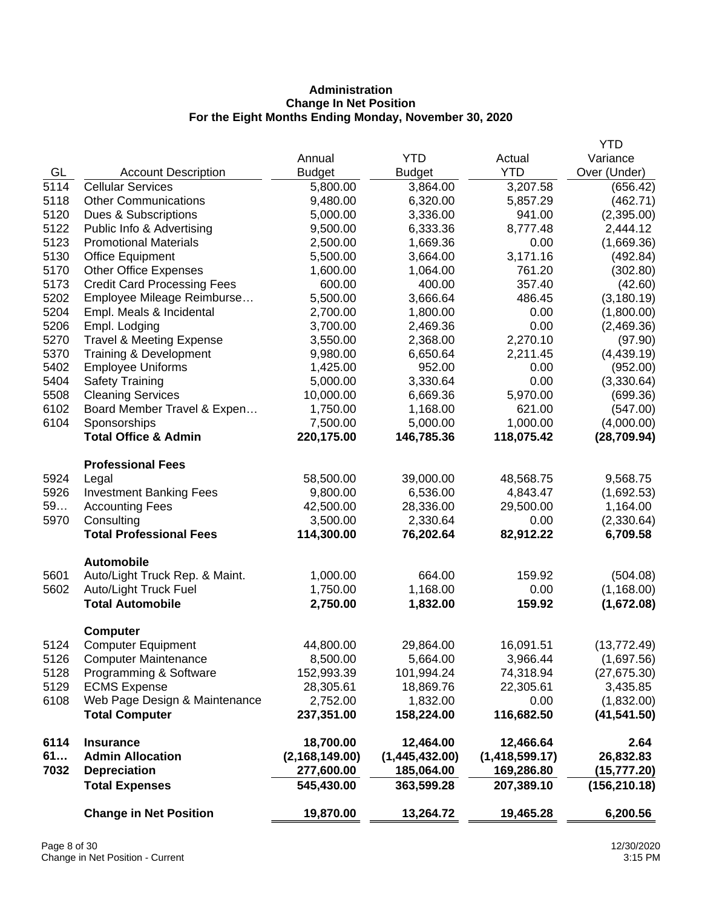# **Administration Change In Net Position For the Eight Months Ending Monday, November 30, 2020**

|      |                                     |                  |                |                  | <b>YTD</b>    |
|------|-------------------------------------|------------------|----------------|------------------|---------------|
|      |                                     | Annual           | <b>YTD</b>     | Actual           | Variance      |
| GL   | <b>Account Description</b>          | <b>Budget</b>    | <b>Budget</b>  | <b>YTD</b>       | Over (Under)  |
| 5114 | <b>Cellular Services</b>            | 5,800.00         | 3,864.00       | 3,207.58         | (656.42)      |
| 5118 | <b>Other Communications</b>         | 9,480.00         | 6,320.00       | 5,857.29         | (462.71)      |
| 5120 | Dues & Subscriptions                | 5,000.00         | 3,336.00       | 941.00           | (2,395.00)    |
| 5122 | Public Info & Advertising           | 9,500.00         | 6,333.36       | 8,777.48         | 2,444.12      |
| 5123 | <b>Promotional Materials</b>        | 2,500.00         | 1,669.36       | 0.00             | (1,669.36)    |
| 5130 | <b>Office Equipment</b>             | 5,500.00         | 3,664.00       | 3,171.16         | (492.84)      |
| 5170 | <b>Other Office Expenses</b>        | 1,600.00         | 1,064.00       | 761.20           | (302.80)      |
| 5173 | <b>Credit Card Processing Fees</b>  | 600.00           | 400.00         | 357.40           | (42.60)       |
| 5202 | Employee Mileage Reimburse          | 5,500.00         | 3,666.64       | 486.45           | (3, 180.19)   |
| 5204 | Empl. Meals & Incidental            | 2,700.00         | 1,800.00       | 0.00             | (1,800.00)    |
| 5206 | Empl. Lodging                       | 3,700.00         | 2,469.36       | 0.00             | (2,469.36)    |
| 5270 | <b>Travel &amp; Meeting Expense</b> | 3,550.00         | 2,368.00       | 2,270.10         | (97.90)       |
| 5370 | Training & Development              | 9,980.00         | 6,650.64       | 2,211.45         | (4,439.19)    |
| 5402 | <b>Employee Uniforms</b>            | 1,425.00         | 952.00         | 0.00             | (952.00)      |
| 5404 | <b>Safety Training</b>              | 5,000.00         | 3,330.64       | 0.00             | (3,330.64)    |
| 5508 | <b>Cleaning Services</b>            | 10,000.00        | 6,669.36       | 5,970.00         | (699.36)      |
| 6102 | Board Member Travel & Expen         | 1,750.00         | 1,168.00       | 621.00           | (547.00)      |
| 6104 | Sponsorships                        | 7,500.00         | 5,000.00       | 1,000.00         | (4,000.00)    |
|      | <b>Total Office &amp; Admin</b>     | 220,175.00       | 146,785.36     | 118,075.42       | (28, 709.94)  |
|      | <b>Professional Fees</b>            |                  |                |                  |               |
| 5924 | Legal                               | 58,500.00        | 39,000.00      | 48,568.75        | 9,568.75      |
| 5926 | <b>Investment Banking Fees</b>      | 9,800.00         | 6,536.00       | 4,843.47         | (1,692.53)    |
| 59   | <b>Accounting Fees</b>              | 42,500.00        | 28,336.00      | 29,500.00        | 1,164.00      |
| 5970 | Consulting                          | 3,500.00         | 2,330.64       | 0.00             | (2,330.64)    |
|      | <b>Total Professional Fees</b>      | 114,300.00       | 76,202.64      | 82,912.22        | 6,709.58      |
|      | <b>Automobile</b>                   |                  |                |                  |               |
| 5601 | Auto/Light Truck Rep. & Maint.      | 1,000.00         | 664.00         | 159.92           | (504.08)      |
| 5602 | Auto/Light Truck Fuel               | 1,750.00         | 1,168.00       | 0.00             | (1, 168.00)   |
|      | <b>Total Automobile</b>             | 2,750.00         | 1,832.00       | 159.92           | (1,672.08)    |
|      | <b>Computer</b>                     |                  |                |                  |               |
| 5124 | <b>Computer Equipment</b>           | 44,800.00        | 29,864.00      | 16,091.51        | (13, 772.49)  |
| 5126 | <b>Computer Maintenance</b>         | 8,500.00         | 5,664.00       | 3,966.44         | (1,697.56)    |
| 5128 | Programming & Software              | 152,993.39       | 101,994.24     | 74,318.94        | (27, 675.30)  |
| 5129 | <b>ECMS Expense</b>                 | 28,305.61        | 18,869.76      | 22,305.61        | 3,435.85      |
| 6108 | Web Page Design & Maintenance       | 2,752.00         | 1,832.00       | 0.00             | (1,832.00)    |
|      | <b>Total Computer</b>               | 237,351.00       | 158,224.00     | 116,682.50       | (41, 541.50)  |
|      |                                     |                  |                |                  |               |
| 6114 | <b>Insurance</b>                    | 18,700.00        | 12,464.00      | 12,466.64        | 2.64          |
| 61   | <b>Admin Allocation</b>             | (2, 168, 149.00) | (1,445,432.00) | (1, 418, 599.17) | 26,832.83     |
| 7032 | <b>Depreciation</b>                 | 277,600.00       | 185,064.00     | 169,286.80       | (15, 777.20)  |
|      | <b>Total Expenses</b>               | 545,430.00       | 363,599.28     | 207,389.10       | (156, 210.18) |
|      | <b>Change in Net Position</b>       | 19,870.00        | 13,264.72      | 19,465.28        | 6,200.56      |
|      |                                     |                  |                |                  |               |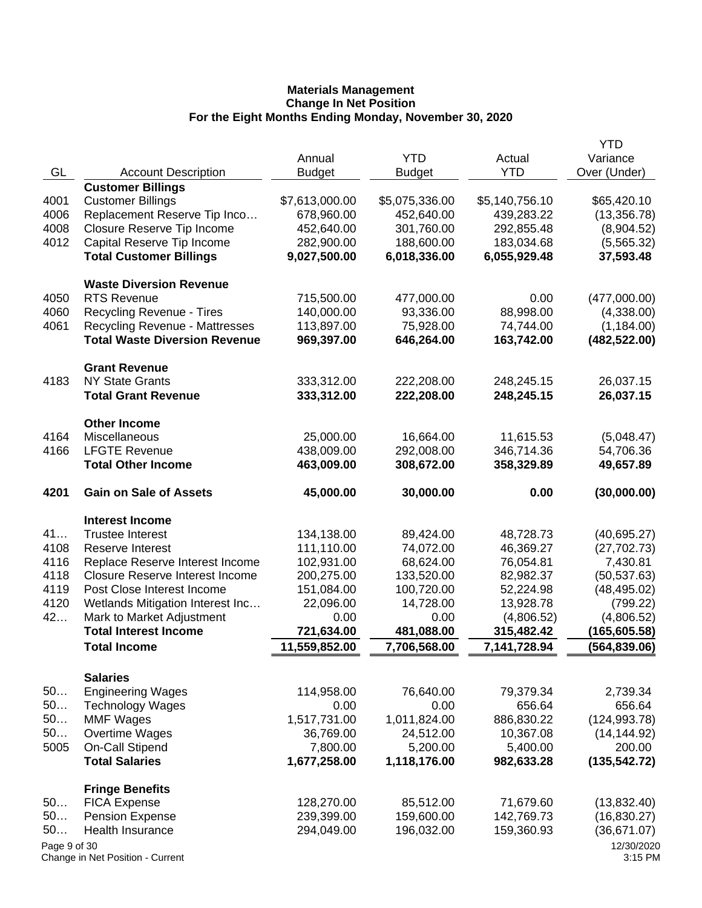|                                                                                         | <b>YTD</b>            |
|-----------------------------------------------------------------------------------------|-----------------------|
| <b>YTD</b><br>Annual<br>Actual                                                          | Variance              |
| GL<br><b>YTD</b><br><b>Account Description</b><br><b>Budget</b><br><b>Budget</b>        | Over (Under)          |
| <b>Customer Billings</b>                                                                |                       |
| 4001<br><b>Customer Billings</b><br>\$7,613,000.00<br>\$5,075,336.00<br>\$5,140,756.10  | \$65,420.10           |
| 4006<br>Replacement Reserve Tip Inco<br>678,960.00<br>439,283.22<br>452,640.00          | (13, 356.78)          |
| 4008<br>Closure Reserve Tip Income<br>452,640.00<br>301,760.00<br>292,855.48            | (8,904.52)            |
| 4012<br>Capital Reserve Tip Income<br>282,900.00<br>188,600.00<br>183,034.68            | (5,565.32)            |
| <b>Total Customer Billings</b><br>9,027,500.00<br>6,018,336.00<br>6,055,929.48          | 37,593.48             |
| <b>Waste Diversion Revenue</b>                                                          |                       |
| <b>RTS Revenue</b><br>4050<br>715,500.00<br>477,000.00<br>0.00                          | (477,000.00)          |
| 4060<br>140,000.00<br>93,336.00<br>88,998.00<br>Recycling Revenue - Tires               | (4,338.00)            |
| 4061<br><b>Recycling Revenue - Mattresses</b><br>113,897.00<br>75,928.00<br>74,744.00   | (1, 184.00)           |
| <b>Total Waste Diversion Revenue</b><br>969,397.00<br>646,264.00<br>163,742.00          | (482, 522.00)         |
| <b>Grant Revenue</b>                                                                    |                       |
| 4183<br><b>NY State Grants</b><br>333,312.00<br>222,208.00<br>248,245.15                | 26,037.15             |
| 333,312.00<br>222,208.00<br><b>Total Grant Revenue</b><br>248,245.15                    | 26,037.15             |
| <b>Other Income</b>                                                                     |                       |
| 4164<br>Miscellaneous<br>25,000.00<br>16,664.00<br>11,615.53                            | (5,048.47)            |
| 4166<br><b>LFGTE Revenue</b><br>438,009.00<br>346,714.36<br>292,008.00                  | 54,706.36             |
| 463,009.00<br><b>Total Other Income</b><br>308,672.00<br>358,329.89                     | 49,657.89             |
| 4201<br><b>Gain on Sale of Assets</b><br>45,000.00<br>30,000.00<br>0.00                 | (30,000.00)           |
| <b>Interest Income</b>                                                                  |                       |
| 41<br><b>Trustee Interest</b><br>134,138.00<br>89,424.00<br>48,728.73                   | (40,695.27)           |
| 4108<br>111,110.00<br>46,369.27<br>Reserve Interest<br>74,072.00                        | (27, 702.73)          |
| 4116<br>68,624.00<br>76,054.81<br>Replace Reserve Interest Income<br>102,931.00         | 7,430.81              |
| 4118<br><b>Closure Reserve Interest Income</b><br>200,275.00<br>133,520.00<br>82,982.37 | (50, 537.63)          |
| 4119<br>100,720.00<br>Post Close Interest Income<br>151,084.00<br>52,224.98             | (48, 495.02)          |
| 4120<br>Wetlands Mitigation Interest Inc<br>14,728.00<br>13,928.78<br>22,096.00         | (799.22)              |
| 42<br>Mark to Market Adjustment<br>0.00<br>0.00<br>(4,806.52)                           | (4,806.52)            |
| <b>Total Interest Income</b><br>481,088.00<br>721,634.00<br>315,482.42                  | (165,605.58)          |
| 11,559,852.00<br>7,706,568.00<br>7,141,728.94<br><b>Total Income</b>                    | (564, 839.06)         |
| <b>Salaries</b>                                                                         |                       |
| 50<br><b>Engineering Wages</b><br>114,958.00<br>76,640.00<br>79,379.34                  | 2,739.34              |
| 50<br>656.64<br><b>Technology Wages</b><br>0.00<br>0.00                                 | 656.64                |
| 50<br><b>MMF Wages</b><br>1,517,731.00<br>1,011,824.00<br>886,830.22                    | (124, 993.78)         |
| 50<br><b>Overtime Wages</b><br>36,769.00<br>24,512.00<br>10,367.08                      | (14, 144.92)          |
| 5005<br><b>On-Call Stipend</b><br>7,800.00<br>5,200.00<br>5,400.00                      | 200.00                |
| <b>Total Salaries</b><br>1,677,258.00<br>1,118,176.00<br>982,633.28                     | (135, 542.72)         |
| <b>Fringe Benefits</b>                                                                  |                       |
| 71,679.60<br>50<br><b>FICA Expense</b><br>128,270.00<br>85,512.00                       | (13,832.40)           |
| 50<br><b>Pension Expense</b><br>239,399.00<br>159,600.00<br>142,769.73                  | (16, 830.27)          |
| 50<br>Health Insurance<br>294,049.00<br>196,032.00<br>159,360.93                        | (36,671.07)           |
| Page 9 of 30<br>Change in Net Position - Current                                        | 12/30/2020<br>3:15 PM |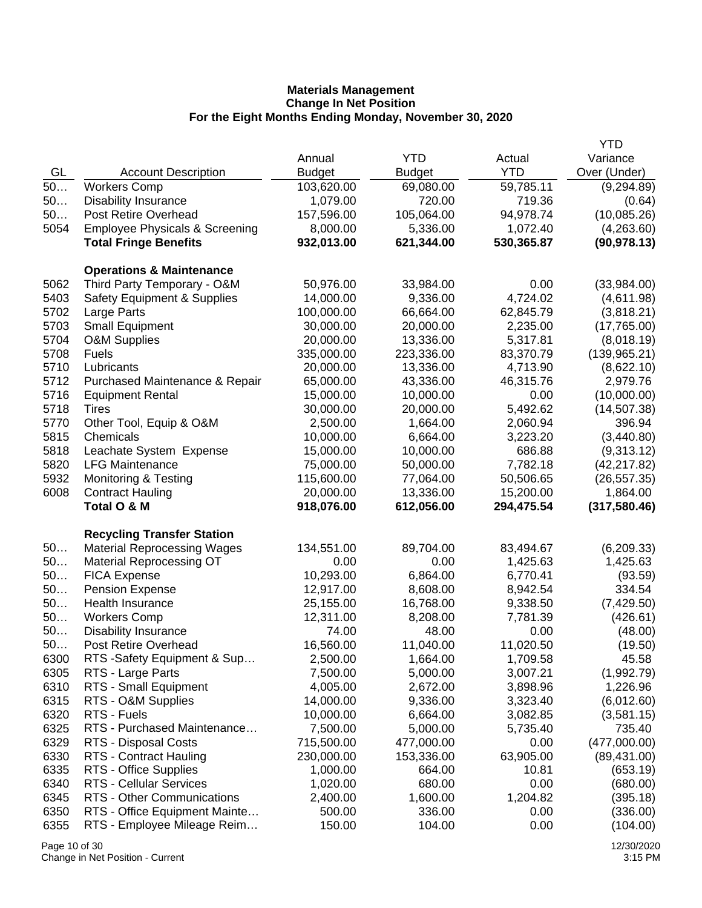|      |                                           |               |               |            | <b>YTD</b>    |
|------|-------------------------------------------|---------------|---------------|------------|---------------|
|      |                                           | Annual        | <b>YTD</b>    | Actual     | Variance      |
| GL   | <b>Account Description</b>                | <b>Budget</b> | <b>Budget</b> | <b>YTD</b> | Over (Under)  |
| 50   | <b>Workers Comp</b>                       | 103,620.00    | 69,080.00     | 59,785.11  | (9,294.89)    |
| 50   | <b>Disability Insurance</b>               | 1,079.00      | 720.00        | 719.36     | (0.64)        |
| 50   | Post Retire Overhead                      | 157,596.00    | 105,064.00    | 94,978.74  | (10,085.26)   |
| 5054 | <b>Employee Physicals &amp; Screening</b> | 8,000.00      | 5,336.00      | 1,072.40   | (4,263.60)    |
|      | <b>Total Fringe Benefits</b>              | 932,013.00    | 621,344.00    | 530,365.87 | (90, 978.13)  |
|      |                                           |               |               |            |               |
|      | <b>Operations &amp; Maintenance</b>       |               |               |            |               |
| 5062 | Third Party Temporary - O&M               | 50,976.00     | 33,984.00     | 0.00       | (33,984.00)   |
| 5403 | <b>Safety Equipment &amp; Supplies</b>    | 14,000.00     | 9,336.00      | 4,724.02   | (4,611.98)    |
| 5702 | Large Parts                               | 100,000.00    | 66,664.00     | 62,845.79  | (3,818.21)    |
| 5703 | <b>Small Equipment</b>                    | 30,000.00     | 20,000.00     | 2,235.00   | (17,765.00)   |
| 5704 | O&M Supplies                              | 20,000.00     | 13,336.00     | 5,317.81   | (8,018.19)    |
| 5708 | Fuels                                     | 335,000.00    | 223,336.00    | 83,370.79  | (139, 965.21) |
| 5710 | Lubricants                                | 20,000.00     | 13,336.00     | 4,713.90   | (8,622.10)    |
| 5712 | Purchased Maintenance & Repair            | 65,000.00     | 43,336.00     | 46,315.76  | 2,979.76      |
| 5716 | <b>Equipment Rental</b>                   | 15,000.00     | 10,000.00     | 0.00       | (10,000.00)   |
| 5718 |                                           | 30,000.00     |               | 5,492.62   |               |
|      | <b>Tires</b>                              |               | 20,000.00     |            | (14, 507.38)  |
| 5770 | Other Tool, Equip & O&M                   | 2,500.00      | 1,664.00      | 2,060.94   | 396.94        |
| 5815 | Chemicals                                 | 10,000.00     | 6,664.00      | 3,223.20   | (3,440.80)    |
| 5818 | Leachate System Expense                   | 15,000.00     | 10,000.00     | 686.88     | (9,313.12)    |
| 5820 | <b>LFG Maintenance</b>                    | 75,000.00     | 50,000.00     | 7,782.18   | (42, 217.82)  |
| 5932 | <b>Monitoring &amp; Testing</b>           | 115,600.00    | 77,064.00     | 50,506.65  | (26, 557.35)  |
| 6008 | <b>Contract Hauling</b>                   | 20,000.00     | 13,336.00     | 15,200.00  | 1,864.00      |
|      | Total O & M                               | 918,076.00    | 612,056.00    | 294,475.54 | (317, 580.46) |
|      |                                           |               |               |            |               |
|      | <b>Recycling Transfer Station</b>         | 134,551.00    |               |            |               |
| 50   | <b>Material Reprocessing Wages</b>        |               | 89,704.00     | 83,494.67  | (6,209.33)    |
| 50   | <b>Material Reprocessing OT</b>           | 0.00          | 0.00          | 1,425.63   | 1,425.63      |
| 50   | <b>FICA Expense</b>                       | 10,293.00     | 6,864.00      | 6,770.41   | (93.59)       |
| 50   | <b>Pension Expense</b>                    | 12,917.00     | 8,608.00      | 8,942.54   | 334.54        |
| 50   | <b>Health Insurance</b>                   | 25,155.00     | 16,768.00     | 9,338.50   | (7,429.50)    |
| 50   | <b>Workers Comp</b>                       | 12,311.00     | 8,208.00      | 7,781.39   | (426.61)      |
| 50   | <b>Disability Insurance</b>               | 74.00         | 48.00         | 0.00       | (48.00)       |
| 50   | Post Retire Overhead                      | 16,560.00     | 11,040.00     | 11,020.50  | (19.50)       |
| 6300 | RTS -Safety Equipment & Sup               | 2,500.00      | 1,664.00      | 1,709.58   | 45.58         |
| 6305 | RTS - Large Parts                         | 7,500.00      | 5,000.00      | 3,007.21   | (1,992.79)    |
| 6310 | RTS - Small Equipment                     | 4,005.00      | 2,672.00      | 3,898.96   | 1,226.96      |
| 6315 | RTS - O&M Supplies                        | 14,000.00     | 9,336.00      | 3,323.40   | (6,012.60)    |
| 6320 | RTS - Fuels                               | 10,000.00     | 6,664.00      | 3,082.85   | (3,581.15)    |
| 6325 | RTS - Purchased Maintenance               | 7,500.00      | 5,000.00      | 5,735.40   | 735.40        |
| 6329 | RTS - Disposal Costs                      | 715,500.00    | 477,000.00    | 0.00       | (477,000.00)  |
| 6330 | <b>RTS - Contract Hauling</b>             | 230,000.00    | 153,336.00    | 63,905.00  | (89, 431.00)  |
| 6335 | RTS - Office Supplies                     | 1,000.00      | 664.00        | 10.81      | (653.19)      |
| 6340 | RTS - Cellular Services                   | 1,020.00      | 680.00        | 0.00       | (680.00)      |
| 6345 | RTS - Other Communications                | 2,400.00      | 1,600.00      | 1,204.82   | (395.18)      |
| 6350 | RTS - Office Equipment Mainte             | 500.00        | 336.00        | 0.00       | (336.00)      |
| 6355 | RTS - Employee Mileage Reim               | 150.00        | 104.00        | 0.00       | (104.00)      |
|      |                                           |               |               |            |               |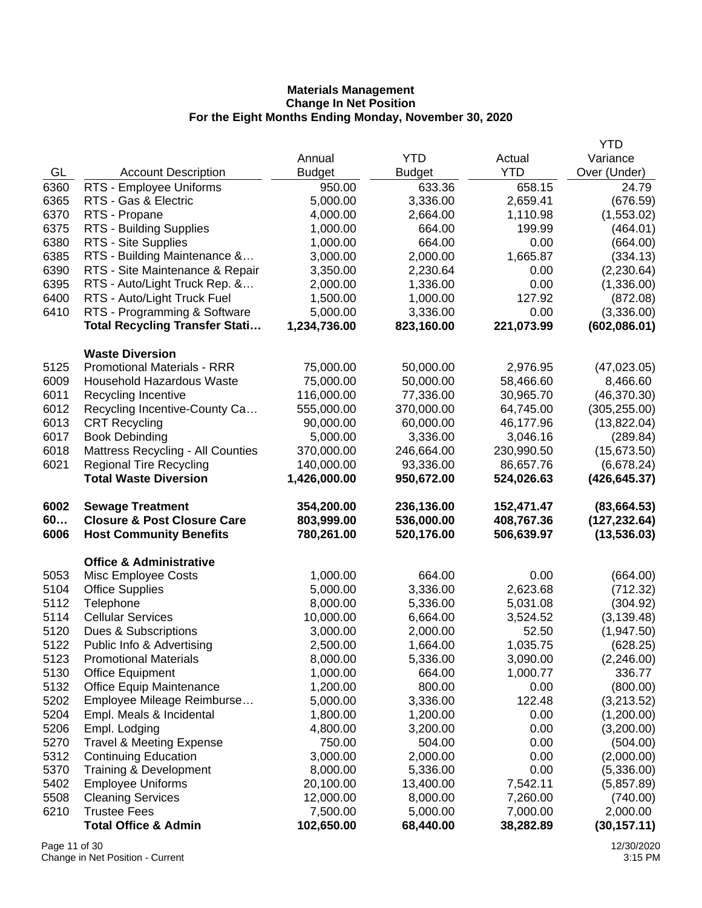|      |                                                                |                        |                       |                       | <b>YTD</b>                  |
|------|----------------------------------------------------------------|------------------------|-----------------------|-----------------------|-----------------------------|
|      |                                                                | Annual                 | <b>YTD</b>            | Actual                | Variance                    |
| GL   | <b>Account Description</b>                                     | <b>Budget</b>          | <b>Budget</b>         | <b>YTD</b>            | Over (Under)                |
| 6360 | RTS - Employee Uniforms                                        | 950.00                 | 633.36                | 658.15                | 24.79                       |
| 6365 | RTS - Gas & Electric                                           | 5,000.00               | 3,336.00              | 2,659.41              | (676.59)                    |
| 6370 | RTS - Propane                                                  | 4,000.00               | 2,664.00              | 1,110.98              | (1,553.02)                  |
| 6375 | RTS - Building Supplies                                        | 1,000.00               | 664.00                | 199.99                | (464.01)                    |
| 6380 | RTS - Site Supplies                                            | 1,000.00               | 664.00                | 0.00                  | (664.00)                    |
| 6385 | RTS - Building Maintenance &                                   | 3,000.00               | 2,000.00              | 1,665.87              | (334.13)                    |
| 6390 | RTS - Site Maintenance & Repair                                | 3,350.00               | 2,230.64              | 0.00                  | (2,230.64)                  |
| 6395 | RTS - Auto/Light Truck Rep. &                                  | 2,000.00               | 1,336.00              | 0.00                  | (1,336.00)                  |
| 6400 | RTS - Auto/Light Truck Fuel                                    | 1,500.00               | 1,000.00              | 127.92                | (872.08)                    |
| 6410 | RTS - Programming & Software                                   | 5,000.00               | 3,336.00              | 0.00                  | (3,336.00)                  |
|      | <b>Total Recycling Transfer Stati</b>                          | 1,234,736.00           | 823,160.00            | 221,073.99            | (602,086.01)                |
|      |                                                                |                        |                       |                       |                             |
| 5125 | <b>Waste Diversion</b><br><b>Promotional Materials - RRR</b>   | 75,000.00              | 50,000.00             | 2,976.95              | (47,023.05)                 |
| 6009 | <b>Household Hazardous Waste</b>                               | 75,000.00              | 50,000.00             | 58,466.60             | 8,466.60                    |
| 6011 | Recycling Incentive                                            | 116,000.00             | 77,336.00             | 30,965.70             | (46, 370.30)                |
| 6012 | Recycling Incentive-County Ca                                  | 555,000.00             | 370,000.00            | 64,745.00             |                             |
| 6013 | <b>CRT Recycling</b>                                           | 90,000.00              | 60,000.00             | 46,177.96             | (305, 255.00)               |
| 6017 | <b>Book Debinding</b>                                          | 5,000.00               | 3,336.00              | 3,046.16              | (13,822.04)                 |
| 6018 | <b>Mattress Recycling - All Counties</b>                       | 370,000.00             | 246,664.00            | 230,990.50            | (289.84)                    |
| 6021 |                                                                | 140,000.00             | 93,336.00             | 86,657.76             | (15,673.50)                 |
|      | <b>Regional Tire Recycling</b><br><b>Total Waste Diversion</b> | 1,426,000.00           | 950,672.00            | 524,026.63            | (6,678.24)<br>(426, 645.37) |
|      |                                                                |                        |                       |                       |                             |
|      |                                                                |                        |                       |                       |                             |
| 6002 | <b>Sewage Treatment</b>                                        | 354,200.00             | 236,136.00            | 152,471.47            | (83, 664.53)                |
| 60   | <b>Closure &amp; Post Closure Care</b>                         | 803,999.00             | 536,000.00            | 408,767.36            | (127, 232.64)               |
| 6006 | <b>Host Community Benefits</b>                                 | 780,261.00             | 520,176.00            | 506,639.97            | (13, 536.03)                |
|      |                                                                |                        |                       |                       |                             |
|      | <b>Office &amp; Administrative</b>                             |                        |                       |                       |                             |
| 5053 | Misc Employee Costs                                            | 1,000.00               | 664.00                | 0.00                  | (664.00)                    |
| 5104 | <b>Office Supplies</b>                                         | 5,000.00               | 3,336.00              | 2,623.68              | (712.32)                    |
| 5112 | Telephone                                                      | 8,000.00               | 5,336.00              | 5,031.08              | (304.92)                    |
| 5114 | <b>Cellular Services</b>                                       | 10,000.00              | 6,664.00              | 3,524.52              | (3, 139.48)                 |
| 5120 | Dues & Subscriptions                                           | 3,000.00               | 2,000.00              | 52.50                 | (1,947.50)                  |
| 5122 | Public Info & Advertising                                      | 2,500.00               | 1,664.00              | 1,035.75              | (628.25)                    |
| 5123 | <b>Promotional Materials</b>                                   | 8,000.00               | 5,336.00              | 3,090.00              | (2,246.00)                  |
| 5130 | <b>Office Equipment</b>                                        | 1,000.00               | 664.00                | 1,000.77              | 336.77                      |
| 5132 | <b>Office Equip Maintenance</b>                                | 1,200.00               | 800.00                | 0.00                  | (800.00)                    |
| 5202 | Employee Mileage Reimburse                                     | 5,000.00               | 3,336.00              | 122.48                | (3,213.52)                  |
| 5204 | Empl. Meals & Incidental                                       | 1,800.00               | 1,200.00              | 0.00                  | (1,200.00)                  |
| 5206 | Empl. Lodging                                                  | 4,800.00               | 3,200.00              | 0.00                  | (3,200.00)                  |
| 5270 | <b>Travel &amp; Meeting Expense</b>                            | 750.00                 | 504.00                | 0.00                  | (504.00)                    |
| 5312 | <b>Continuing Education</b>                                    | 3,000.00               | 2,000.00              | 0.00                  | (2,000.00)                  |
| 5370 | Training & Development                                         | 8,000.00               | 5,336.00              | 0.00                  | (5,336.00)                  |
| 5402 | <b>Employee Uniforms</b>                                       | 20,100.00              | 13,400.00             | 7,542.11              | (5,857.89)                  |
| 5508 | <b>Cleaning Services</b>                                       | 12,000.00              | 8,000.00              | 7,260.00              | (740.00)                    |
| 6210 | <b>Trustee Fees</b><br><b>Total Office &amp; Admin</b>         | 7,500.00<br>102,650.00 | 5,000.00<br>68,440.00 | 7,000.00<br>38,282.89 | 2,000.00<br>(30, 157.11)    |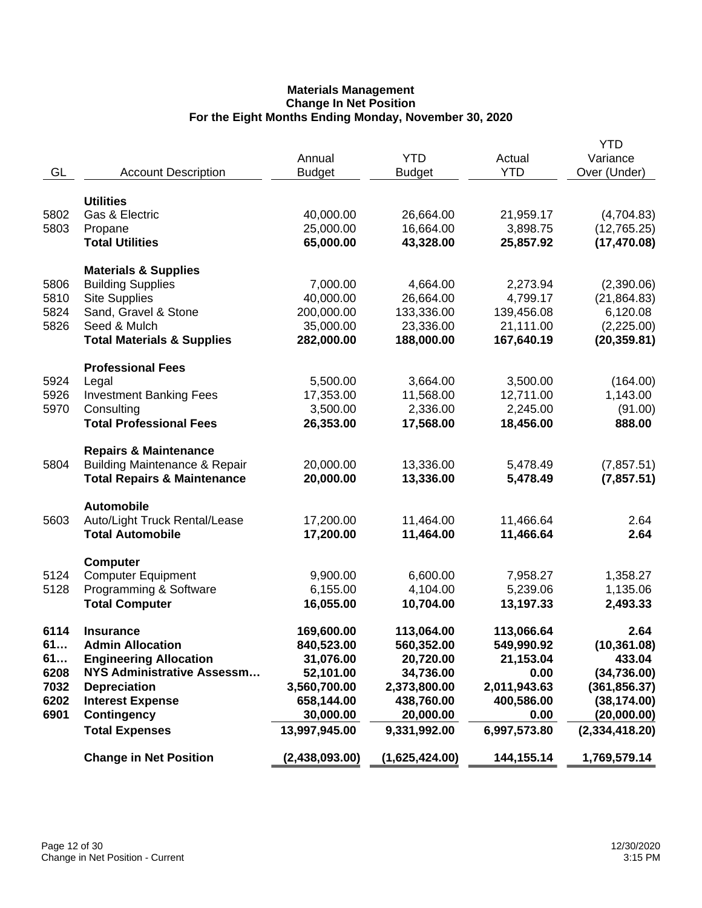| GL   | <b>Account Description</b>               | Annual<br><b>Budget</b> | <b>YTD</b><br><b>Budget</b> | Actual<br><b>YTD</b> | <b>YTD</b><br>Variance<br>Over (Under) |
|------|------------------------------------------|-------------------------|-----------------------------|----------------------|----------------------------------------|
|      | <b>Utilities</b>                         |                         |                             |                      |                                        |
| 5802 | Gas & Electric                           | 40,000.00               | 26,664.00                   | 21,959.17            | (4,704.83)                             |
| 5803 | Propane                                  | 25,000.00               | 16,664.00                   | 3,898.75             | (12,765.25)                            |
|      | <b>Total Utilities</b>                   | 65,000.00               | 43,328.00                   | 25,857.92            | (17, 470.08)                           |
|      | <b>Materials &amp; Supplies</b>          |                         |                             |                      |                                        |
| 5806 | <b>Building Supplies</b>                 | 7,000.00                | 4,664.00                    | 2,273.94             | (2,390.06)                             |
| 5810 | <b>Site Supplies</b>                     | 40,000.00               | 26,664.00                   | 4,799.17             | (21, 864.83)                           |
| 5824 | Sand, Gravel & Stone                     | 200,000.00              | 133,336.00                  | 139,456.08           | 6,120.08                               |
| 5826 | Seed & Mulch                             | 35,000.00               | 23,336.00                   | 21,111.00            | (2,225.00)                             |
|      | <b>Total Materials &amp; Supplies</b>    | 282,000.00              | 188,000.00                  | 167,640.19           | (20, 359.81)                           |
|      | <b>Professional Fees</b>                 |                         |                             |                      |                                        |
| 5924 | Legal                                    | 5,500.00                | 3,664.00                    | 3,500.00             | (164.00)                               |
| 5926 | <b>Investment Banking Fees</b>           | 17,353.00               | 11,568.00                   | 12,711.00            | 1,143.00                               |
| 5970 | Consulting                               | 3,500.00                | 2,336.00                    | 2,245.00             | (91.00)                                |
|      | <b>Total Professional Fees</b>           | 26,353.00               | 17,568.00                   | 18,456.00            | 888.00                                 |
|      | <b>Repairs &amp; Maintenance</b>         |                         |                             |                      |                                        |
| 5804 | <b>Building Maintenance &amp; Repair</b> | 20,000.00               | 13,336.00                   | 5,478.49             | (7,857.51)                             |
|      | <b>Total Repairs &amp; Maintenance</b>   | 20,000.00               | 13,336.00                   | 5,478.49             | (7,857.51)                             |
|      | <b>Automobile</b>                        |                         |                             |                      |                                        |
| 5603 | Auto/Light Truck Rental/Lease            | 17,200.00               | 11,464.00                   | 11,466.64            | 2.64                                   |
|      | <b>Total Automobile</b>                  | 17,200.00               | 11,464.00                   | 11,466.64            | 2.64                                   |
|      | <b>Computer</b>                          |                         |                             |                      |                                        |
| 5124 | <b>Computer Equipment</b>                | 9,900.00                | 6,600.00                    | 7,958.27             | 1,358.27                               |
| 5128 | Programming & Software                   | 6,155.00                | 4,104.00                    | 5,239.06             | 1,135.06                               |
|      | <b>Total Computer</b>                    | 16,055.00               | 10,704.00                   | 13,197.33            | 2,493.33                               |
| 6114 | <b>Insurance</b>                         | 169,600.00              | 113,064.00                  | 113,066.64           | 2.64                                   |
| 61   | <b>Admin Allocation</b>                  | 840,523.00              | 560,352.00                  | 549,990.92           | (10, 361.08)                           |
| 61   | <b>Engineering Allocation</b>            | 31,076.00               | 20,720.00                   | 21,153.04            | 433.04                                 |
| 6208 | <b>NYS Administrative Assessm</b>        | 52,101.00               | 34,736.00                   | 0.00                 | (34, 736.00)                           |
| 7032 | <b>Depreciation</b>                      | 3,560,700.00            | 2,373,800.00                | 2,011,943.63         | (361, 856.37)                          |
| 6202 | <b>Interest Expense</b>                  | 658,144.00              | 438,760.00                  | 400,586.00           | (38, 174.00)                           |
| 6901 | <b>Contingency</b>                       | 30,000.00               | 20,000.00                   | 0.00                 | (20,000.00)                            |
|      | <b>Total Expenses</b>                    | 13,997,945.00           | 9,331,992.00                | 6,997,573.80         | (2,334,418.20)                         |
|      | <b>Change in Net Position</b>            | (2,438,093.00)          | (1,625,424.00)              | 144,155.14           | 1,769,579.14                           |
|      |                                          |                         |                             |                      |                                        |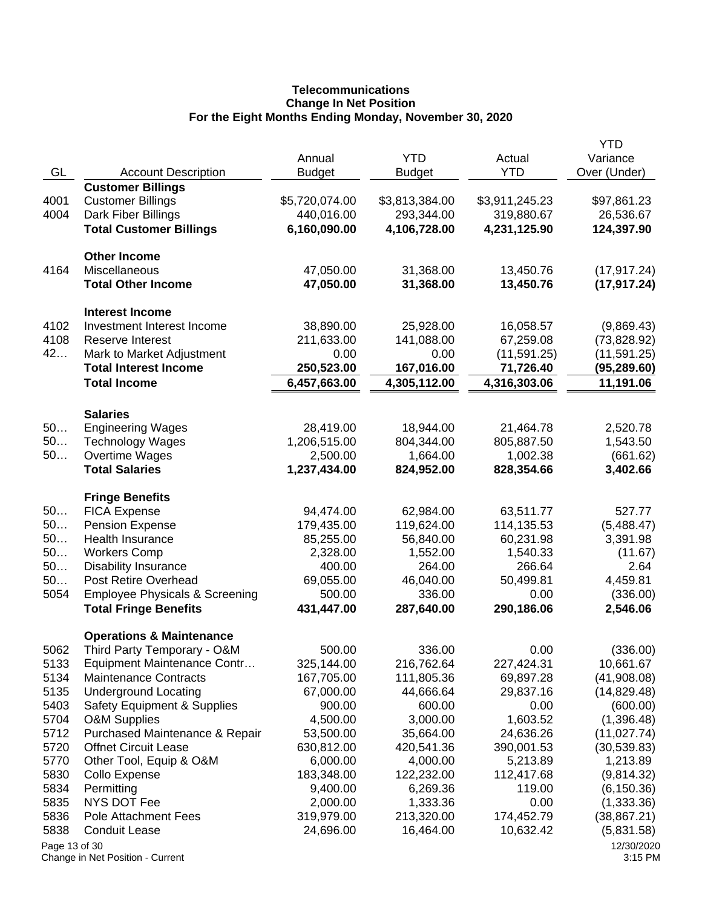# **Telecommunications Change In Net Position For the Eight Months Ending Monday, November 30, 2020**

|               |                                                        |                         |                |                      | <b>YTD</b>               |
|---------------|--------------------------------------------------------|-------------------------|----------------|----------------------|--------------------------|
| GL            |                                                        | Annual<br><b>Budget</b> | <b>YTD</b>     | Actual<br><b>YTD</b> | Variance                 |
|               | <b>Account Description</b><br><b>Customer Billings</b> |                         | <b>Budget</b>  |                      | Over (Under)             |
| 4001          | <b>Customer Billings</b>                               | \$5,720,074.00          | \$3,813,384.00 | \$3,911,245.23       |                          |
| 4004          | Dark Fiber Billings                                    | 440,016.00              | 293,344.00     | 319,880.67           | \$97,861.23<br>26,536.67 |
|               |                                                        |                         |                | 4,231,125.90         |                          |
|               | <b>Total Customer Billings</b>                         | 6,160,090.00            | 4,106,728.00   |                      | 124,397.90               |
|               | <b>Other Income</b>                                    |                         |                |                      |                          |
| 4164          | Miscellaneous                                          | 47,050.00               | 31,368.00      | 13,450.76            | (17, 917.24)             |
|               | <b>Total Other Income</b>                              | 47,050.00               | 31,368.00      | 13,450.76            | (17, 917.24)             |
|               | <b>Interest Income</b>                                 |                         |                |                      |                          |
| 4102          | Investment Interest Income                             | 38,890.00               | 25,928.00      | 16,058.57            | (9,869.43)               |
| 4108          | <b>Reserve Interest</b>                                | 211,633.00              | 141,088.00     | 67,259.08            | (73,828.92)              |
| 42            | Mark to Market Adjustment                              | 0.00                    | 0.00           | (11, 591.25)         | (11, 591.25)             |
|               | <b>Total Interest Income</b>                           | 250,523.00              | 167,016.00     | 71,726.40            | (95,289.60)              |
|               | <b>Total Income</b>                                    | 6,457,663.00            | 4,305,112.00   | 4,316,303.06         | 11,191.06                |
|               |                                                        |                         |                |                      |                          |
| 50            | <b>Salaries</b>                                        |                         |                |                      |                          |
| 50            | <b>Engineering Wages</b>                               | 28,419.00               | 18,944.00      | 21,464.78            | 2,520.78                 |
|               | <b>Technology Wages</b>                                | 1,206,515.00            | 804,344.00     | 805,887.50           | 1,543.50                 |
| 50            | Overtime Wages                                         | 2,500.00                | 1,664.00       | 1,002.38             | (661.62)                 |
|               | <b>Total Salaries</b>                                  | 1,237,434.00            | 824,952.00     | 828,354.66           | 3,402.66                 |
|               | <b>Fringe Benefits</b>                                 |                         |                |                      |                          |
| 50            | <b>FICA Expense</b>                                    | 94,474.00               | 62,984.00      | 63,511.77            | 527.77                   |
| 50            | <b>Pension Expense</b>                                 | 179,435.00              | 119,624.00     | 114,135.53           | (5,488.47)               |
| 50            | Health Insurance                                       | 85,255.00               | 56,840.00      | 60,231.98            | 3,391.98                 |
| 50            | <b>Workers Comp</b>                                    | 2,328.00                | 1,552.00       | 1,540.33             | (11.67)                  |
| 50            | <b>Disability Insurance</b>                            | 400.00                  | 264.00         | 266.64               | 2.64                     |
| 50            | <b>Post Retire Overhead</b>                            | 69,055.00               | 46,040.00      | 50,499.81            | 4,459.81                 |
| 5054          | <b>Employee Physicals &amp; Screening</b>              | 500.00                  | 336.00         | 0.00                 | (336.00)                 |
|               | <b>Total Fringe Benefits</b>                           | 431,447.00              | 287,640.00     | 290,186.06           | 2,546.06                 |
|               | <b>Operations &amp; Maintenance</b>                    |                         |                |                      |                          |
| 5062          | Third Party Temporary - O&M                            | 500.00                  | 336.00         | 0.00                 | (336.00)                 |
| 5133          | Equipment Maintenance Contr                            | 325,144.00              | 216,762.64     | 227,424.31           | 10,661.67                |
| 5134          | <b>Maintenance Contracts</b>                           | 167,705.00              | 111,805.36     | 69,897.28            | (41,908.08)              |
| 5135          | <b>Underground Locating</b>                            | 67,000.00               | 44,666.64      | 29,837.16            | (14,829.48)              |
| 5403          | Safety Equipment & Supplies                            | 900.00                  | 600.00         | 0.00                 | (600.00)                 |
| 5704          | <b>O&amp;M Supplies</b>                                | 4,500.00                | 3,000.00       | 1,603.52             | (1,396.48)               |
| 5712          | Purchased Maintenance & Repair                         | 53,500.00               | 35,664.00      | 24,636.26            | (11, 027.74)             |
| 5720          | <b>Offnet Circuit Lease</b>                            | 630,812.00              | 420,541.36     | 390,001.53           | (30, 539.83)             |
| 5770          | Other Tool, Equip & O&M                                | 6,000.00                | 4,000.00       | 5,213.89             | 1,213.89                 |
| 5830          | Collo Expense                                          | 183,348.00              | 122,232.00     | 112,417.68           | (9,814.32)               |
| 5834          | Permitting                                             | 9,400.00                | 6,269.36       | 119.00               | (6, 150.36)              |
| 5835          | <b>NYS DOT Fee</b>                                     | 2,000.00                | 1,333.36       | 0.00                 | (1,333.36)               |
| 5836          | Pole Attachment Fees                                   | 319,979.00              | 213,320.00     | 174,452.79           | (38, 867.21)             |
| 5838          | <b>Conduit Lease</b>                                   | 24,696.00               | 16,464.00      | 10,632.42            | (5,831.58)               |
| Page 13 of 30 | Change in Net Position - Current                       |                         |                |                      | 12/30/2020<br>3:15 PM    |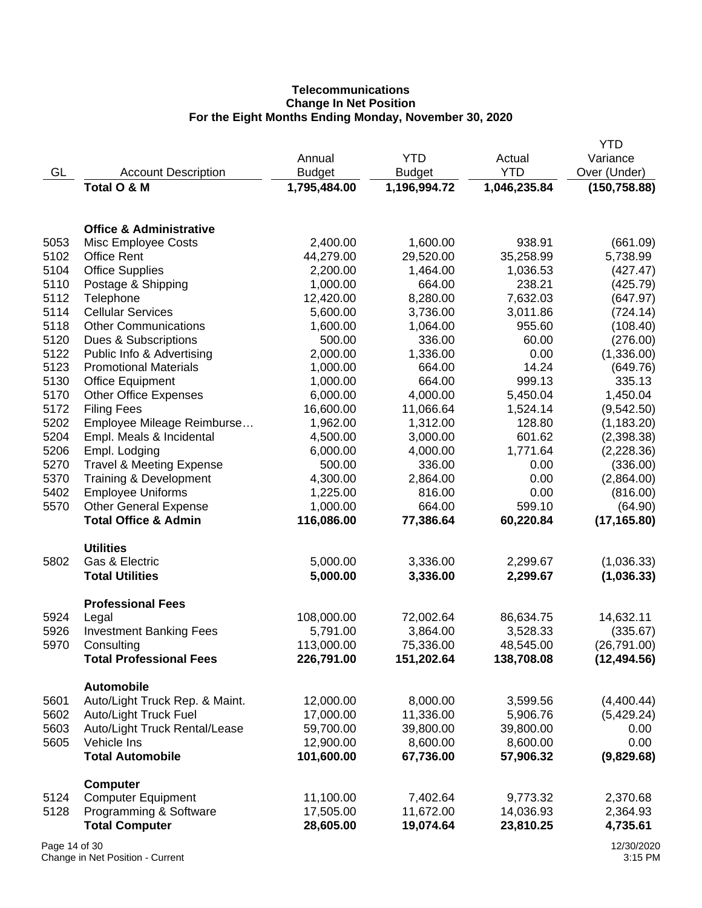# **Telecommunications Change In Net Position For the Eight Months Ending Monday, November 30, 2020**

|               |                                           |               |               |              | YTD                  |
|---------------|-------------------------------------------|---------------|---------------|--------------|----------------------|
|               |                                           | Annual        | <b>YTD</b>    | Actual       | Variance             |
| GL            | <b>Account Description</b>                | <b>Budget</b> | <b>Budget</b> | <b>YTD</b>   | Over (Under)         |
|               | Total O & M                               | 1,795,484.00  | 1,196,994.72  | 1,046,235.84 | (150, 758.88)        |
|               |                                           |               |               |              |                      |
|               | <b>Office &amp; Administrative</b>        |               |               |              |                      |
| 5053          |                                           | 2,400.00      | 1,600.00      | 938.91       |                      |
| 5102          | Misc Employee Costs<br><b>Office Rent</b> | 44,279.00     | 29,520.00     | 35,258.99    | (661.09)<br>5,738.99 |
| 5104          |                                           |               |               |              |                      |
|               | <b>Office Supplies</b>                    | 2,200.00      | 1,464.00      | 1,036.53     | (427.47)             |
| 5110          | Postage & Shipping                        | 1,000.00      | 664.00        | 238.21       | (425.79)             |
| 5112          | Telephone                                 | 12,420.00     | 8,280.00      | 7,632.03     | (647.97)             |
| 5114          | <b>Cellular Services</b>                  | 5,600.00      | 3,736.00      | 3,011.86     | (724.14)             |
| 5118          | <b>Other Communications</b>               | 1,600.00      | 1,064.00      | 955.60       | (108.40)             |
| 5120          | Dues & Subscriptions                      | 500.00        | 336.00        | 60.00        | (276.00)             |
| 5122          | Public Info & Advertising                 | 2,000.00      | 1,336.00      | 0.00         | (1,336.00)           |
| 5123          | <b>Promotional Materials</b>              | 1,000.00      | 664.00        | 14.24        | (649.76)             |
| 5130          | <b>Office Equipment</b>                   | 1,000.00      | 664.00        | 999.13       | 335.13               |
| 5170          | <b>Other Office Expenses</b>              | 6,000.00      | 4,000.00      | 5,450.04     | 1,450.04             |
| 5172          | <b>Filing Fees</b>                        | 16,600.00     | 11,066.64     | 1,524.14     | (9,542.50)           |
| 5202          | Employee Mileage Reimburse                | 1,962.00      | 1,312.00      | 128.80       | (1, 183.20)          |
| 5204          | Empl. Meals & Incidental                  | 4,500.00      | 3,000.00      | 601.62       | (2,398.38)           |
| 5206          | Empl. Lodging                             | 6,000.00      | 4,000.00      | 1,771.64     | (2,228.36)           |
| 5270          | <b>Travel &amp; Meeting Expense</b>       | 500.00        | 336.00        | 0.00         | (336.00)             |
| 5370          | Training & Development                    | 4,300.00      | 2,864.00      | 0.00         | (2,864.00)           |
| 5402          | <b>Employee Uniforms</b>                  | 1,225.00      | 816.00        | 0.00         | (816.00)             |
| 5570          | <b>Other General Expense</b>              | 1,000.00      | 664.00        | 599.10       | (64.90)              |
|               | <b>Total Office &amp; Admin</b>           | 116,086.00    | 77,386.64     | 60,220.84    | (17, 165.80)         |
|               |                                           |               |               |              |                      |
| 5802          | <b>Utilities</b><br>Gas & Electric        | 5,000.00      | 3,336.00      | 2,299.67     | (1,036.33)           |
|               | <b>Total Utilities</b>                    | 5,000.00      | 3,336.00      | 2,299.67     | (1,036.33)           |
|               |                                           |               |               |              |                      |
|               | <b>Professional Fees</b>                  |               |               |              |                      |
| 5924          | Legal                                     | 108,000.00    | 72,002.64     | 86,634.75    | 14,632.11            |
| 5926          | <b>Investment Banking Fees</b>            | 5,791.00      | 3,864.00      | 3,528.33     | (335.67)             |
| 5970          | Consulting                                | 113,000.00    | 75,336.00     | 48,545.00    | (26, 791.00)         |
|               | <b>Total Professional Fees</b>            | 226,791.00    | 151,202.64    | 138,708.08   | (12, 494.56)         |
|               | <b>Automobile</b>                         |               |               |              |                      |
| 5601          | Auto/Light Truck Rep. & Maint.            | 12,000.00     | 8,000.00      | 3,599.56     | (4,400.44)           |
| 5602          | Auto/Light Truck Fuel                     | 17,000.00     | 11,336.00     | 5,906.76     | (5,429.24)           |
| 5603          | Auto/Light Truck Rental/Lease             | 59,700.00     | 39,800.00     | 39,800.00    | 0.00                 |
| 5605          | Vehicle Ins                               | 12,900.00     | 8,600.00      | 8,600.00     | 0.00                 |
|               | <b>Total Automobile</b>                   | 101,600.00    | 67,736.00     | 57,906.32    | (9,829.68)           |
|               |                                           |               |               |              |                      |
|               | <b>Computer</b>                           |               |               |              |                      |
| 5124          | <b>Computer Equipment</b>                 | 11,100.00     | 7,402.64      | 9,773.32     | 2,370.68             |
| 5128          | Programming & Software                    | 17,505.00     | 11,672.00     | 14,036.93    | 2,364.93             |
|               | <b>Total Computer</b>                     | 28,605.00     | 19,074.64     | 23,810.25    | 4,735.61             |
| Page 14 of 30 |                                           |               |               |              | 12/30/2020           |

Change in Net Position - Current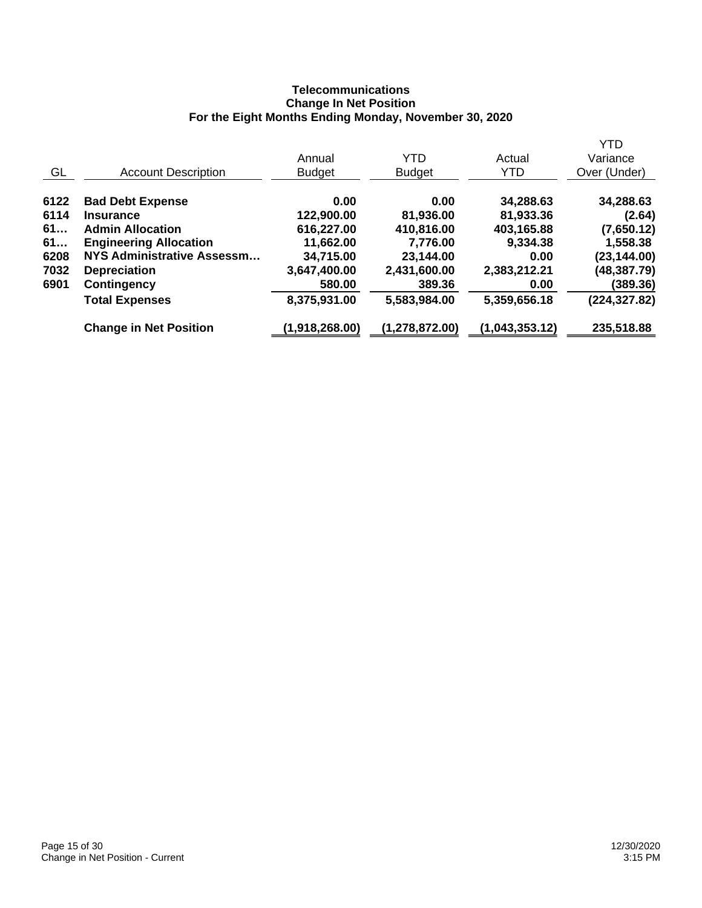# **Telecommunications Change In Net Position For the Eight Months Ending Monday, November 30, 2020**

|                                   |                |                  |                | <b>YTD</b>    |
|-----------------------------------|----------------|------------------|----------------|---------------|
|                                   | Annual         | YTD              | Actual         | Variance      |
| <b>Account Description</b>        | <b>Budget</b>  | <b>Budget</b>    | <b>YTD</b>     | Over (Under)  |
| <b>Bad Debt Expense</b>           | 0.00           | 0.00             | 34,288.63      | 34,288.63     |
| <b>Insurance</b>                  | 122,900.00     | 81,936.00        | 81,933.36      | (2.64)        |
| <b>Admin Allocation</b>           | 616,227.00     | 410,816.00       | 403,165.88     | (7,650.12)    |
| <b>Engineering Allocation</b>     | 11,662.00      | 7,776.00         | 9,334.38       | 1,558.38      |
| <b>NYS Administrative Assessm</b> | 34,715.00      | 23,144.00        | 0.00           | (23, 144.00)  |
| <b>Depreciation</b>               | 3,647,400.00   | 2,431,600.00     | 2,383,212.21   | (48,387.79)   |
| <b>Contingency</b>                | 580.00         | 389.36           | 0.00           | (389.36)      |
| <b>Total Expenses</b>             | 8,375,931.00   | 5,583,984.00     | 5,359,656.18   | (224, 327.82) |
| <b>Change in Net Position</b>     | (1,918,268.00) | (1, 278, 872.00) | (1,043,353.12) | 235,518.88    |
|                                   |                |                  |                |               |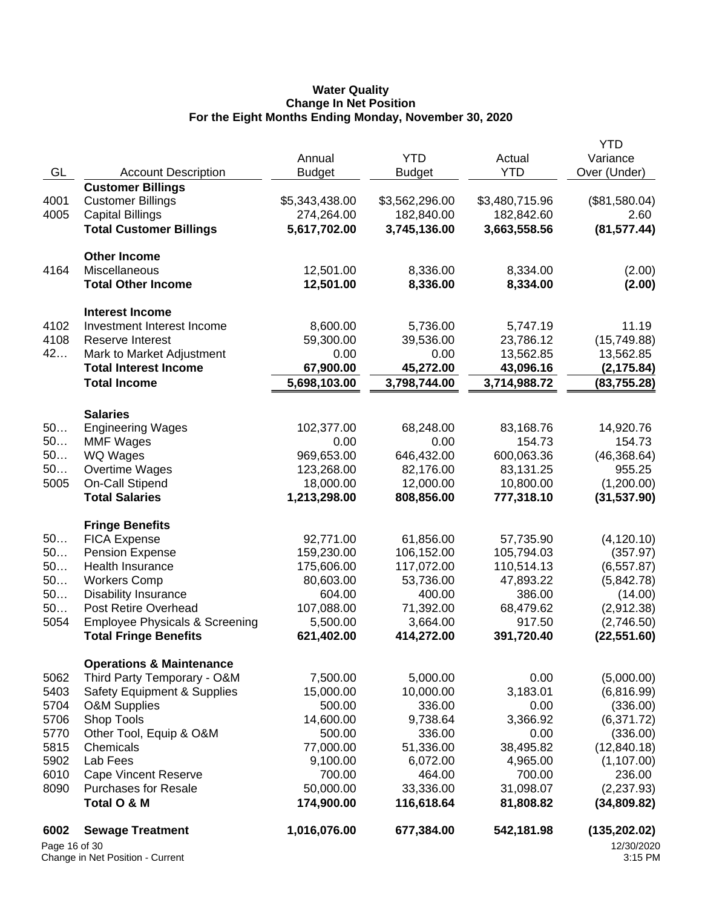#### **Water Quality Change In Net Position For the Eight Months Ending Monday, November 30, 2020**

| Page 16 of 30         |                                                      |                |                |                | 12/30/2020             |
|-----------------------|------------------------------------------------------|----------------|----------------|----------------|------------------------|
| 6002                  | <b>Sewage Treatment</b>                              | 1,016,076.00   | 677,384.00     | 542,181.98     | (135, 202.02)          |
|                       | Total O & M                                          | 174,900.00     | 116,618.64     | 81,808.82      | (34,809.82)            |
| 8090                  | <b>Purchases for Resale</b>                          | 50,000.00      | 33,336.00      | 31,098.07      | (2,237.93)             |
| 6010                  | <b>Cape Vincent Reserve</b>                          | 700.00         | 464.00         | 700.00         | 236.00                 |
| 5902                  | Lab Fees                                             | 9,100.00       | 6,072.00       | 4,965.00       | (1, 107.00)            |
| 5815                  | Chemicals                                            | 77,000.00      | 51,336.00      | 38,495.82      | (12, 840.18)           |
| 5770                  | Other Tool, Equip & O&M                              | 500.00         | 336.00         | 0.00           | (336.00)               |
| 5706                  | Shop Tools                                           | 14,600.00      | 9,738.64       | 3,366.92       | (6,371.72)             |
| 5704                  | <b>O&amp;M Supplies</b>                              | 500.00         | 336.00         | 0.00           | (336.00)               |
| 5403                  | <b>Safety Equipment &amp; Supplies</b>               | 15,000.00      | 10,000.00      | 3,183.01       | (6,816.99)             |
| 5062                  | Third Party Temporary - O&M                          | 7,500.00       | 5,000.00       | 0.00           | (5,000.00)             |
|                       | <b>Operations &amp; Maintenance</b>                  |                |                |                |                        |
|                       | <b>Total Fringe Benefits</b>                         | 621,402.00     | 414,272.00     | 391,720.40     | (22, 551.60)           |
| 5054                  | <b>Employee Physicals &amp; Screening</b>            | 5,500.00       | 3,664.00       | 917.50         | (2,746.50)             |
| 50                    | Post Retire Overhead                                 | 107,088.00     | 71,392.00      | 68,479.62      | (2,912.38)             |
| 50                    | <b>Disability Insurance</b>                          | 604.00         | 400.00         | 386.00         | (14.00)                |
| 50                    | <b>Workers Comp</b>                                  | 80,603.00      | 53,736.00      | 47,893.22      | (5,842.78)             |
| 50                    | <b>Health Insurance</b>                              | 175,606.00     | 117,072.00     | 110,514.13     | (6, 557.87)            |
| 50                    | <b>Pension Expense</b>                               | 159,230.00     | 106,152.00     | 105,794.03     | (357.97)               |
| 50                    | <b>FICA Expense</b>                                  | 92,771.00      | 61,856.00      | 57,735.90      | (4, 120.10)            |
|                       | <b>Fringe Benefits</b>                               |                |                |                |                        |
|                       |                                                      |                |                |                |                        |
|                       | <b>Total Salaries</b>                                | 1,213,298.00   | 808,856.00     | 777,318.10     | (31, 537.90)           |
| 5005                  | On-Call Stipend                                      | 18,000.00      | 12,000.00      | 10,800.00      | (1,200.00)             |
| 50                    | Overtime Wages                                       | 123,268.00     | 82,176.00      | 83,131.25      | 955.25                 |
| 50                    | WQ Wages                                             | 969,653.00     | 646,432.00     | 600,063.36     | (46, 368.64)           |
| 50                    | <b>MMF Wages</b>                                     | 0.00           | 0.00           | 154.73         | 154.73                 |
| <b>Salaries</b><br>50 | <b>Engineering Wages</b>                             | 102,377.00     | 68,248.00      | 83,168.76      | 14,920.76              |
|                       |                                                      |                |                |                |                        |
|                       | <b>Total Income</b>                                  | 5,698,103.00   | 3,798,744.00   | 3,714,988.72   | (83, 755.28)           |
|                       | <b>Total Interest Income</b>                         | 67,900.00      | 45,272.00      | 43,096.16      | (2, 175.84)            |
| 42                    | Mark to Market Adjustment                            | 0.00           | 0.00           | 13,562.85      | 13,562.85              |
| 4108                  | Reserve Interest                                     | 59,300.00      | 39,536.00      | 23,786.12      | (15, 749.88)           |
| 4102                  | <b>Interest Income</b><br>Investment Interest Income | 8,600.00       | 5,736.00       | 5,747.19       | 11.19                  |
|                       | <b>Total Other Income</b>                            | 12,501.00      | 8,336.00       | 8,334.00       | (2.00)                 |
| 4164                  | Miscellaneous                                        | 12,501.00      | 8,336.00       | 8,334.00       | (2.00)                 |
|                       | <b>Other Income</b>                                  |                |                |                |                        |
|                       |                                                      |                |                |                |                        |
|                       | <b>Total Customer Billings</b>                       | 5,617,702.00   | 3,745,136.00   | 3,663,558.56   | (81, 577.44)           |
| 4005                  | <b>Capital Billings</b>                              | 274,264.00     | 182,840.00     | 182,842.60     | 2.60                   |
| 4001                  | <b>Customer Billings</b>                             | \$5,343,438.00 | \$3,562,296.00 | \$3,480,715.96 | (\$81,580.04)          |
|                       | <b>Customer Billings</b>                             |                |                |                |                        |
| GL                    | <b>Account Description</b>                           | <b>Budget</b>  | <b>Budget</b>  | <b>YTD</b>     | Over (Under)           |
|                       |                                                      |                |                |                | <b>YTD</b><br>Variance |
|                       |                                                      |                | Annual         | <b>YTD</b>     | Actual                 |

Change in Net Position - Current

<sup>12/30/2020</sup> 3:15 PM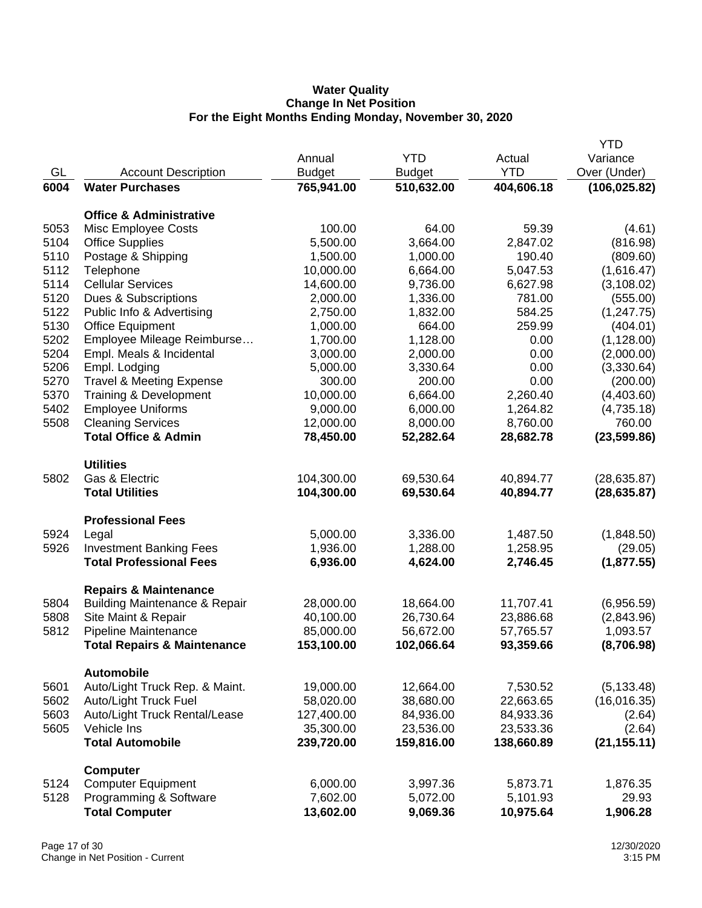### **Water Quality Change In Net Position For the Eight Months Ending Monday, November 30, 2020**

|              |                                                       |                       |                    |                  | <b>YTD</b>                |
|--------------|-------------------------------------------------------|-----------------------|--------------------|------------------|---------------------------|
|              |                                                       | Annual                | <b>YTD</b>         | Actual           | Variance                  |
| GL           | <b>Account Description</b>                            | <b>Budget</b>         | <b>Budget</b>      | <b>YTD</b>       | Over (Under)              |
| 6004         | <b>Water Purchases</b>                                | 765,941.00            | 510,632.00         | 404,606.18       | (106, 025.82)             |
|              |                                                       |                       |                    |                  |                           |
|              | <b>Office &amp; Administrative</b>                    |                       |                    |                  |                           |
| 5053         | Misc Employee Costs                                   | 100.00                | 64.00              | 59.39            | (4.61)                    |
| 5104         | <b>Office Supplies</b>                                | 5,500.00              | 3,664.00           | 2,847.02         | (816.98)                  |
| 5110         | Postage & Shipping                                    | 1,500.00              | 1,000.00           | 190.40           | (809.60)                  |
| 5112<br>5114 | Telephone                                             | 10,000.00             | 6,664.00           | 5,047.53         | (1,616.47)                |
| 5120         | <b>Cellular Services</b>                              | 14,600.00<br>2,000.00 | 9,736.00           | 6,627.98         | (3, 108.02)               |
| 5122         | Dues & Subscriptions                                  | 2,750.00              | 1,336.00           | 781.00<br>584.25 | (555.00)                  |
| 5130         | Public Info & Advertising                             |                       | 1,832.00<br>664.00 |                  | (1,247.75)                |
| 5202         | <b>Office Equipment</b><br>Employee Mileage Reimburse | 1,000.00              | 1,128.00           | 259.99<br>0.00   | (404.01)                  |
| 5204         | Empl. Meals & Incidental                              | 1,700.00<br>3,000.00  | 2,000.00           | 0.00             | (1, 128.00)<br>(2,000.00) |
| 5206         | Empl. Lodging                                         | 5,000.00              | 3,330.64           | 0.00             | (3,330.64)                |
| 5270         | <b>Travel &amp; Meeting Expense</b>                   | 300.00                | 200.00             | 0.00             | (200.00)                  |
| 5370         | Training & Development                                | 10,000.00             | 6,664.00           | 2,260.40         | (4,403.60)                |
| 5402         | <b>Employee Uniforms</b>                              | 9,000.00              | 6,000.00           | 1,264.82         | (4,735.18)                |
| 5508         | <b>Cleaning Services</b>                              | 12,000.00             | 8,000.00           | 8,760.00         | 760.00                    |
|              | <b>Total Office &amp; Admin</b>                       | 78,450.00             | 52,282.64          | 28,682.78        | (23, 599.86)              |
|              |                                                       |                       |                    |                  |                           |
|              | <b>Utilities</b>                                      |                       |                    |                  |                           |
| 5802         | Gas & Electric                                        | 104,300.00            | 69,530.64          | 40,894.77        | (28, 635.87)              |
|              | <b>Total Utilities</b>                                | 104,300.00            | 69,530.64          | 40,894.77        | (28, 635.87)              |
|              | <b>Professional Fees</b>                              |                       |                    |                  |                           |
| 5924         | Legal                                                 | 5,000.00              | 3,336.00           | 1,487.50         | (1,848.50)                |
| 5926         | <b>Investment Banking Fees</b>                        | 1,936.00              | 1,288.00           | 1,258.95         | (29.05)                   |
|              | <b>Total Professional Fees</b>                        | 6,936.00              | 4,624.00           | 2,746.45         | (1,877.55)                |
|              | <b>Repairs &amp; Maintenance</b>                      |                       |                    |                  |                           |
| 5804         | <b>Building Maintenance &amp; Repair</b>              | 28,000.00             | 18,664.00          | 11,707.41        | (6,956.59)                |
| 5808         | Site Maint & Repair                                   | 40,100.00             | 26,730.64          | 23,886.68        | (2,843.96)                |
| 5812         | Pipeline Maintenance                                  | 85,000.00             | 56,672.00          | 57,765.57        | 1,093.57                  |
|              | <b>Total Repairs &amp; Maintenance</b>                | 153,100.00            | 102,066.64         | 93,359.66        | (8,706.98)                |
|              | <b>Automobile</b>                                     |                       |                    |                  |                           |
| 5601         | Auto/Light Truck Rep. & Maint.                        | 19,000.00             | 12,664.00          | 7,530.52         | (5, 133.48)               |
| 5602         | Auto/Light Truck Fuel                                 | 58,020.00             | 38,680.00          | 22,663.65        | (16,016.35)               |
| 5603         | Auto/Light Truck Rental/Lease                         | 127,400.00            | 84,936.00          | 84,933.36        | (2.64)                    |
| 5605         | Vehicle Ins                                           | 35,300.00             | 23,536.00          | 23,533.36        | (2.64)                    |
|              | <b>Total Automobile</b>                               | 239,720.00            | 159,816.00         | 138,660.89       | (21, 155.11)              |
|              | <b>Computer</b>                                       |                       |                    |                  |                           |
| 5124         | <b>Computer Equipment</b>                             | 6,000.00              | 3,997.36           | 5,873.71         | 1,876.35                  |
| 5128         | Programming & Software                                | 7,602.00              | 5,072.00           | 5,101.93         | 29.93                     |
|              | <b>Total Computer</b>                                 | 13,602.00             | 9,069.36           | 10,975.64        | 1,906.28                  |
|              |                                                       |                       |                    |                  |                           |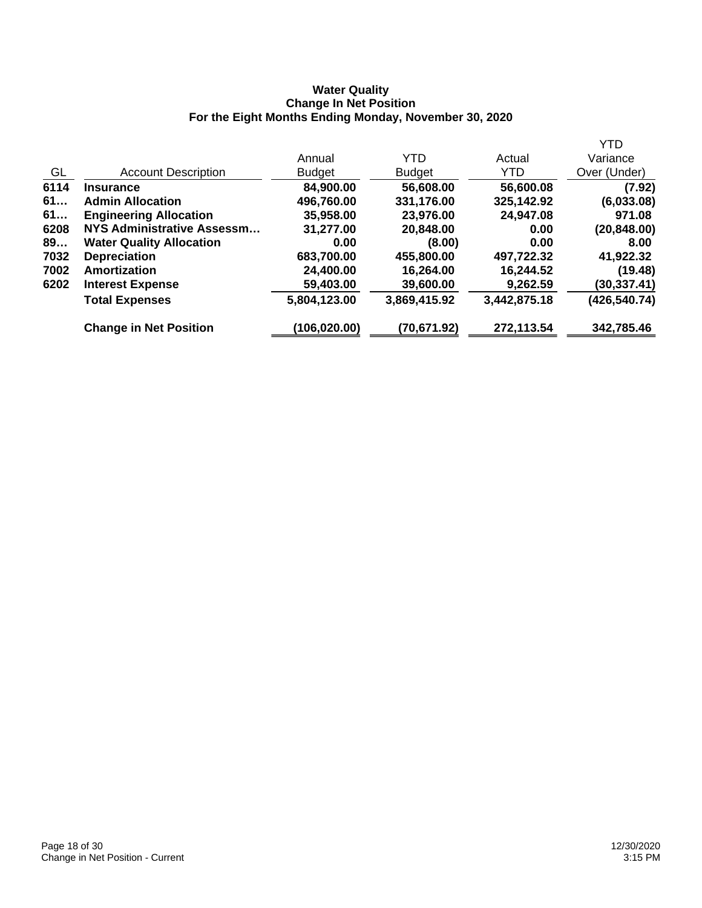## **Water Quality Change In Net Position For the Eight Months Ending Monday, November 30, 2020**

|                                 |               |               |              | <b>YTD</b>   |
|---------------------------------|---------------|---------------|--------------|--------------|
|                                 | Annual        | <b>YTD</b>    | Actual       | Variance     |
| <b>Account Description</b>      | <b>Budget</b> | <b>Budget</b> | YTD          | Over (Under) |
| <b>Insurance</b>                | 84,900.00     | 56,608.00     | 56,600.08    | (7.92)       |
| <b>Admin Allocation</b>         | 496,760.00    | 331,176.00    | 325,142.92   | (6,033.08)   |
| <b>Engineering Allocation</b>   | 35,958.00     | 23,976.00     | 24,947.08    | 971.08       |
| NYS Administrative Assessm      | 31,277.00     | 20,848.00     | 0.00         | (20, 848.00) |
| <b>Water Quality Allocation</b> | 0.00          | (8.00)        | 0.00         | 8.00         |
| <b>Depreciation</b>             | 683,700.00    | 455,800.00    | 497,722.32   | 41,922.32    |
| <b>Amortization</b>             | 24,400.00     | 16,264.00     | 16,244.52    | (19.48)      |
| <b>Interest Expense</b>         | 59,403.00     | 39,600.00     | 9,262.59     | (30,337.41)  |
| <b>Total Expenses</b>           | 5,804,123.00  | 3,869,415.92  | 3,442,875.18 | (426,540.74) |
| <b>Change in Net Position</b>   | (106, 020.00) | (70,671.92)   | 272,113.54   | 342,785.46   |
|                                 |               |               |              |              |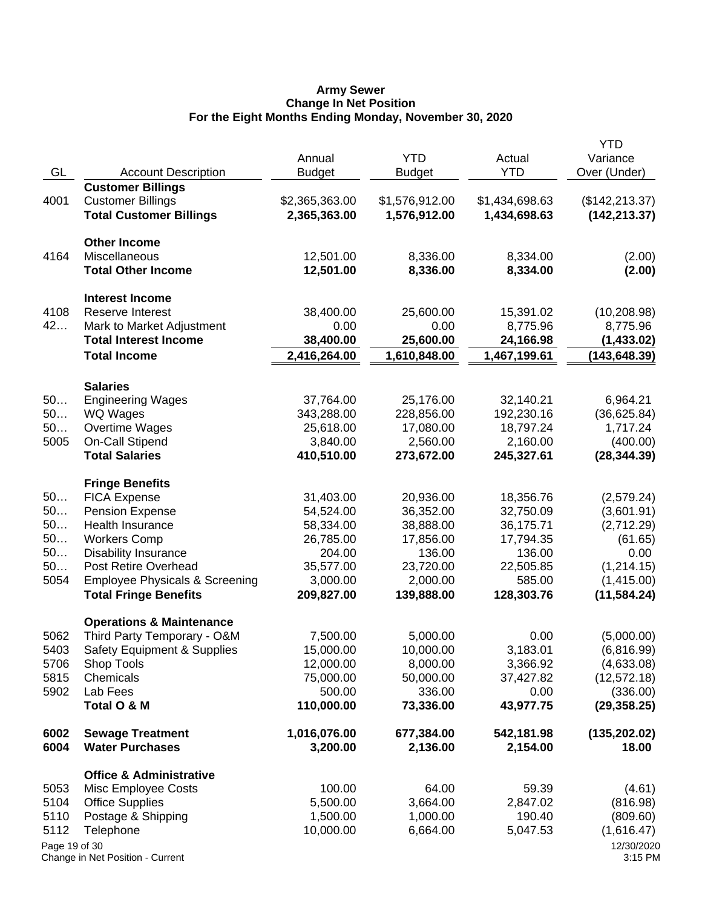#### **Army Sewer Change In Net Position For the Eight Months Ending Monday, November 30, 2020**

|               |                                                     | Annual              | <b>YTD</b>          | Actual              | <b>YTD</b><br>Variance   |
|---------------|-----------------------------------------------------|---------------------|---------------------|---------------------|--------------------------|
| GL            | <b>Account Description</b>                          | <b>Budget</b>       | <b>Budget</b>       | <b>YTD</b>          | Over (Under)             |
|               | <b>Customer Billings</b>                            |                     |                     |                     |                          |
| 4001          | <b>Customer Billings</b>                            | \$2,365,363.00      | \$1,576,912.00      | \$1,434,698.63      | (\$142, 213.37)          |
|               | <b>Total Customer Billings</b>                      | 2,365,363.00        | 1,576,912.00        | 1,434,698.63        | (142, 213.37)            |
|               | <b>Other Income</b>                                 |                     |                     |                     |                          |
| 4164          | Miscellaneous                                       | 12,501.00           | 8,336.00            | 8,334.00            | (2.00)                   |
|               | <b>Total Other Income</b>                           | 12,501.00           | 8,336.00            | 8,334.00            | (2.00)                   |
|               | <b>Interest Income</b>                              |                     |                     |                     |                          |
| 4108          | <b>Reserve Interest</b>                             | 38,400.00           | 25,600.00           | 15,391.02           | (10, 208.98)             |
| 42            | Mark to Market Adjustment                           | 0.00                | 0.00                | 8,775.96            | 8,775.96                 |
|               | <b>Total Interest Income</b>                        | 38,400.00           | 25,600.00           | 24,166.98           | (1,433.02)               |
|               | <b>Total Income</b>                                 | 2,416,264.00        | 1,610,848.00        | 1,467,199.61        | (143, 648.39)            |
|               | <b>Salaries</b>                                     |                     |                     |                     |                          |
| 50            | <b>Engineering Wages</b>                            | 37,764.00           | 25,176.00           | 32,140.21           | 6,964.21                 |
| 50            | WQ Wages                                            | 343,288.00          | 228,856.00          | 192,230.16          | (36,625.84)              |
| 50            | Overtime Wages                                      | 25,618.00           | 17,080.00           | 18,797.24           | 1,717.24                 |
| 5005          | On-Call Stipend                                     | 3,840.00            | 2,560.00            | 2,160.00            | (400.00)                 |
|               | <b>Total Salaries</b>                               | 410,510.00          | 273,672.00          | 245,327.61          | (28, 344.39)             |
|               | <b>Fringe Benefits</b>                              |                     |                     |                     |                          |
| 50            | <b>FICA Expense</b>                                 | 31,403.00           | 20,936.00           | 18,356.76           | (2,579.24)               |
| 50            | <b>Pension Expense</b>                              | 54,524.00           | 36,352.00           | 32,750.09           | (3,601.91)               |
| 50            | Health Insurance                                    | 58,334.00           | 38,888.00           | 36,175.71           | (2,712.29)               |
| 50<br>50      | <b>Workers Comp</b>                                 | 26,785.00<br>204.00 | 17,856.00<br>136.00 | 17,794.35<br>136.00 | (61.65)                  |
| 50            | <b>Disability Insurance</b><br>Post Retire Overhead | 35,577.00           | 23,720.00           | 22,505.85           | 0.00                     |
| 5054          | <b>Employee Physicals &amp; Screening</b>           | 3,000.00            | 2,000.00            | 585.00              | (1,214.15)<br>(1,415.00) |
|               | <b>Total Fringe Benefits</b>                        | 209,827.00          | 139,888.00          | 128,303.76          | (11, 584.24)             |
|               | <b>Operations &amp; Maintenance</b>                 |                     |                     |                     |                          |
| 5062          | Third Party Temporary - O&M                         | 7,500.00            | 5,000.00            | 0.00                | (5,000.00)               |
| 5403          | <b>Safety Equipment &amp; Supplies</b>              | 15,000.00           | 10,000.00           | 3,183.01            | (6,816.99)               |
| 5706          | Shop Tools                                          | 12,000.00           | 8,000.00            | 3,366.92            | (4,633.08)               |
| 5815          | Chemicals                                           | 75,000.00           | 50,000.00           | 37,427.82           | (12, 572.18)             |
| 5902          | Lab Fees                                            | 500.00              | 336.00              | 0.00                | (336.00)                 |
|               | Total O & M                                         | 110,000.00          | 73,336.00           | 43,977.75           | (29, 358.25)             |
| 6002          | <b>Sewage Treatment</b>                             | 1,016,076.00        | 677,384.00          | 542,181.98          | (135, 202.02)            |
| 6004          | <b>Water Purchases</b>                              | 3,200.00            | 2,136.00            | 2,154.00            | 18.00                    |
|               | <b>Office &amp; Administrative</b>                  |                     |                     |                     |                          |
| 5053          | Misc Employee Costs                                 | 100.00              | 64.00               | 59.39               | (4.61)                   |
| 5104          | <b>Office Supplies</b>                              | 5,500.00            | 3,664.00            | 2,847.02            | (816.98)                 |
| 5110          | Postage & Shipping                                  | 1,500.00            | 1,000.00            | 190.40              | (809.60)                 |
| 5112          | Telephone                                           | 10,000.00           | 6,664.00            | 5,047.53            | (1,616.47)               |
| Page 19 of 30 | Change in Net Position - Current                    |                     |                     |                     | 12/30/2020<br>3:15 PM    |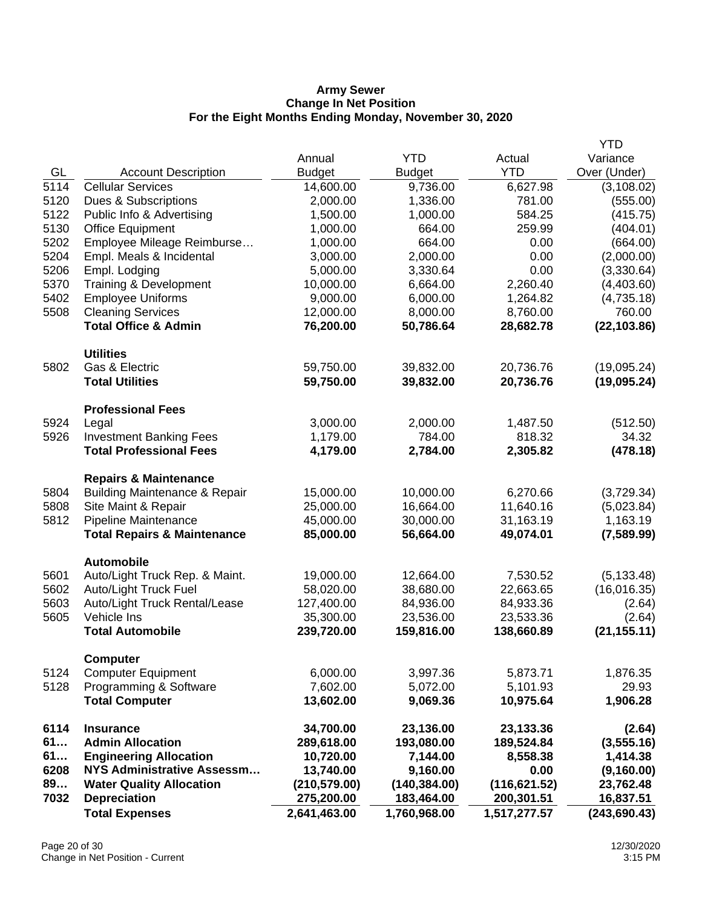### **Army Sewer Change In Net Position For the Eight Months Ending Monday, November 30, 2020**

|              |                                                         |                        |                        |                       | <b>YTD</b>            |
|--------------|---------------------------------------------------------|------------------------|------------------------|-----------------------|-----------------------|
|              |                                                         | Annual                 | <b>YTD</b>             | Actual                | Variance              |
| GL           | <b>Account Description</b>                              | <b>Budget</b>          | <b>Budget</b>          | <b>YTD</b>            | Over (Under)          |
| 5114         | <b>Cellular Services</b>                                | 14,600.00              | 9,736.00               | 6,627.98              | (3, 108.02)           |
| 5120         | Dues & Subscriptions                                    | 2,000.00               | 1,336.00               | 781.00                | (555.00)              |
| 5122         | Public Info & Advertising                               | 1,500.00               | 1,000.00               | 584.25                | (415.75)              |
| 5130         | <b>Office Equipment</b>                                 | 1,000.00               | 664.00                 | 259.99                | (404.01)              |
| 5202         | Employee Mileage Reimburse                              | 1,000.00               | 664.00                 | 0.00                  | (664.00)              |
| 5204         | Empl. Meals & Incidental                                | 3,000.00               | 2,000.00               | 0.00                  | (2,000.00)            |
| 5206         | Empl. Lodging                                           | 5,000.00               | 3,330.64               | 0.00                  | (3,330.64)            |
| 5370         | Training & Development                                  | 10,000.00              | 6,664.00               | 2,260.40              | (4,403.60)            |
| 5402         | <b>Employee Uniforms</b>                                | 9,000.00               | 6,000.00               | 1,264.82              | (4,735.18)            |
| 5508         | <b>Cleaning Services</b>                                | 12,000.00              | 8,000.00               | 8,760.00              | 760.00                |
|              | <b>Total Office &amp; Admin</b>                         | 76,200.00              | 50,786.64              | 28,682.78             | (22, 103.86)          |
|              | <b>Utilities</b>                                        |                        |                        |                       |                       |
| 5802         | Gas & Electric                                          | 59,750.00              | 39,832.00              | 20,736.76             | (19,095.24)           |
|              | <b>Total Utilities</b>                                  | 59,750.00              | 39,832.00              | 20,736.76             | (19,095.24)           |
|              | <b>Professional Fees</b>                                |                        |                        |                       |                       |
| 5924         | Legal                                                   | 3,000.00               | 2,000.00               | 1,487.50              | (512.50)              |
| 5926         | <b>Investment Banking Fees</b>                          | 1,179.00               | 784.00                 | 818.32                | 34.32                 |
|              | <b>Total Professional Fees</b>                          | 4,179.00               | 2,784.00               | 2,305.82              | (478.18)              |
|              | <b>Repairs &amp; Maintenance</b>                        |                        |                        |                       |                       |
| 5804         | <b>Building Maintenance &amp; Repair</b>                | 15,000.00              | 10,000.00              | 6,270.66              | (3,729.34)            |
| 5808         | Site Maint & Repair                                     | 25,000.00              | 16,664.00              | 11,640.16             | (5,023.84)            |
| 5812         | Pipeline Maintenance                                    | 45,000.00              | 30,000.00              | 31,163.19             | 1,163.19              |
|              | <b>Total Repairs &amp; Maintenance</b>                  | 85,000.00              | 56,664.00              | 49,074.01             | (7,589.99)            |
|              | <b>Automobile</b>                                       |                        |                        |                       |                       |
| 5601<br>5602 | Auto/Light Truck Rep. & Maint.<br>Auto/Light Truck Fuel | 19,000.00<br>58,020.00 | 12,664.00<br>38,680.00 | 7,530.52<br>22,663.65 | (5, 133.48)           |
| 5603         | Auto/Light Truck Rental/Lease                           | 127,400.00             | 84,936.00              | 84,933.36             | (16,016.35)<br>(2.64) |
| 5605         | Vehicle Ins                                             | 35,300.00              | 23,536.00              | 23,533.36             | (2.64)                |
|              | <b>Total Automobile</b>                                 | 239,720.00             | 159,816.00             | 138,660.89            | (21, 155.11)          |
|              |                                                         |                        |                        |                       |                       |
| 5124         | <b>Computer</b><br><b>Computer Equipment</b>            | 6,000.00               | 3,997.36               | 5,873.71              | 1,876.35              |
| 5128         | Programming & Software                                  | 7,602.00               | 5,072.00               | 5,101.93              | 29.93                 |
|              | <b>Total Computer</b>                                   | 13,602.00              | 9,069.36               | 10,975.64             | 1,906.28              |
| 6114         | <b>Insurance</b>                                        | 34,700.00              | 23,136.00              | 23,133.36             | (2.64)                |
| 61           | <b>Admin Allocation</b>                                 | 289,618.00             | 193,080.00             | 189,524.84            | (3,555.16)            |
| 61           | <b>Engineering Allocation</b>                           | 10,720.00              | 7,144.00               | 8,558.38              | 1,414.38              |
| 6208         | <b>NYS Administrative Assessm</b>                       | 13,740.00              | 9,160.00               | 0.00                  | (9,160.00)            |
| 89           | <b>Water Quality Allocation</b>                         | (210, 579.00)          | (140, 384.00)          | (116, 621.52)         | 23,762.48             |
| 7032         | <b>Depreciation</b>                                     | 275,200.00             | 183,464.00             | 200,301.51            | 16,837.51             |
|              | <b>Total Expenses</b>                                   | 2,641,463.00           | 1,760,968.00           | 1,517,277.57          | (243, 690.43)         |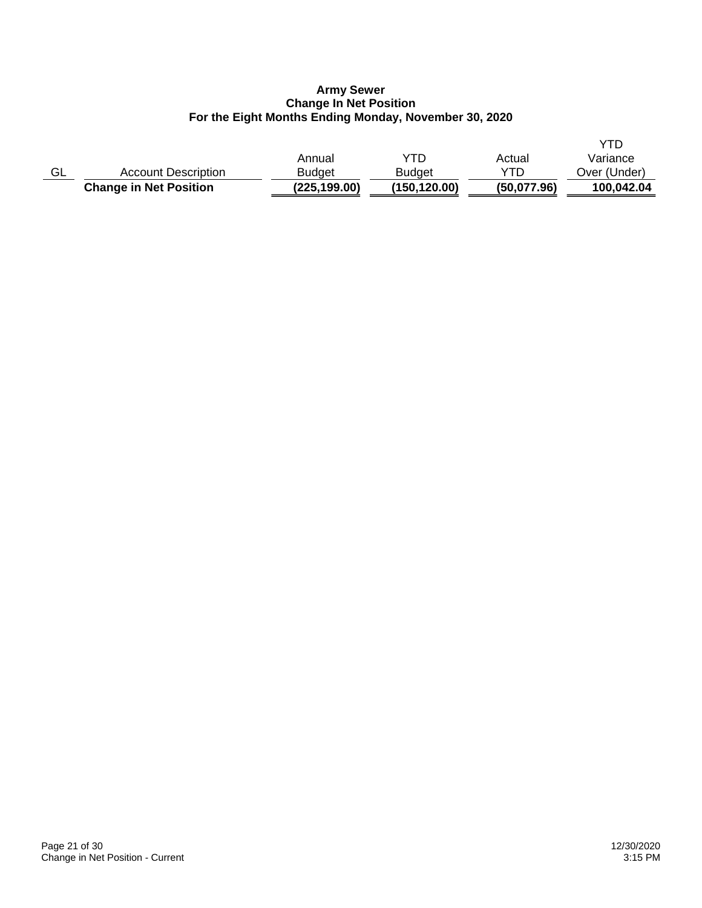## **Army Sewer Change In Net Position For the Eight Months Ending Monday, November 30, 2020**

|    |                               |               |               |             | <b>YTD</b>   |
|----|-------------------------------|---------------|---------------|-------------|--------------|
|    |                               | Annual        | YTD           | Actual      | Variance     |
| GL | <b>Account Description</b>    | <b>Budget</b> | <b>Budget</b> | YTD         | Over (Under) |
|    | <b>Change in Net Position</b> | (225,199.00)  | (150,120.00)  | (50,077.96) | 100,042.04   |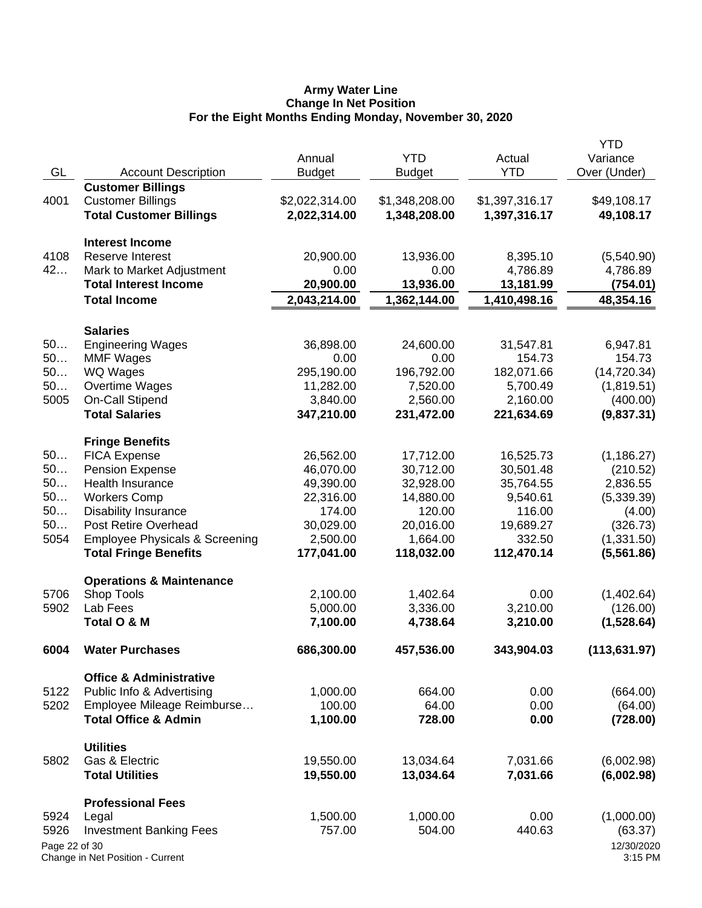#### **Army Water Line Change In Net Position For the Eight Months Ending Monday, November 30, 2020**

|               |                                           |                |                |                | <b>YTD</b>    |
|---------------|-------------------------------------------|----------------|----------------|----------------|---------------|
|               |                                           | Annual         | <b>YTD</b>     | Actual         | Variance      |
| GL            | <b>Account Description</b>                | <b>Budget</b>  | <b>Budget</b>  | <b>YTD</b>     | Over (Under)  |
|               | <b>Customer Billings</b>                  |                |                |                |               |
| 4001          | <b>Customer Billings</b>                  | \$2,022,314.00 | \$1,348,208.00 | \$1,397,316.17 | \$49,108.17   |
|               | <b>Total Customer Billings</b>            | 2,022,314.00   | 1,348,208.00   | 1,397,316.17   | 49,108.17     |
|               |                                           |                |                |                |               |
|               | <b>Interest Income</b>                    |                |                |                |               |
| 4108          | <b>Reserve Interest</b>                   | 20,900.00      | 13,936.00      | 8,395.10       | (5,540.90)    |
| 42            | Mark to Market Adjustment                 | 0.00           | 0.00           | 4,786.89       | 4,786.89      |
|               | <b>Total Interest Income</b>              | 20,900.00      | 13,936.00      | 13,181.99      | (754.01)      |
|               | <b>Total Income</b>                       | 2,043,214.00   | 1,362,144.00   | 1,410,498.16   | 48,354.16     |
|               |                                           |                |                |                |               |
|               | <b>Salaries</b>                           |                |                |                |               |
| 50            | <b>Engineering Wages</b>                  | 36,898.00      | 24,600.00      | 31,547.81      | 6,947.81      |
| 50            | <b>MMF Wages</b>                          | 0.00           | 0.00           | 154.73         | 154.73        |
| 50            | WQ Wages                                  | 295,190.00     | 196,792.00     | 182,071.66     | (14, 720.34)  |
| 50            | Overtime Wages                            | 11,282.00      | 7,520.00       | 5,700.49       | (1,819.51)    |
| 5005          | On-Call Stipend                           | 3,840.00       | 2,560.00       | 2,160.00       | (400.00)      |
|               | <b>Total Salaries</b>                     | 347,210.00     | 231,472.00     | 221,634.69     | (9,837.31)    |
|               |                                           |                |                |                |               |
| 50            | <b>Fringe Benefits</b>                    |                |                |                |               |
|               | <b>FICA Expense</b>                       | 26,562.00      | 17,712.00      | 16,525.73      | (1, 186.27)   |
| 50            | Pension Expense                           | 46,070.00      | 30,712.00      | 30,501.48      | (210.52)      |
| 50            | Health Insurance                          | 49,390.00      | 32,928.00      | 35,764.55      | 2,836.55      |
| 50            | <b>Workers Comp</b>                       | 22,316.00      | 14,880.00      | 9,540.61       | (5,339.39)    |
| 50            | <b>Disability Insurance</b>               | 174.00         | 120.00         | 116.00         | (4.00)        |
| 50            | Post Retire Overhead                      | 30,029.00      | 20,016.00      | 19,689.27      | (326.73)      |
| 5054          | <b>Employee Physicals &amp; Screening</b> | 2,500.00       | 1,664.00       | 332.50         | (1,331.50)    |
|               | <b>Total Fringe Benefits</b>              | 177,041.00     | 118,032.00     | 112,470.14     | (5,561.86)    |
|               | <b>Operations &amp; Maintenance</b>       |                |                |                |               |
| 5706          | Shop Tools                                | 2,100.00       | 1,402.64       | 0.00           | (1,402.64)    |
| 5902          | Lab Fees                                  | 5,000.00       | 3,336.00       | 3,210.00       | (126.00)      |
|               | Total O & M                               | 7,100.00       | 4,738.64       | 3,210.00       | (1,528.64)    |
|               |                                           |                |                |                |               |
| 6004          | <b>Water Purchases</b>                    | 686,300.00     | 457,536.00     | 343,904.03     | (113, 631.97) |
|               | <b>Office &amp; Administrative</b>        |                |                |                |               |
| 5122          | Public Info & Advertising                 | 1,000.00       | 664.00         | 0.00           | (664.00)      |
| 5202          | Employee Mileage Reimburse                | 100.00         | 64.00          | 0.00           | (64.00)       |
|               | <b>Total Office &amp; Admin</b>           | 1,100.00       | 728.00         | 0.00           | (728.00)      |
|               |                                           |                |                |                |               |
|               | <b>Utilities</b>                          |                |                |                |               |
| 5802          | Gas & Electric                            | 19,550.00      | 13,034.64      | 7,031.66       | (6,002.98)    |
|               | <b>Total Utilities</b>                    | 19,550.00      | 13,034.64      | 7,031.66       | (6,002.98)    |
|               | <b>Professional Fees</b>                  |                |                |                |               |
| 5924          | Legal                                     | 1,500.00       | 1,000.00       | 0.00           | (1,000.00)    |
| 5926          | <b>Investment Banking Fees</b>            | 757.00         | 504.00         | 440.63         | (63.37)       |
| Page 22 of 30 |                                           |                |                |                | 12/30/2020    |
|               | Change in Net Position - Current          |                |                |                | 3:15 PM       |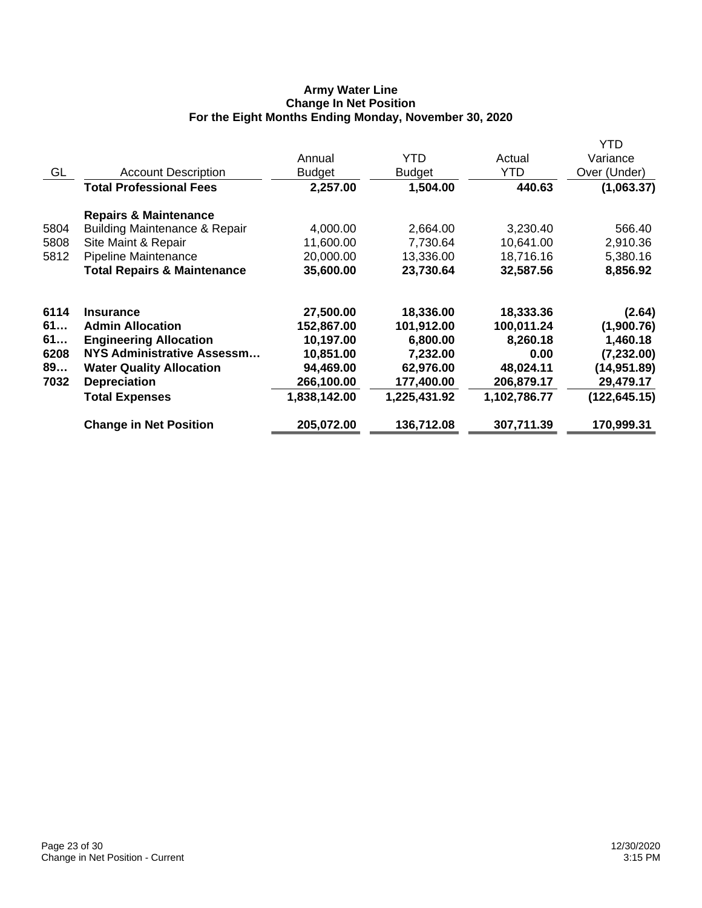# **Army Water Line Change In Net Position For the Eight Months Ending Monday, November 30, 2020**

|      |                                          |               |               |              | YTD           |
|------|------------------------------------------|---------------|---------------|--------------|---------------|
|      |                                          | Annual        | YTD           | Actual       | Variance      |
| GL   | <b>Account Description</b>               | <b>Budget</b> | <b>Budget</b> | YTD          | Over (Under)  |
|      | <b>Total Professional Fees</b>           | 2,257.00      | 1,504.00      | 440.63       | (1,063.37)    |
|      | <b>Repairs &amp; Maintenance</b>         |               |               |              |               |
| 5804 | <b>Building Maintenance &amp; Repair</b> | 4,000.00      | 2,664.00      | 3,230.40     | 566.40        |
| 5808 | Site Maint & Repair                      | 11,600.00     | 7,730.64      | 10,641.00    | 2,910.36      |
| 5812 | Pipeline Maintenance                     | 20,000.00     | 13,336.00     | 18,716.16    | 5,380.16      |
|      | <b>Total Repairs &amp; Maintenance</b>   | 35,600.00     | 23,730.64     | 32,587.56    | 8,856.92      |
| 6114 | <b>Insurance</b>                         | 27,500.00     | 18,336.00     | 18,333.36    | (2.64)        |
| 61   | <b>Admin Allocation</b>                  | 152,867.00    | 101,912.00    | 100,011.24   | (1,900.76)    |
| 61   | <b>Engineering Allocation</b>            | 10,197.00     | 6,800.00      | 8,260.18     | 1,460.18      |
| 6208 | NYS Administrative Assessm               | 10,851.00     | 7,232.00      | 0.00         | (7, 232.00)   |
| 89   | <b>Water Quality Allocation</b>          | 94,469.00     | 62,976.00     | 48,024.11    | (14, 951.89)  |
| 7032 | <b>Depreciation</b>                      | 266,100.00    | 177,400.00    | 206,879.17   | 29,479.17     |
|      | <b>Total Expenses</b>                    | 1,838,142.00  | 1,225,431.92  | 1,102,786.77 | (122, 645.15) |
|      | <b>Change in Net Position</b>            | 205,072.00    | 136,712.08    | 307,711.39   | 170,999.31    |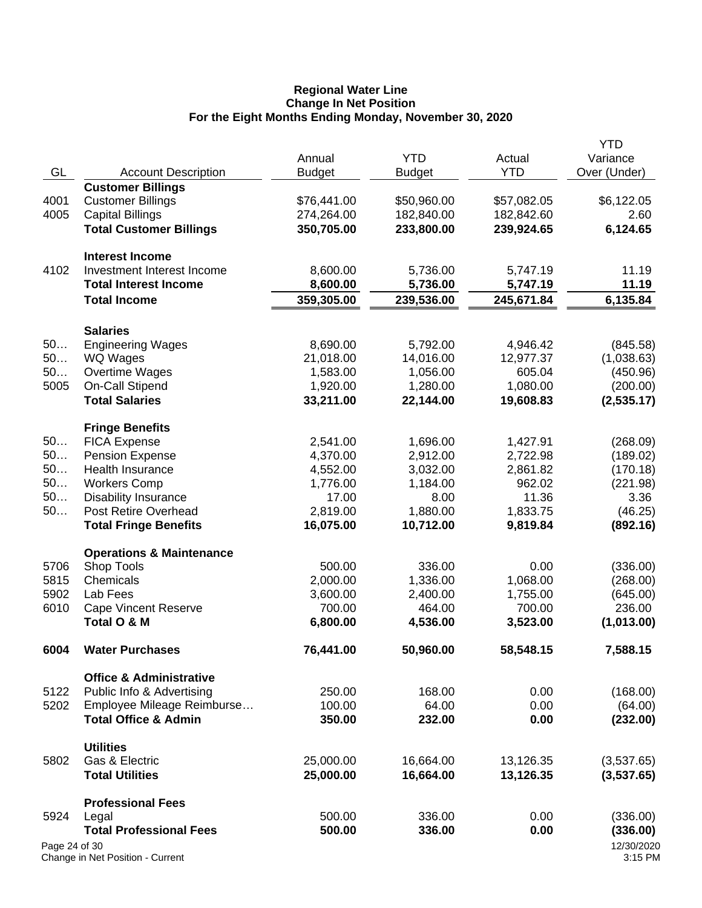#### **Regional Water Line Change In Net Position For the Eight Months Ending Monday, November 30, 2020**

|               |                                     |                    |               |                    | <b>YTD</b>            |
|---------------|-------------------------------------|--------------------|---------------|--------------------|-----------------------|
|               |                                     | Annual             | <b>YTD</b>    | Actual             | Variance              |
| GL            | <b>Account Description</b>          | <b>Budget</b>      | <b>Budget</b> | <b>YTD</b>         | Over (Under)          |
|               | <b>Customer Billings</b>            |                    |               |                    |                       |
| 4001          | <b>Customer Billings</b>            | \$76,441.00        | \$50,960.00   | \$57,082.05        | \$6,122.05            |
| 4005          | <b>Capital Billings</b>             | 274,264.00         | 182,840.00    | 182,842.60         | 2.60                  |
|               | <b>Total Customer Billings</b>      | 350,705.00         | 233,800.00    | 239,924.65         | 6,124.65              |
|               |                                     |                    |               |                    |                       |
|               | <b>Interest Income</b>              |                    |               |                    |                       |
| 4102          | Investment Interest Income          | 8,600.00           | 5,736.00      | 5,747.19           | 11.19                 |
|               | <b>Total Interest Income</b>        | 8,600.00           | 5,736.00      | 5,747.19           | 11.19                 |
|               | <b>Total Income</b>                 | 359,305.00         | 239,536.00    | 245,671.84         | 6,135.84              |
|               |                                     |                    |               |                    |                       |
|               | <b>Salaries</b>                     |                    |               |                    |                       |
| 50            | <b>Engineering Wages</b>            | 8,690.00           | 5,792.00      | 4,946.42           | (845.58)              |
| 50            | WQ Wages                            | 21,018.00          | 14,016.00     | 12,977.37          | (1,038.63)            |
| 50            | Overtime Wages                      | 1,583.00           | 1,056.00      | 605.04             | (450.96)              |
| 5005          | On-Call Stipend                     | 1,920.00           | 1,280.00      | 1,080.00           | (200.00)              |
|               | <b>Total Salaries</b>               | 33,211.00          | 22,144.00     | 19,608.83          | (2,535.17)            |
|               |                                     |                    |               |                    |                       |
|               | <b>Fringe Benefits</b>              |                    |               |                    |                       |
| 50            | <b>FICA Expense</b>                 | 2,541.00           | 1,696.00      | 1,427.91           | (268.09)              |
| 50            | <b>Pension Expense</b>              | 4,370.00           | 2,912.00      | 2,722.98           | (189.02)              |
| 50            | <b>Health Insurance</b>             | 4,552.00           | 3,032.00      | 2,861.82           | (170.18)              |
| 50            | <b>Workers Comp</b>                 | 1,776.00           | 1,184.00      | 962.02             | (221.98)              |
| 50            | <b>Disability Insurance</b>         | 17.00              | 8.00          | 11.36              | 3.36                  |
| 50            | Post Retire Overhead                | 2,819.00           | 1,880.00      | 1,833.75           | (46.25)               |
|               | <b>Total Fringe Benefits</b>        | 16,075.00          | 10,712.00     | 9,819.84           | (892.16)              |
|               |                                     |                    |               |                    |                       |
|               | <b>Operations &amp; Maintenance</b> | 500.00             | 336.00        | 0.00               |                       |
| 5706<br>5815  | Shop Tools<br>Chemicals             | 2,000.00           | 1,336.00      | 1,068.00           | (336.00)              |
| 5902          | Lab Fees                            |                    | 2,400.00      |                    | (268.00)              |
| 6010          | <b>Cape Vincent Reserve</b>         | 3,600.00<br>700.00 | 464.00        | 1,755.00<br>700.00 | (645.00)<br>236.00    |
|               |                                     |                    |               |                    |                       |
|               | Total O & M                         | 6,800.00           | 4,536.00      | 3,523.00           | (1,013.00)            |
| 6004          | <b>Water Purchases</b>              | 76,441.00          | 50,960.00     | 58,548.15          | 7,588.15              |
|               | <b>Office &amp; Administrative</b>  |                    |               |                    |                       |
| 5122          | Public Info & Advertising           | 250.00             | 168.00        | 0.00               | (168.00)              |
| 5202          | Employee Mileage Reimburse          | 100.00             | 64.00         | 0.00               | (64.00)               |
|               | <b>Total Office &amp; Admin</b>     | 350.00             | 232.00        | 0.00               | (232.00)              |
|               |                                     |                    |               |                    |                       |
|               | <b>Utilities</b>                    |                    |               |                    |                       |
| 5802          | Gas & Electric                      | 25,000.00          | 16,664.00     | 13,126.35          | (3,537.65)            |
|               | <b>Total Utilities</b>              | 25,000.00          | 16,664.00     | 13,126.35          | (3,537.65)            |
|               |                                     |                    |               |                    |                       |
|               | <b>Professional Fees</b>            |                    |               |                    |                       |
| 5924          | Legal                               | 500.00             | 336.00        | 0.00               | (336.00)              |
|               | <b>Total Professional Fees</b>      | 500.00             | 336.00        | 0.00               | (336.00)              |
| Page 24 of 30 | Change in Net Position - Current    |                    |               |                    | 12/30/2020<br>3:15 PM |
|               |                                     |                    |               |                    |                       |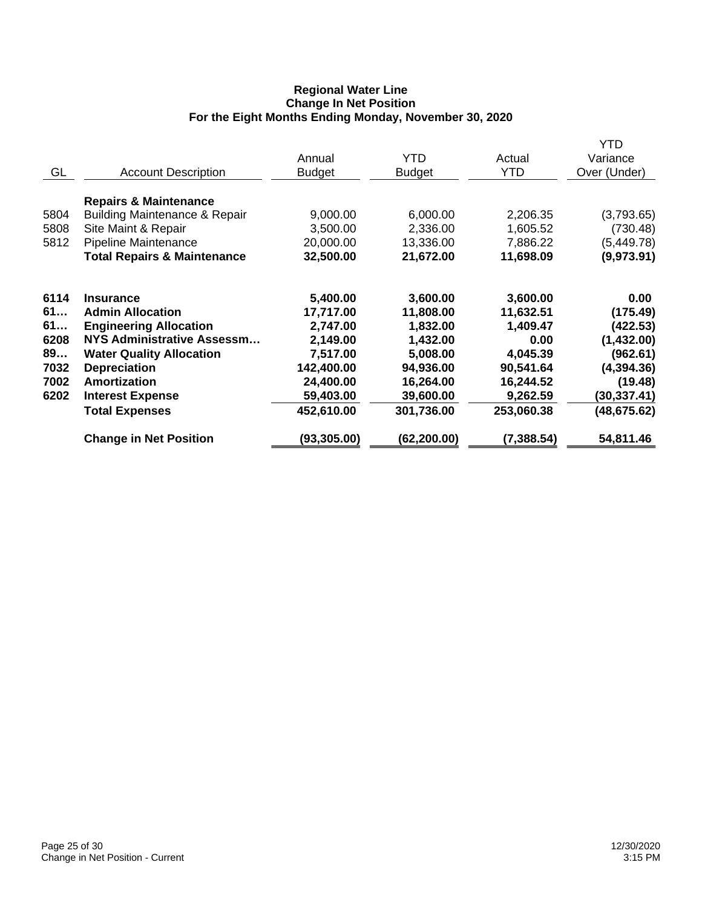### **Regional Water Line Change In Net Position For the Eight Months Ending Monday, November 30, 2020**

|      |                                          |               |               |             | <b>YTD</b>   |
|------|------------------------------------------|---------------|---------------|-------------|--------------|
|      |                                          | Annual        | YTD           | Actual      | Variance     |
| GL   | <b>Account Description</b>               | <b>Budget</b> | <b>Budget</b> | <b>YTD</b>  | Over (Under) |
|      | <b>Repairs &amp; Maintenance</b>         |               |               |             |              |
| 5804 | <b>Building Maintenance &amp; Repair</b> | 9,000.00      | 6,000.00      | 2,206.35    | (3,793.65)   |
| 5808 | Site Maint & Repair                      | 3,500.00      | 2,336.00      | 1,605.52    | (730.48)     |
| 5812 | Pipeline Maintenance                     | 20,000.00     | 13,336.00     | 7,886.22    | (5,449.78)   |
|      | <b>Total Repairs &amp; Maintenance</b>   | 32,500.00     | 21,672.00     | 11,698.09   | (9,973.91)   |
| 6114 | <b>Insurance</b>                         | 5,400.00      | 3,600.00      | 3,600.00    | 0.00         |
| 61   | <b>Admin Allocation</b>                  | 17,717.00     | 11,808.00     | 11,632.51   | (175.49)     |
| 61   | <b>Engineering Allocation</b>            | 2,747.00      | 1,832.00      | 1,409.47    | (422.53)     |
| 6208 | <b>NYS Administrative Assessm</b>        | 2,149.00      | 1,432.00      | 0.00        | (1,432.00)   |
| 89   | <b>Water Quality Allocation</b>          | 7,517.00      | 5,008.00      | 4,045.39    | (962.61)     |
| 7032 | <b>Depreciation</b>                      | 142,400.00    | 94,936.00     | 90,541.64   | (4, 394.36)  |
| 7002 | Amortization                             | 24,400.00     | 16,264.00     | 16,244.52   | (19.48)      |
| 6202 | <b>Interest Expense</b>                  | 59,403.00     | 39,600.00     | 9,262.59    | (30,337.41)  |
|      | <b>Total Expenses</b>                    | 452,610.00    | 301,736.00    | 253,060.38  | (48, 675.62) |
|      | <b>Change in Net Position</b>            | (93,305.00)   | (62,200.00)   | (7, 388.54) | 54,811.46    |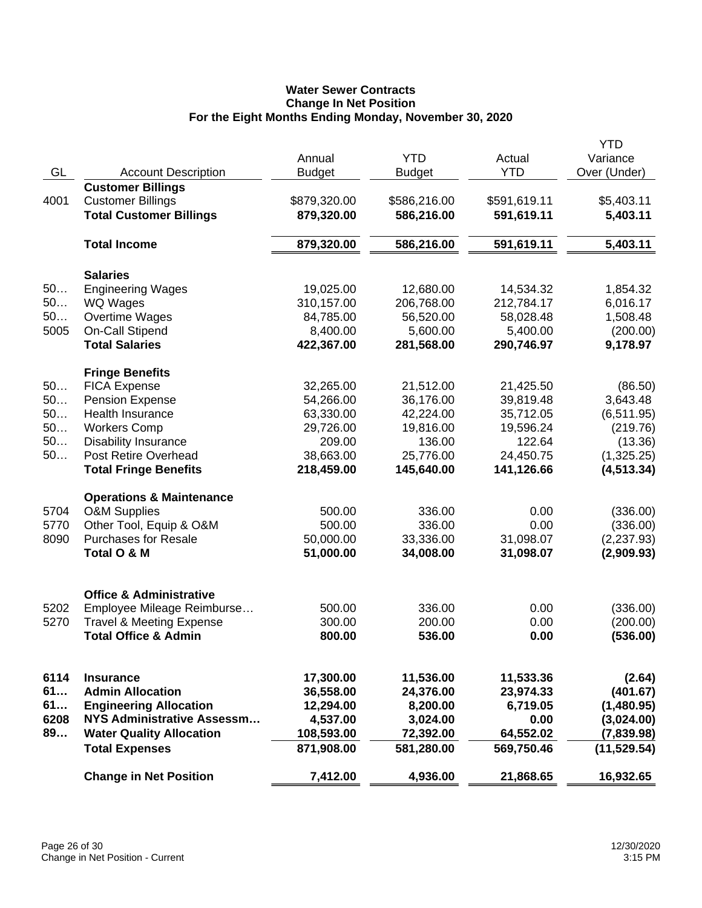# **Water Sewer Contracts Change In Net Position For the Eight Months Ending Monday, November 30, 2020**

|      |                                                        |               |               |                      | YTD          |
|------|--------------------------------------------------------|---------------|---------------|----------------------|--------------|
| GL   |                                                        | Annual        | <b>YTD</b>    | Actual<br><b>YTD</b> | Variance     |
|      | <b>Account Description</b><br><b>Customer Billings</b> | <b>Budget</b> | <b>Budget</b> |                      | Over (Under) |
| 4001 | <b>Customer Billings</b>                               | \$879,320.00  | \$586,216.00  | \$591,619.11         | \$5,403.11   |
|      | <b>Total Customer Billings</b>                         | 879,320.00    | 586,216.00    | 591,619.11           | 5,403.11     |
|      |                                                        |               |               |                      |              |
|      | <b>Total Income</b>                                    | 879,320.00    | 586,216.00    | 591,619.11           | 5,403.11     |
|      | <b>Salaries</b>                                        |               |               |                      |              |
| 50   | <b>Engineering Wages</b>                               | 19,025.00     | 12,680.00     | 14,534.32            | 1,854.32     |
| 50   | WQ Wages                                               | 310,157.00    | 206,768.00    | 212,784.17           | 6,016.17     |
| 50   | Overtime Wages                                         | 84,785.00     | 56,520.00     | 58,028.48            | 1,508.48     |
| 5005 | On-Call Stipend                                        | 8,400.00      | 5,600.00      | 5,400.00             | (200.00)     |
|      | <b>Total Salaries</b>                                  | 422,367.00    | 281,568.00    | 290,746.97           | 9,178.97     |
|      | <b>Fringe Benefits</b>                                 |               |               |                      |              |
| 50   | <b>FICA Expense</b>                                    | 32,265.00     | 21,512.00     | 21,425.50            | (86.50)      |
| 50   | <b>Pension Expense</b>                                 | 54,266.00     | 36,176.00     | 39,819.48            | 3,643.48     |
| 50   | Health Insurance                                       | 63,330.00     | 42,224.00     | 35,712.05            | (6,511.95)   |
| 50   | <b>Workers Comp</b>                                    | 29,726.00     | 19,816.00     | 19,596.24            | (219.76)     |
| 50   | <b>Disability Insurance</b>                            | 209.00        | 136.00        | 122.64               | (13.36)      |
| 50   | <b>Post Retire Overhead</b>                            | 38,663.00     | 25,776.00     | 24,450.75            | (1,325.25)   |
|      | <b>Total Fringe Benefits</b>                           | 218,459.00    | 145,640.00    | 141,126.66           | (4, 513.34)  |
|      | <b>Operations &amp; Maintenance</b>                    |               |               |                      |              |
| 5704 | <b>O&amp;M Supplies</b>                                | 500.00        | 336.00        | 0.00                 | (336.00)     |
| 5770 | Other Tool, Equip & O&M                                | 500.00        | 336.00        | 0.00                 | (336.00)     |
| 8090 | <b>Purchases for Resale</b>                            | 50,000.00     | 33,336.00     | 31,098.07            | (2,237.93)   |
|      | Total O & M                                            | 51,000.00     | 34,008.00     | 31,098.07            | (2,909.93)   |
|      | <b>Office &amp; Administrative</b>                     |               |               |                      |              |
| 5202 | Employee Mileage Reimburse                             | 500.00        | 336.00        | 0.00                 | (336.00)     |
| 5270 | <b>Travel &amp; Meeting Expense</b>                    | 300.00        | 200.00        | 0.00                 | (200.00)     |
|      | <b>Total Office &amp; Admin</b>                        | 800.00        | 536.00        | 0.00                 | (536.00)     |
|      |                                                        |               |               |                      |              |
| 6114 | <b>Insurance</b>                                       | 17,300.00     | 11,536.00     | 11,533.36            | (2.64)       |
| 61   | <b>Admin Allocation</b>                                | 36,558.00     | 24,376.00     | 23,974.33            | (401.67)     |
| 61   | <b>Engineering Allocation</b>                          | 12,294.00     | 8,200.00      | 6,719.05             | (1,480.95)   |
| 6208 | NYS Administrative Assessm                             | 4,537.00      | 3,024.00      | 0.00                 | (3,024.00)   |
| 89   | <b>Water Quality Allocation</b>                        | 108,593.00    | 72,392.00     | 64,552.02            | (7,839.98)   |
|      | <b>Total Expenses</b>                                  | 871,908.00    | 581,280.00    | 569,750.46           | (11, 529.54) |
|      | <b>Change in Net Position</b>                          | 7,412.00      | 4,936.00      | 21,868.65            | 16,932.65    |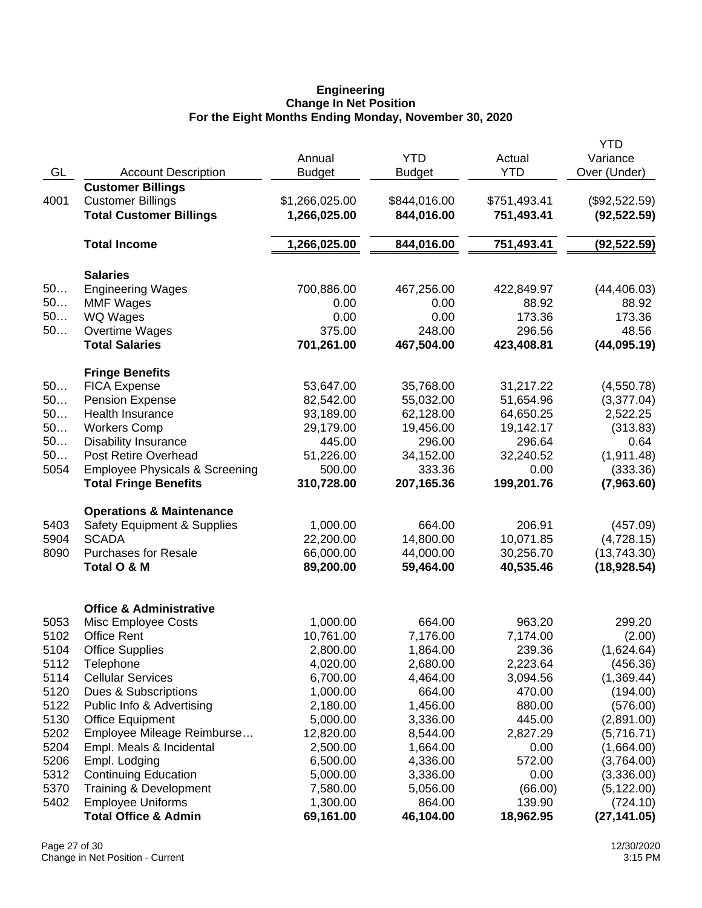### **Engineering Change In Net Position For the Eight Months Ending Monday, November 30, 2020**

|      |                                           |                |               |              | <b>YTD</b>    |
|------|-------------------------------------------|----------------|---------------|--------------|---------------|
|      |                                           | Annual         | <b>YTD</b>    | Actual       | Variance      |
| GL   | <b>Account Description</b>                | <b>Budget</b>  | <b>Budget</b> | <b>YTD</b>   | Over (Under)  |
|      | <b>Customer Billings</b>                  |                |               |              |               |
| 4001 | <b>Customer Billings</b>                  | \$1,266,025.00 | \$844,016.00  | \$751,493.41 | (\$92,522.59) |
|      | <b>Total Customer Billings</b>            | 1,266,025.00   | 844,016.00    | 751,493.41   | (92, 522.59)  |
|      |                                           |                |               |              |               |
|      | <b>Total Income</b>                       | 1,266,025.00   | 844,016.00    | 751,493.41   | (92, 522.59)  |
|      | <b>Salaries</b>                           |                |               |              |               |
| 50   | <b>Engineering Wages</b>                  | 700,886.00     | 467,256.00    | 422,849.97   | (44, 406.03)  |
| 50   | <b>MMF Wages</b>                          | 0.00           | 0.00          | 88.92        | 88.92         |
| 50   | WQ Wages                                  | 0.00           | 0.00          | 173.36       | 173.36        |
| $50$ | Overtime Wages                            | 375.00         | 248.00        | 296.56       | 48.56         |
|      | <b>Total Salaries</b>                     | 701,261.00     | 467,504.00    | 423,408.81   | (44,095.19)   |
|      | <b>Fringe Benefits</b>                    |                |               |              |               |
| 50   | <b>FICA Expense</b>                       | 53,647.00      | 35,768.00     | 31,217.22    | (4,550.78)    |
| 50   | <b>Pension Expense</b>                    | 82,542.00      | 55,032.00     | 51,654.96    | (3,377.04)    |
| 50   | <b>Health Insurance</b>                   | 93,189.00      | 62,128.00     | 64,650.25    | 2,522.25      |
| 50   | <b>Workers Comp</b>                       | 29,179.00      | 19,456.00     | 19,142.17    | (313.83)      |
| 50   | <b>Disability Insurance</b>               | 445.00         | 296.00        | 296.64       | 0.64          |
| 50   | Post Retire Overhead                      | 51,226.00      | 34,152.00     | 32,240.52    | (1, 911.48)   |
| 5054 | <b>Employee Physicals &amp; Screening</b> | 500.00         | 333.36        | 0.00         | (333.36)      |
|      | <b>Total Fringe Benefits</b>              | 310,728.00     | 207,165.36    | 199,201.76   | (7,963.60)    |
|      | <b>Operations &amp; Maintenance</b>       |                |               |              |               |
| 5403 | <b>Safety Equipment &amp; Supplies</b>    | 1,000.00       | 664.00        | 206.91       | (457.09)      |
| 5904 | <b>SCADA</b>                              | 22,200.00      | 14,800.00     | 10,071.85    | (4,728.15)    |
| 8090 | <b>Purchases for Resale</b>               | 66,000.00      | 44,000.00     | 30,256.70    | (13,743.30)   |
|      | Total O & M                               | 89,200.00      | 59,464.00     | 40,535.46    | (18, 928.54)  |
|      | <b>Office &amp; Administrative</b>        |                |               |              |               |
| 5053 | Misc Employee Costs                       | 1,000.00       | 664.00        | 963.20       | 299.20        |
| 5102 | <b>Office Rent</b>                        | 10,761.00      | 7,176.00      | 7,174.00     | (2.00)        |
| 5104 | <b>Office Supplies</b>                    | 2,800.00       | 1,864.00      | 239.36       | (1,624.64)    |
| 5112 | Telephone                                 | 4,020.00       | 2,680.00      | 2,223.64     | (456.36)      |
| 5114 | <b>Cellular Services</b>                  | 6,700.00       | 4,464.00      | 3,094.56     | (1,369.44)    |
| 5120 | Dues & Subscriptions                      | 1,000.00       | 664.00        | 470.00       | (194.00)      |
| 5122 | Public Info & Advertising                 | 2,180.00       | 1,456.00      | 880.00       | (576.00)      |
| 5130 | <b>Office Equipment</b>                   | 5,000.00       | 3,336.00      | 445.00       | (2,891.00)    |
| 5202 | Employee Mileage Reimburse                | 12,820.00      | 8,544.00      | 2,827.29     | (5,716.71)    |
| 5204 | Empl. Meals & Incidental                  | 2,500.00       | 1,664.00      | 0.00         | (1,664.00)    |
| 5206 | Empl. Lodging                             | 6,500.00       | 4,336.00      | 572.00       | (3,764.00)    |
| 5312 | <b>Continuing Education</b>               | 5,000.00       | 3,336.00      | 0.00         | (3,336.00)    |
| 5370 | Training & Development                    | 7,580.00       | 5,056.00      | (66.00)      | (5, 122.00)   |
| 5402 | <b>Employee Uniforms</b>                  | 1,300.00       | 864.00        | 139.90       | (724.10)      |
|      | <b>Total Office &amp; Admin</b>           | 69,161.00      | 46,104.00     | 18,962.95    | (27, 141.05)  |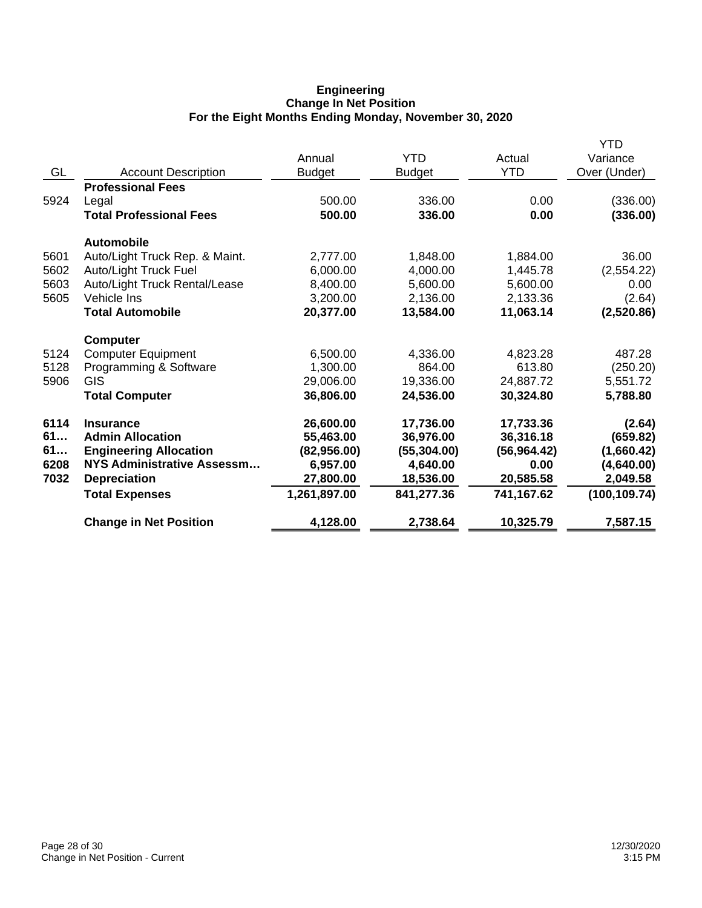## **Engineering Change In Net Position For the Eight Months Ending Monday, November 30, 2020**

|      |                                |               |               |              | <b>YTD</b>    |
|------|--------------------------------|---------------|---------------|--------------|---------------|
|      |                                | Annual        | YTD           | Actual       | Variance      |
| GL   | <b>Account Description</b>     | <b>Budget</b> | <b>Budget</b> | <b>YTD</b>   | Over (Under)  |
|      | <b>Professional Fees</b>       |               |               |              |               |
| 5924 | Legal                          | 500.00        | 336.00        | 0.00         | (336.00)      |
|      | <b>Total Professional Fees</b> | 500.00        | 336.00        | 0.00         | (336.00)      |
|      | <b>Automobile</b>              |               |               |              |               |
| 5601 | Auto/Light Truck Rep. & Maint. | 2,777.00      | 1,848.00      | 1,884.00     | 36.00         |
| 5602 | Auto/Light Truck Fuel          | 6,000.00      | 4,000.00      | 1,445.78     | (2,554.22)    |
| 5603 | Auto/Light Truck Rental/Lease  | 8,400.00      | 5,600.00      | 5,600.00     | 0.00          |
| 5605 | Vehicle Ins                    | 3,200.00      | 2,136.00      | 2,133.36     | (2.64)        |
|      | <b>Total Automobile</b>        | 20,377.00     | 13,584.00     | 11,063.14    | (2,520.86)    |
|      | <b>Computer</b>                |               |               |              |               |
| 5124 | <b>Computer Equipment</b>      | 6,500.00      | 4,336.00      | 4,823.28     | 487.28        |
| 5128 | Programming & Software         | 1,300.00      | 864.00        | 613.80       | (250.20)      |
| 5906 | GIS                            | 29,006.00     | 19,336.00     | 24,887.72    | 5,551.72      |
|      | <b>Total Computer</b>          | 36,806.00     | 24,536.00     | 30,324.80    | 5,788.80      |
| 6114 | <b>Insurance</b>               | 26,600.00     | 17,736.00     | 17,733.36    | (2.64)        |
| 61   | <b>Admin Allocation</b>        | 55,463.00     | 36,976.00     | 36,316.18    | (659.82)      |
| 61   | <b>Engineering Allocation</b>  | (82,956.00)   | (55, 304.00)  | (56, 964.42) | (1,660.42)    |
| 6208 | NYS Administrative Assessm     | 6,957.00      | 4,640.00      | 0.00         | (4,640.00)    |
| 7032 | <b>Depreciation</b>            | 27,800.00     | 18,536.00     | 20,585.58    | 2,049.58      |
|      | <b>Total Expenses</b>          | 1,261,897.00  | 841,277.36    | 741,167.62   | (100, 109.74) |
|      | <b>Change in Net Position</b>  | 4,128.00      | 2,738.64      | 10,325.79    | 7,587.15      |
|      |                                |               |               |              |               |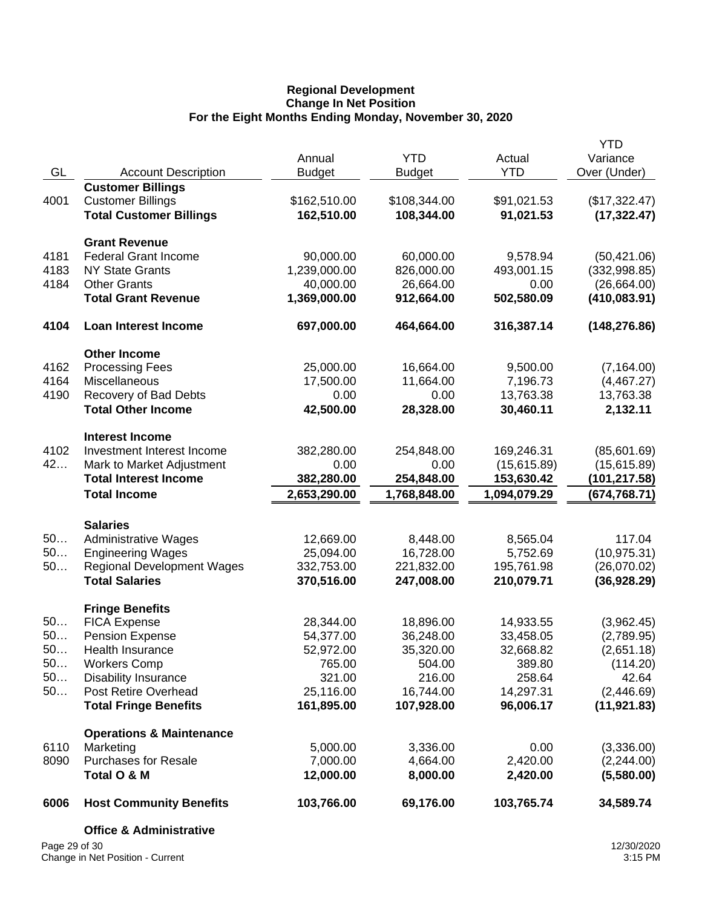### **Regional Development Change In Net Position For the Eight Months Ending Monday, November 30, 2020**

| Page 29 of 30 | <b>Office &amp; Administrative</b>                   |                         |                             |                        | 12/30/2020               |
|---------------|------------------------------------------------------|-------------------------|-----------------------------|------------------------|--------------------------|
| 6006          | <b>Host Community Benefits</b>                       | 103,766.00              | 69,176.00                   | 103,765.74             | 34,589.74                |
| 8090          | <b>Purchases for Resale</b><br>Total O & M           | 7,000.00<br>12,000.00   | 4,664.00<br>8,000.00        | 2,420.00<br>2,420.00   | (2,244.00)<br>(5,580.00) |
| 6110          | <b>Operations &amp; Maintenance</b><br>Marketing     | 5,000.00                | 3,336.00                    | 0.00                   | (3,336.00)               |
|               | <b>Total Fringe Benefits</b>                         | 161,895.00              | 107,928.00                  | 96,006.17              | (11, 921.83)             |
| 50            | Post Retire Overhead                                 | 25,116.00               | 16,744.00                   | 14,297.31              | (2,446.69)               |
| 50            | <b>Disability Insurance</b>                          | 321.00                  | 216.00                      | 258.64                 | 42.64                    |
| 50            | <b>Workers Comp</b>                                  | 765.00                  | 504.00                      | 389.80                 | (2,651.18)<br>(114.20)   |
| 50<br>50      | <b>Pension Expense</b><br>Health Insurance           | 54,377.00<br>52,972.00  | 36,248.00<br>35,320.00      | 33,458.05<br>32,668.82 | (2,789.95)               |
| 50            | <b>FICA Expense</b>                                  | 28,344.00               | 18,896.00                   | 14,933.55              | (3,962.45)               |
|               | <b>Fringe Benefits</b>                               |                         |                             |                        |                          |
|               | <b>Total Salaries</b>                                | 370,516.00              | 247,008.00                  | 210,079.71             | (36, 928.29)             |
| 50            | <b>Regional Development Wages</b>                    | 332,753.00              | 221,832.00                  | 195,761.98             | (26,070.02)              |
| 50            | <b>Engineering Wages</b>                             | 25,094.00               | 16,728.00                   | 5,752.69               | (10, 975.31)             |
| 50            | <b>Salaries</b><br><b>Administrative Wages</b>       | 12,669.00               | 8,448.00                    | 8,565.04               | 117.04                   |
|               | <b>Total Income</b>                                  | 2,653,290.00            | 1,768,848.00                | 1,094,079.29           | (674,768.71)             |
|               | <b>Total Interest Income</b>                         | 382,280.00              | 254,848.00                  | 153,630.42             | (101,217.58)             |
| 42            | Mark to Market Adjustment                            | 0.00                    | 0.00                        | (15, 615.89)           | (15,615.89)              |
| 4102          | <b>Interest Income</b><br>Investment Interest Income | 382,280.00              | 254,848.00                  | 169,246.31             | (85,601.69)              |
|               | <b>Total Other Income</b>                            | 42,500.00               | 28,328.00                   | 30,460.11              | 2,132.11                 |
| 4190          | Recovery of Bad Debts                                | 0.00                    | 0.00                        | 13,763.38              | 13,763.38                |
| 4164          | Miscellaneous                                        | 17,500.00               | 11,664.00                   | 7,196.73               | (4,467.27)               |
| 4162          | <b>Other Income</b><br><b>Processing Fees</b>        | 25,000.00               | 16,664.00                   | 9,500.00               | (7, 164.00)              |
| 4104          | <b>Loan Interest Income</b>                          | 697,000.00              | 464,664.00                  | 316,387.14             | (148, 276.86)            |
|               | <b>Total Grant Revenue</b>                           | 1,369,000.00            | 912,664.00                  | 502,580.09             | (410, 083.91)            |
| 4184          | <b>Other Grants</b>                                  | 40,000.00               | 26,664.00                   | 0.00                   | (26,664.00)              |
| 4183          | <b>NY State Grants</b>                               | 1,239,000.00            | 826,000.00                  | 493,001.15             | (332,998.85)             |
| 4181          | <b>Grant Revenue</b><br><b>Federal Grant Income</b>  | 90,000.00               | 60,000.00                   | 9,578.94               | (50, 421.06)             |
|               | <b>Total Customer Billings</b>                       | 162,510.00              | 108,344.00                  | 91,021.53              | (17, 322.47)             |
| 4001          | <b>Customer Billings</b>                             | \$162,510.00            | \$108,344.00                | \$91,021.53            | (\$17,322.47)            |
|               | <b>Customer Billings</b>                             |                         |                             |                        |                          |
| GL            | <b>Account Description</b>                           | Annual<br><b>Budget</b> | <b>YTD</b><br><b>Budget</b> | Actual<br><b>YTD</b>   | Variance<br>Over (Under) |
|               |                                                      |                         |                             |                        | <b>YTD</b>               |